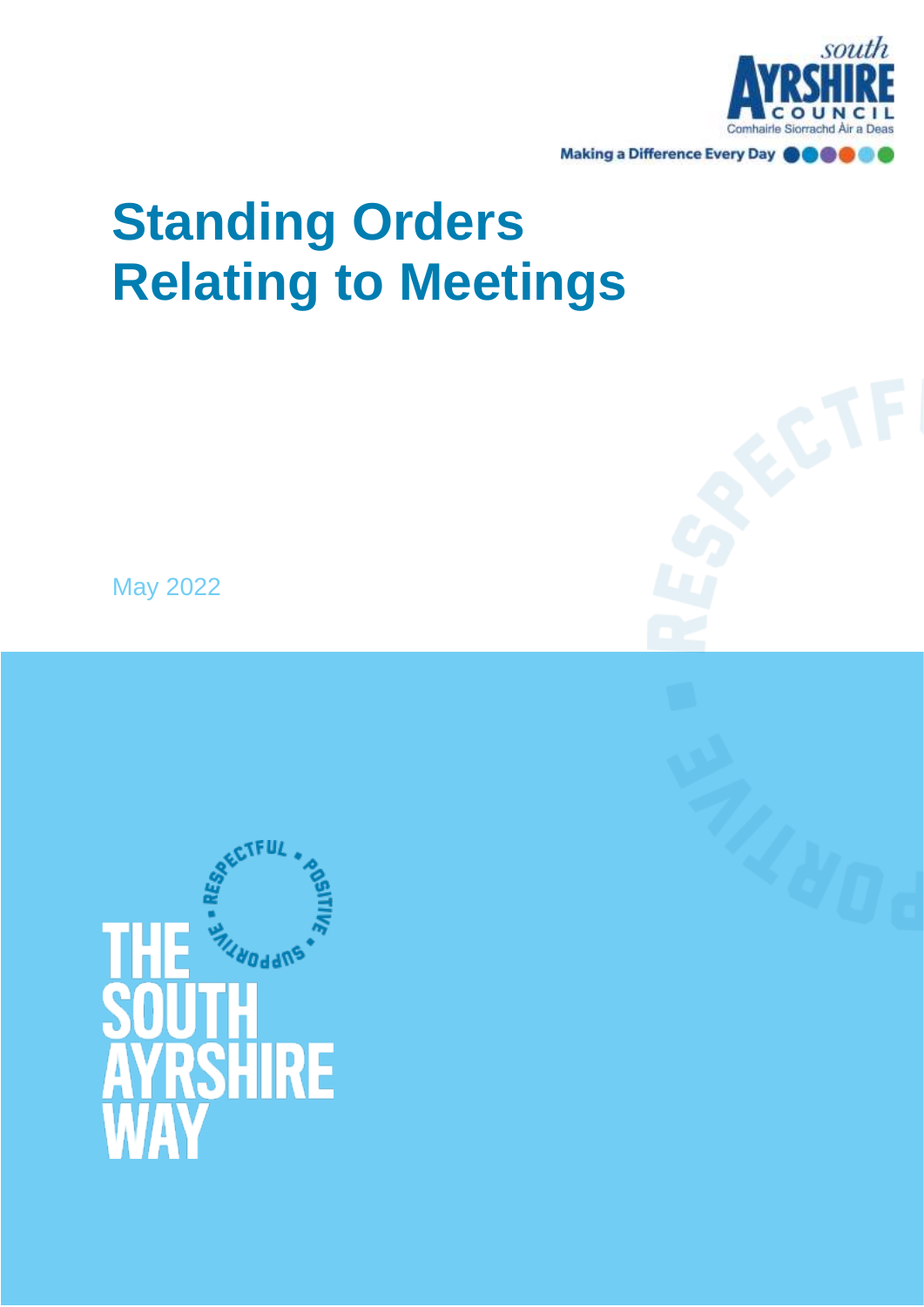

# **Standing Orders Relating to Meetings**

May 2022

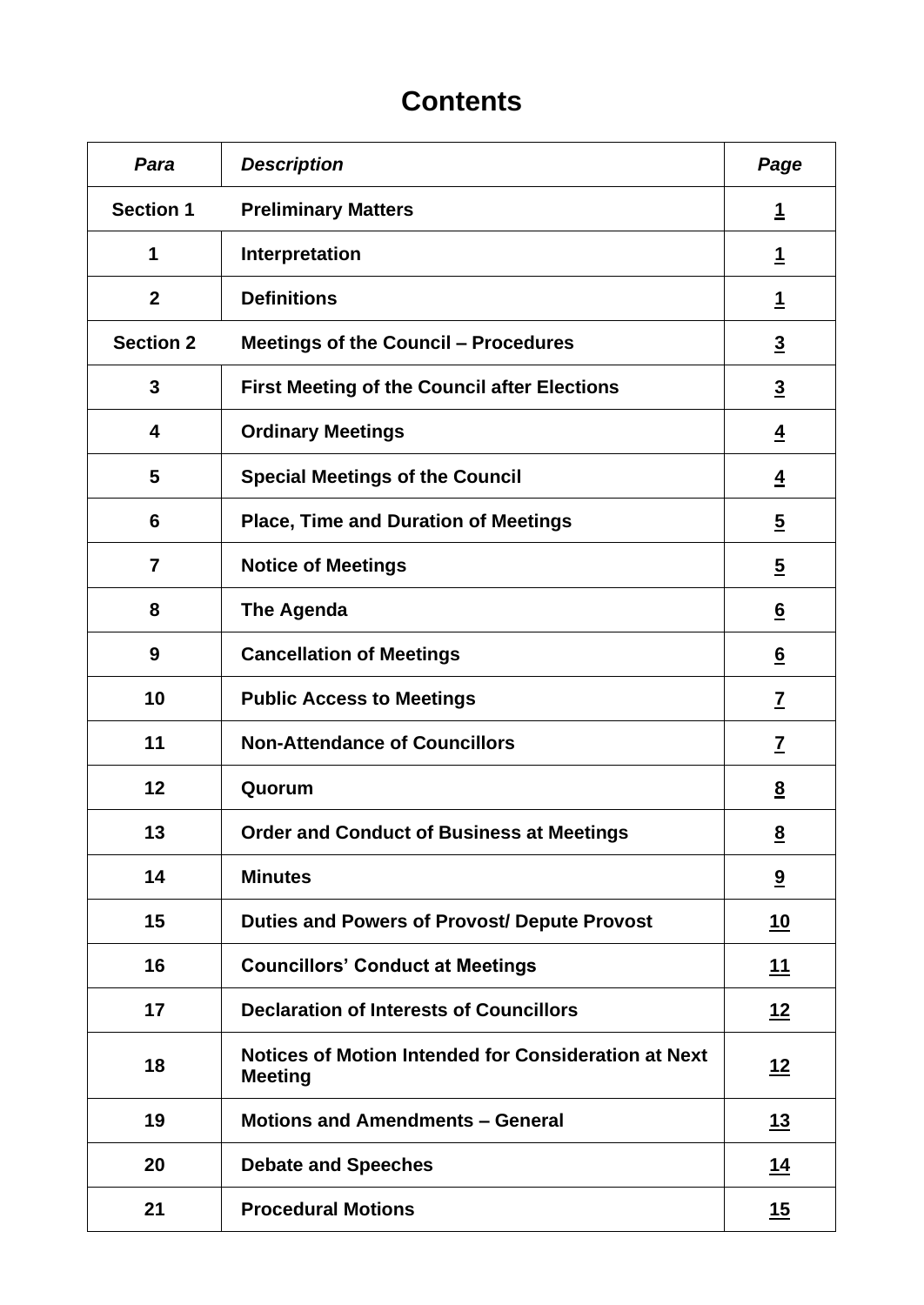## **Contents**

| Para             | <b>Description</b>                                                            | Page                    |
|------------------|-------------------------------------------------------------------------------|-------------------------|
| <b>Section 1</b> | <b>Preliminary Matters</b>                                                    | <u>1</u>                |
| 1                | Interpretation                                                                | <u>1</u>                |
| $\overline{2}$   | <b>Definitions</b>                                                            | <u>1</u>                |
| <b>Section 2</b> | <b>Meetings of the Council - Procedures</b>                                   | $\overline{3}$          |
| 3                | <b>First Meeting of the Council after Elections</b>                           | $\overline{3}$          |
| 4                | <b>Ordinary Meetings</b>                                                      | $\overline{4}$          |
| 5                | <b>Special Meetings of the Council</b>                                        | $\overline{4}$          |
| 6                | <b>Place, Time and Duration of Meetings</b>                                   | $\overline{5}$          |
| $\overline{7}$   | <b>Notice of Meetings</b>                                                     | $\overline{2}$          |
| 8                | <b>The Agenda</b>                                                             | $6 \overline{6}$        |
| 9                | <b>Cancellation of Meetings</b>                                               | $\underline{6}$         |
| 10               | <b>Public Access to Meetings</b>                                              | $\underline{7}$         |
| 11               | <b>Non-Attendance of Councillors</b>                                          | $\overline{\mathbf{Z}}$ |
| 12               | Quorum                                                                        | $\underline{8}$         |
| 13               | <b>Order and Conduct of Business at Meetings</b>                              | $\underline{8}$         |
| 14               | <b>Minutes</b>                                                                | $\overline{\mathbf{a}}$ |
| 15               | <b>Duties and Powers of Provost/ Depute Provost</b>                           | <u>10</u>               |
| 16               | <b>Councillors' Conduct at Meetings</b>                                       | <u> 11</u>              |
| 17               | <b>Declaration of Interests of Councillors</b>                                | <u>12</u>               |
| 18               | <b>Notices of Motion Intended for Consideration at Next</b><br><b>Meeting</b> | <u>12</u>               |
| 19               | <b>Motions and Amendments - General</b>                                       | <u>13</u>               |
| 20               | <b>Debate and Speeches</b>                                                    | <u>14</u>               |
| 21               | <b>Procedural Motions</b>                                                     | <u>15</u>               |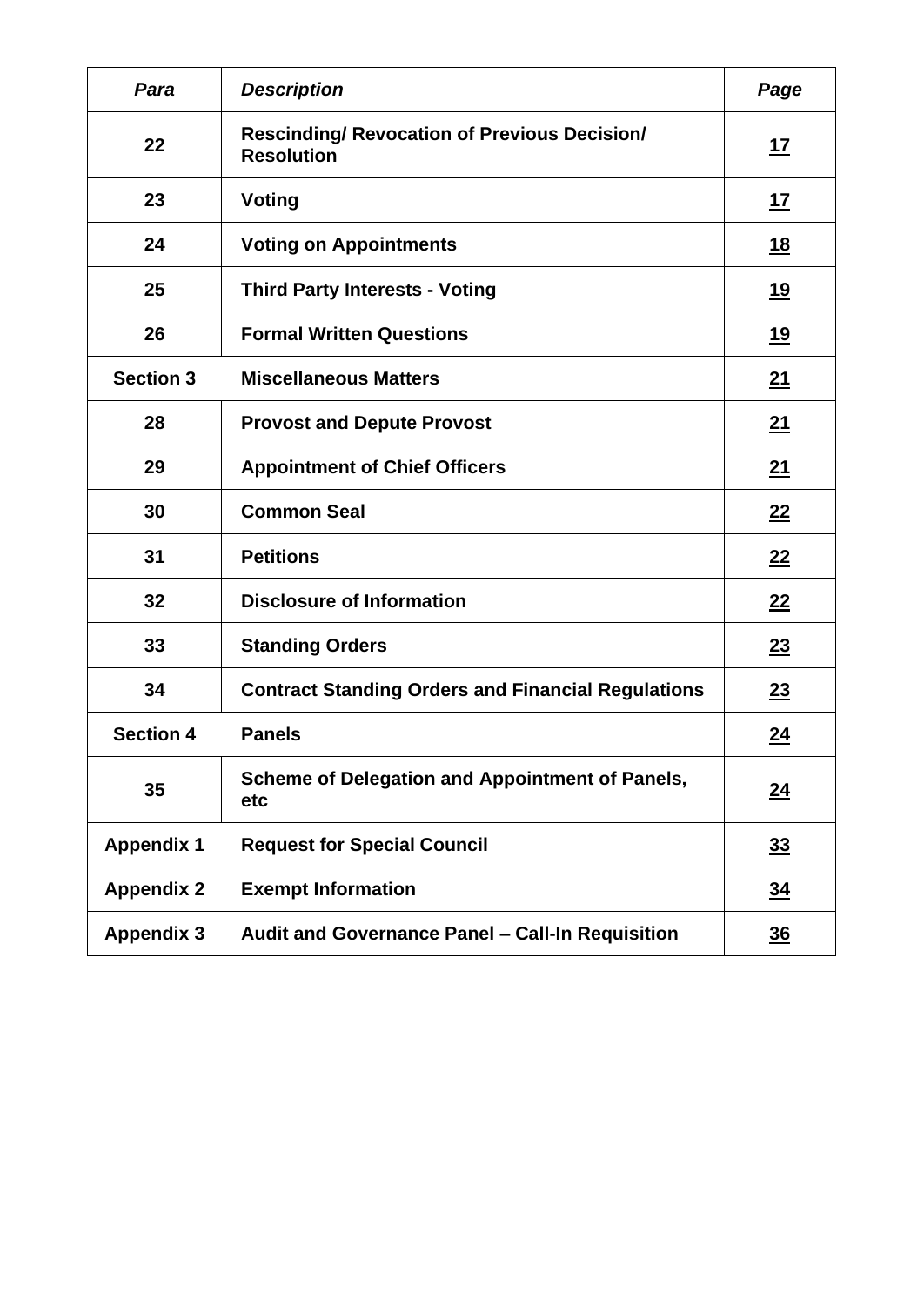| Para              | <b>Description</b>                                                       | Page             |
|-------------------|--------------------------------------------------------------------------|------------------|
| 22                | <b>Rescinding/ Revocation of Previous Decision/</b><br><b>Resolution</b> | <u>17</u>        |
| 23                | Voting                                                                   | <u>17</u>        |
| 24                | <b>Voting on Appointments</b>                                            | <u>18</u>        |
| 25                | <b>Third Party Interests - Voting</b>                                    | <u>19</u>        |
| 26                | <b>Formal Written Questions</b>                                          | 19               |
| <b>Section 3</b>  | <b>Miscellaneous Matters</b>                                             | <u>21</u>        |
| 28                | <b>Provost and Depute Provost</b>                                        | <u>21</u>        |
| 29                | <b>Appointment of Chief Officers</b>                                     | 21               |
| 30                | <b>Common Seal</b>                                                       | 22               |
| 31                | <b>Petitions</b>                                                         | 22               |
| 32                | <b>Disclosure of Information</b>                                         | 22               |
| 33                | <b>Standing Orders</b>                                                   | 23               |
| 34                | <b>Contract Standing Orders and Financial Regulations</b>                | 23               |
| <b>Section 4</b>  | <b>Panels</b>                                                            | <u>24</u>        |
| 35                | <b>Scheme of Delegation and Appointment of Panels,</b><br>etc            | $\underline{24}$ |
| <b>Appendix 1</b> | <b>Request for Special Council</b>                                       | 33               |
| <b>Appendix 2</b> | <b>Exempt Information</b>                                                | <u>34</u>        |
| <b>Appendix 3</b> | Audit and Governance Panel - Call-In Requisition                         | 36               |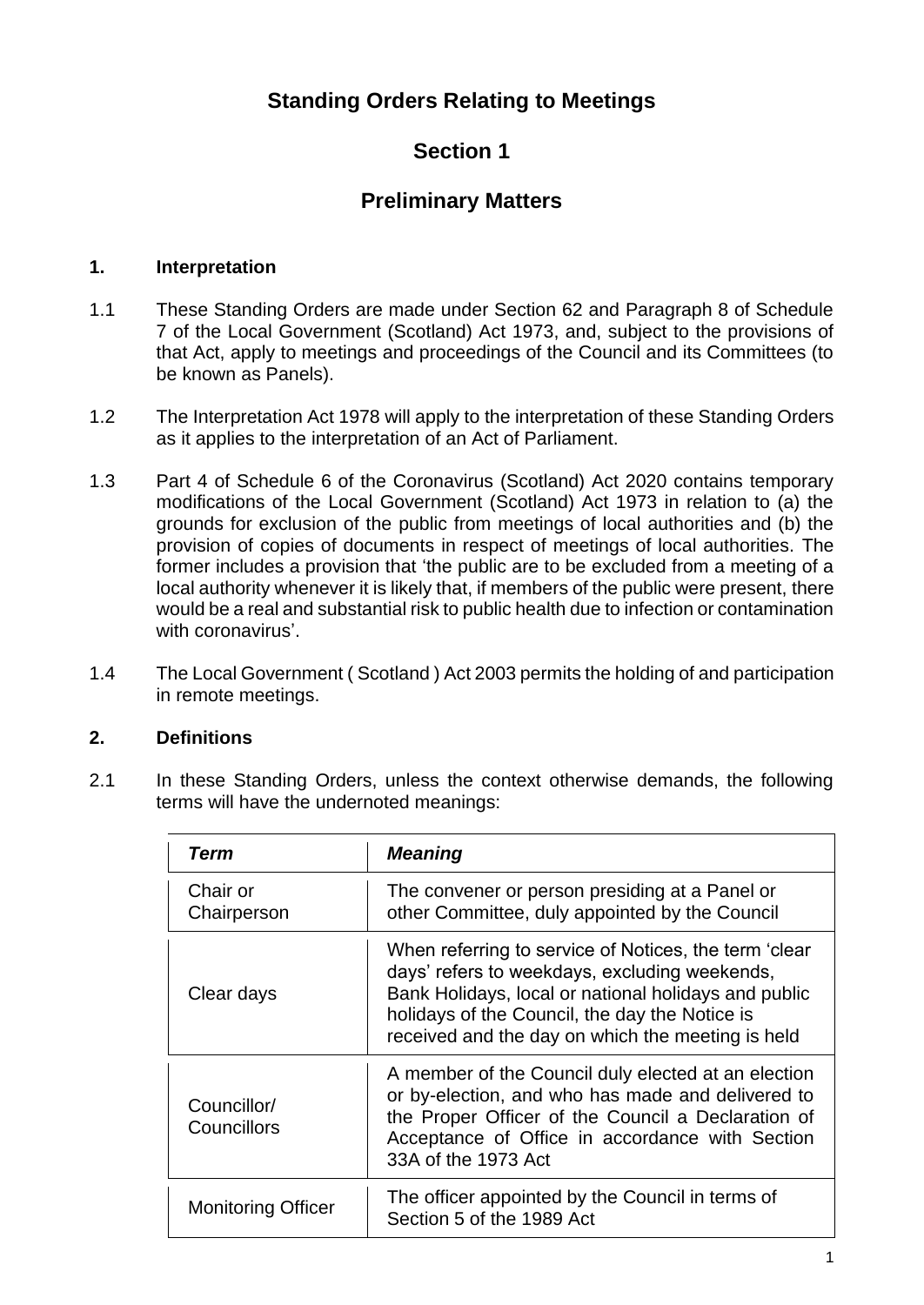## **Standing Orders Relating to Meetings**

## **Section 1**

## **Preliminary Matters**

## <span id="page-4-1"></span><span id="page-4-0"></span>**1. Interpretation**

- 1.1 These Standing Orders are made under Section 62 and Paragraph 8 of Schedule 7 of the Local Government (Scotland) Act 1973, and, subject to the provisions of that Act, apply to meetings and proceedings of the Council and its Committees (to be known as Panels).
- 1.2 The Interpretation Act 1978 will apply to the interpretation of these Standing Orders as it applies to the interpretation of an Act of Parliament.
- 1.3 Part 4 of Schedule 6 of the Coronavirus (Scotland) Act 2020 contains temporary modifications of the Local Government (Scotland) Act 1973 in relation to (a) the grounds for exclusion of the public from meetings of local authorities and (b) the provision of copies of documents in respect of meetings of local authorities. The former includes a provision that 'the public are to be excluded from a meeting of a local authority whenever it is likely that, if members of the public were present, there would be a real and substantial risk to public health due to infection or contamination with coronavirus'.
- 1.4 The Local Government ( Scotland ) Act 2003 permits the holding of and participation in remote meetings.

## <span id="page-4-2"></span>**2. Definitions**

2.1 In these Standing Orders, unless the context otherwise demands, the following terms will have the undernoted meanings:

| Term                       | <b>Meaning</b>                                                                                                                                                                                                                                                        |
|----------------------------|-----------------------------------------------------------------------------------------------------------------------------------------------------------------------------------------------------------------------------------------------------------------------|
| Chair or<br>Chairperson    | The convener or person presiding at a Panel or<br>other Committee, duly appointed by the Council                                                                                                                                                                      |
| Clear days                 | When referring to service of Notices, the term 'clear<br>days' refers to weekdays, excluding weekends,<br>Bank Holidays, local or national holidays and public<br>holidays of the Council, the day the Notice is<br>received and the day on which the meeting is held |
| Councillor/<br>Councillors | A member of the Council duly elected at an election<br>or by-election, and who has made and delivered to<br>the Proper Officer of the Council a Declaration of<br>Acceptance of Office in accordance with Section<br>33A of the 1973 Act                              |
| <b>Monitoring Officer</b>  | The officer appointed by the Council in terms of<br>Section 5 of the 1989 Act                                                                                                                                                                                         |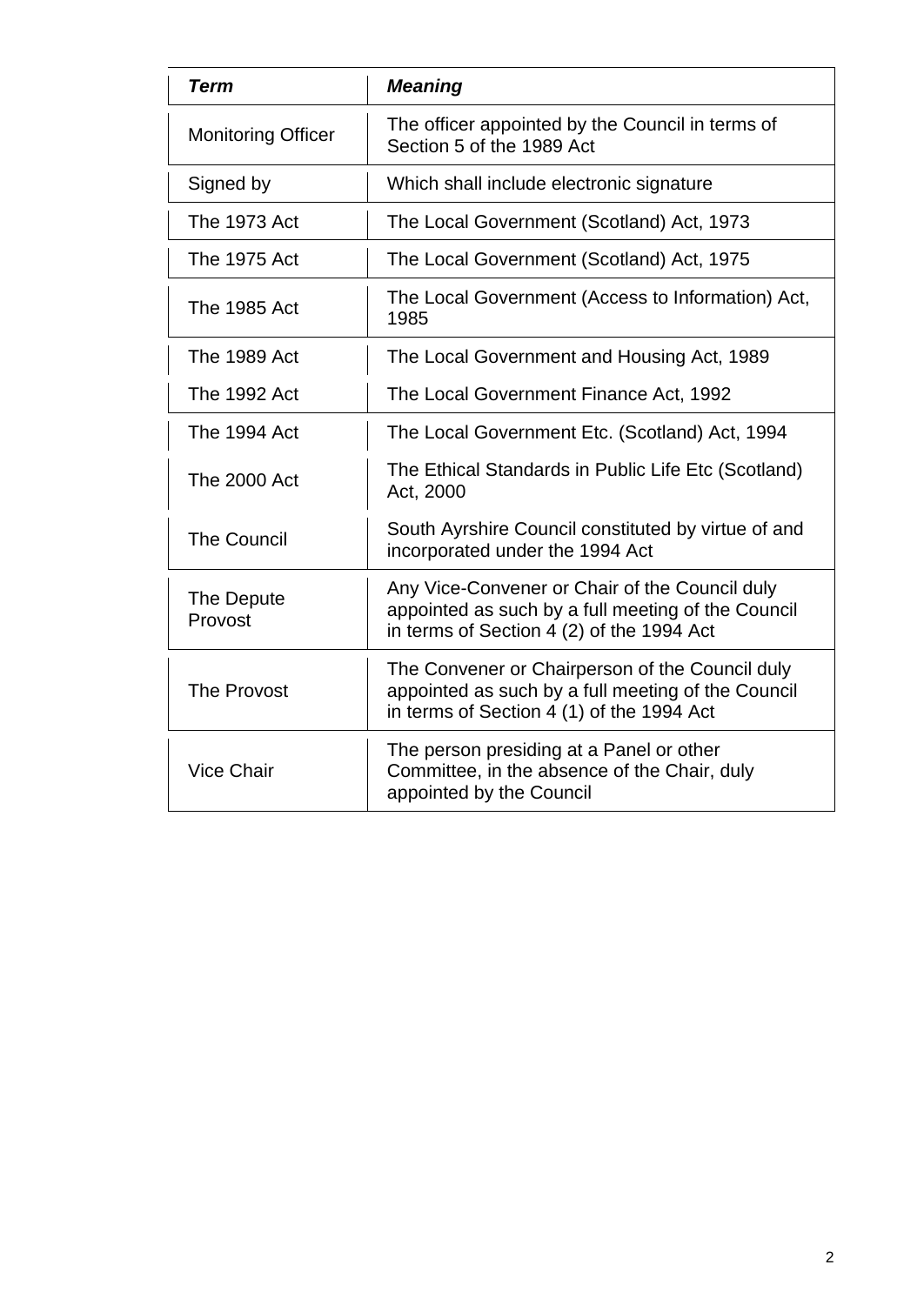| <b>Term</b>               | <b>Meaning</b>                                                                                                                                     |  |
|---------------------------|----------------------------------------------------------------------------------------------------------------------------------------------------|--|
| <b>Monitoring Officer</b> | The officer appointed by the Council in terms of<br>Section 5 of the 1989 Act                                                                      |  |
| Signed by                 | Which shall include electronic signature                                                                                                           |  |
| <b>The 1973 Act</b>       | The Local Government (Scotland) Act, 1973                                                                                                          |  |
| The 1975 Act              | The Local Government (Scotland) Act, 1975                                                                                                          |  |
| <b>The 1985 Act</b>       | The Local Government (Access to Information) Act,<br>1985                                                                                          |  |
| <b>The 1989 Act</b>       | The Local Government and Housing Act, 1989                                                                                                         |  |
| The 1992 Act              | The Local Government Finance Act, 1992                                                                                                             |  |
| The 1994 Act              | The Local Government Etc. (Scotland) Act, 1994                                                                                                     |  |
| <b>The 2000 Act</b>       | The Ethical Standards in Public Life Etc (Scotland)<br>Act, 2000                                                                                   |  |
| <b>The Council</b>        | South Ayrshire Council constituted by virtue of and<br>incorporated under the 1994 Act                                                             |  |
| The Depute<br>Provost     | Any Vice-Convener or Chair of the Council duly<br>appointed as such by a full meeting of the Council<br>in terms of Section 4 (2) of the 1994 Act  |  |
| <b>The Provost</b>        | The Convener or Chairperson of the Council duly<br>appointed as such by a full meeting of the Council<br>in terms of Section 4 (1) of the 1994 Act |  |
| <b>Vice Chair</b>         | The person presiding at a Panel or other<br>Committee, in the absence of the Chair, duly<br>appointed by the Council                               |  |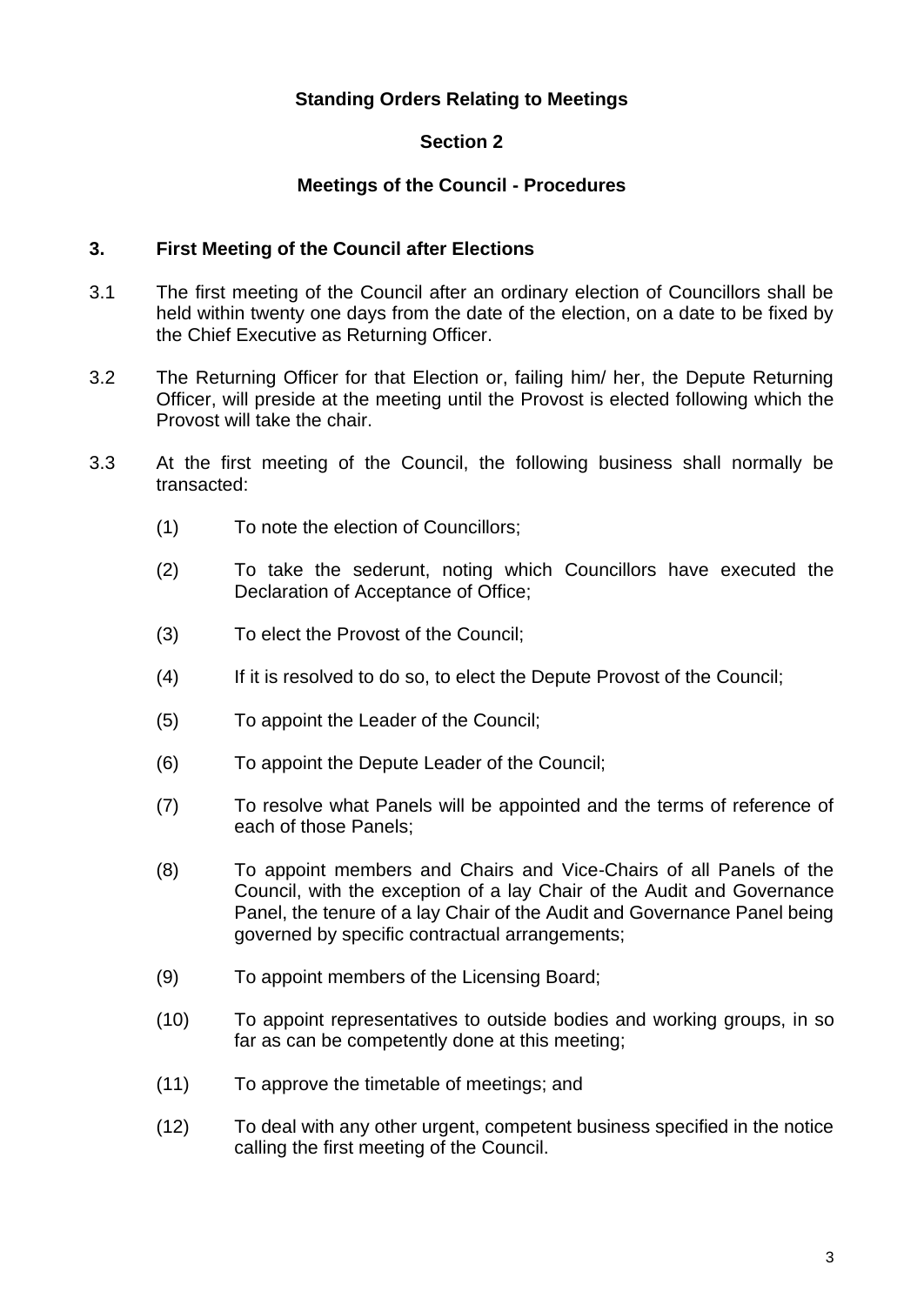## **Standing Orders Relating to Meetings**

## **Section 2**

## **Meetings of the Council - Procedures**

#### <span id="page-6-1"></span><span id="page-6-0"></span>**3. First Meeting of the Council after Elections**

- 3.1 The first meeting of the Council after an ordinary election of Councillors shall be held within twenty one days from the date of the election, on a date to be fixed by the Chief Executive as Returning Officer.
- 3.2 The Returning Officer for that Election or, failing him/ her, the Depute Returning Officer, will preside at the meeting until the Provost is elected following which the Provost will take the chair.
- 3.3 At the first meeting of the Council, the following business shall normally be transacted:
	- (1) To note the election of Councillors;
	- (2) To take the sederunt, noting which Councillors have executed the Declaration of Acceptance of Office;
	- (3) To elect the Provost of the Council;
	- (4) If it is resolved to do so, to elect the Depute Provost of the Council;
	- (5) To appoint the Leader of the Council;
	- (6) To appoint the Depute Leader of the Council;
	- (7) To resolve what Panels will be appointed and the terms of reference of each of those Panels;
	- (8) To appoint members and Chairs and Vice-Chairs of all Panels of the Council, with the exception of a lay Chair of the Audit and Governance Panel, the tenure of a lay Chair of the Audit and Governance Panel being governed by specific contractual arrangements;
	- (9) To appoint members of the Licensing Board;
	- (10) To appoint representatives to outside bodies and working groups, in so far as can be competently done at this meeting;
	- (11) To approve the timetable of meetings; and
	- (12) To deal with any other urgent, competent business specified in the notice calling the first meeting of the Council.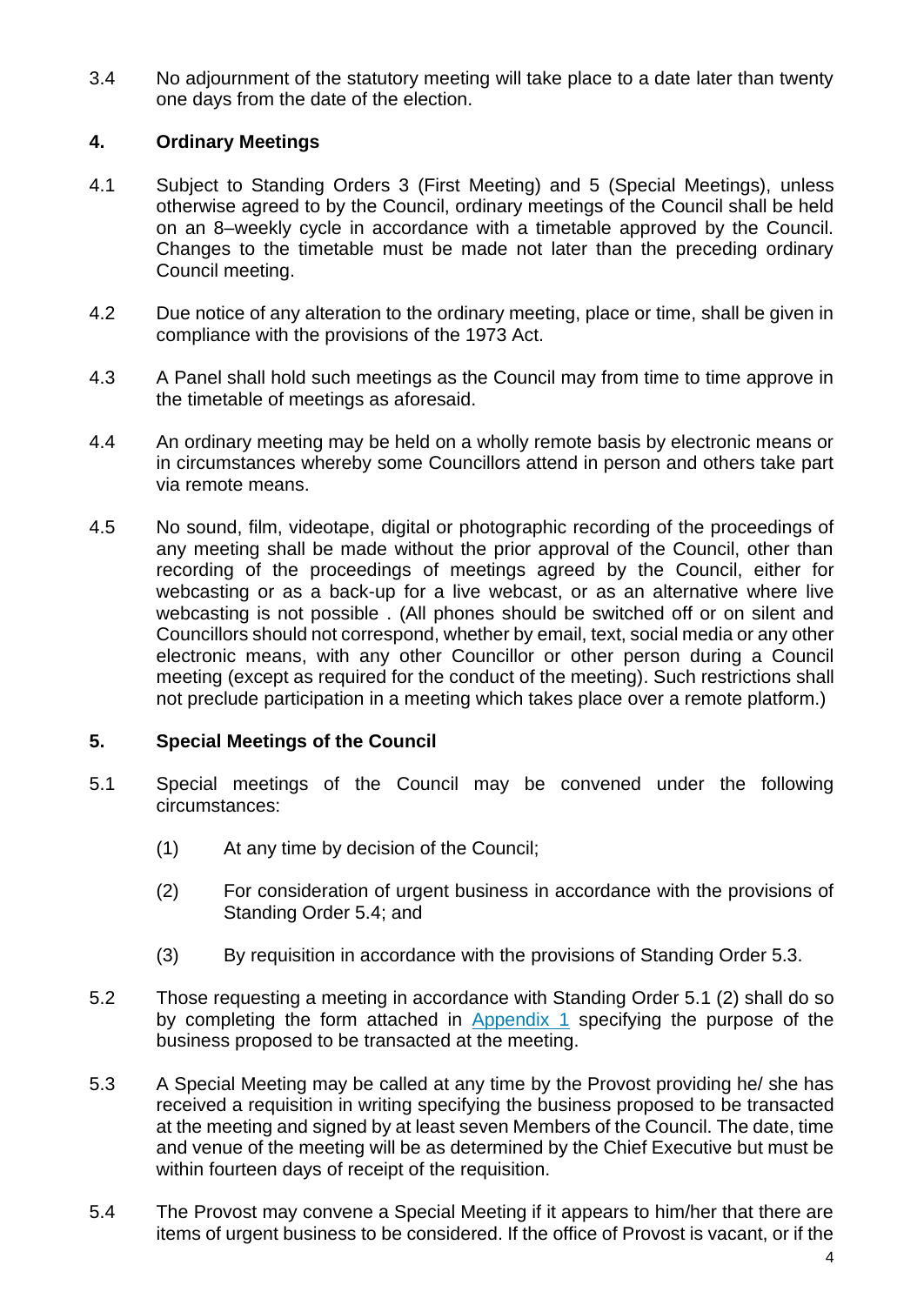3.4 No adjournment of the statutory meeting will take place to a date later than twenty one days from the date of the election.

#### <span id="page-7-0"></span>**4. Ordinary Meetings**

- 4.1 Subject to Standing Orders 3 (First Meeting) and 5 (Special Meetings), unless otherwise agreed to by the Council, ordinary meetings of the Council shall be held on an 8–weekly cycle in accordance with a timetable approved by the Council. Changes to the timetable must be made not later than the preceding ordinary Council meeting.
- 4.2 Due notice of any alteration to the ordinary meeting, place or time, shall be given in compliance with the provisions of the 1973 Act.
- 4.3 A Panel shall hold such meetings as the Council may from time to time approve in the timetable of meetings as aforesaid.
- 4.4 An ordinary meeting may be held on a wholly remote basis by electronic means or in circumstances whereby some Councillors attend in person and others take part via remote means.
- 4.5 No sound, film, videotape, digital or photographic recording of the proceedings of any meeting shall be made without the prior approval of the Council, other than recording of the proceedings of meetings agreed by the Council, either for webcasting or as a back-up for a live webcast, or as an alternative where live webcasting is not possible . (All phones should be switched off or on silent and Councillors should not correspond, whether by email, text, social media or any other electronic means, with any other Councillor or other person during a Council meeting (except as required for the conduct of the meeting). Such restrictions shall not preclude participation in a meeting which takes place over a remote platform.)

#### <span id="page-7-1"></span>**5. Special Meetings of the Council**

- 5.1 Special meetings of the Council may be convened under the following circumstances:
	- (1) At any time by decision of the Council;
	- (2) For consideration of urgent business in accordance with the provisions of Standing Order 5.4; and
	- (3) By requisition in accordance with the provisions of Standing Order 5.3.
- 5.2 Those requesting a meeting in accordance with Standing Order 5.1 (2) shall do so by completing the form attached in [Appendix 1](#page-36-0) specifying the purpose of the business proposed to be transacted at the meeting.
- 5.3 A Special Meeting may be called at any time by the Provost providing he/ she has received a requisition in writing specifying the business proposed to be transacted at the meeting and signed by at least seven Members of the Council. The date, time and venue of the meeting will be as determined by the Chief Executive but must be within fourteen days of receipt of the requisition.
- 5.4 The Provost may convene a Special Meeting if it appears to him/her that there are items of urgent business to be considered. If the office of Provost is vacant, or if the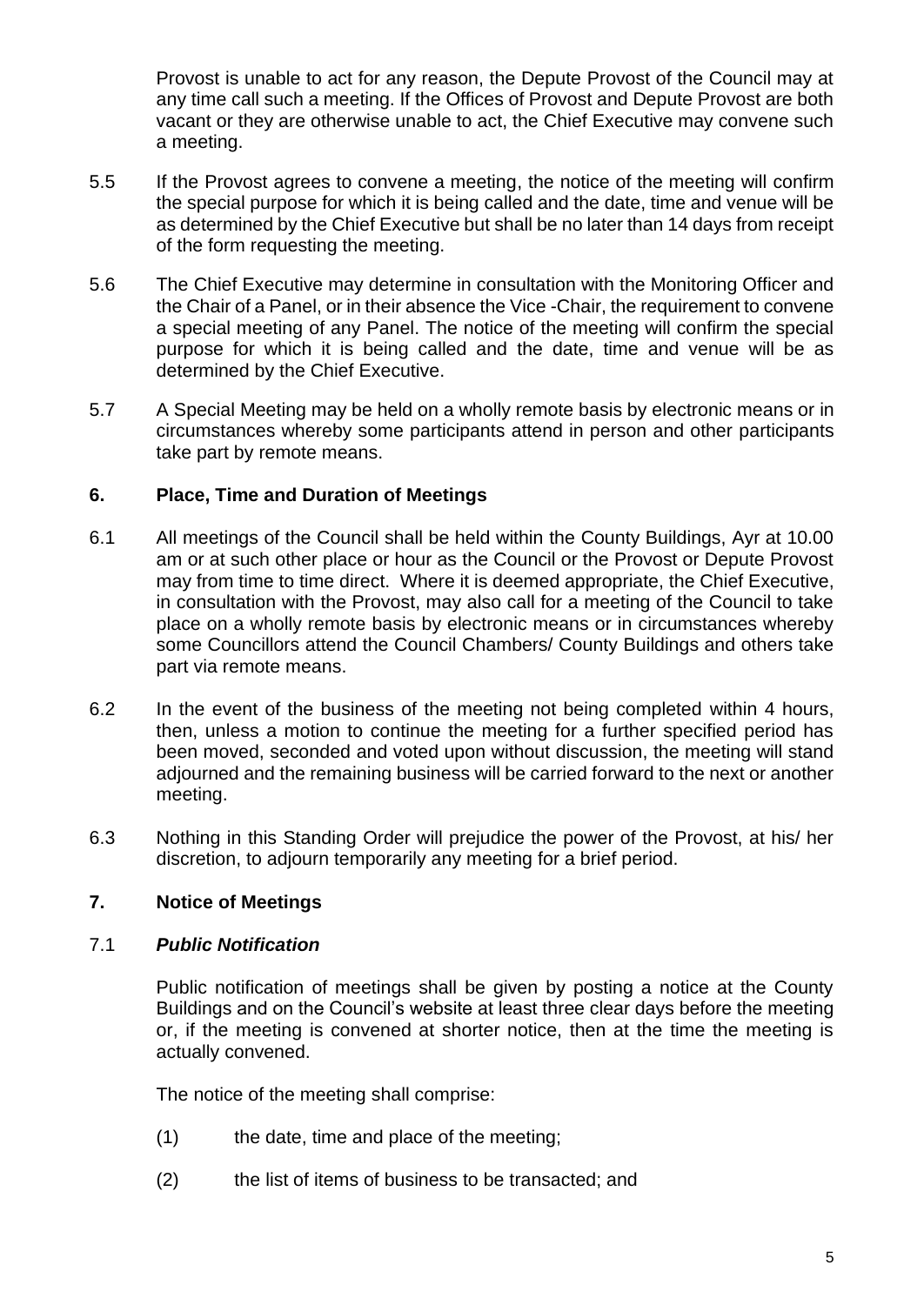Provost is unable to act for any reason, the Depute Provost of the Council may at any time call such a meeting. If the Offices of Provost and Depute Provost are both vacant or they are otherwise unable to act, the Chief Executive may convene such a meeting.

- 5.5 If the Provost agrees to convene a meeting, the notice of the meeting will confirm the special purpose for which it is being called and the date, time and venue will be as determined by the Chief Executive but shall be no later than 14 days from receipt of the form requesting the meeting.
- 5.6 The Chief Executive may determine in consultation with the Monitoring Officer and the Chair of a Panel, or in their absence the Vice -Chair, the requirement to convene a special meeting of any Panel. The notice of the meeting will confirm the special purpose for which it is being called and the date, time and venue will be as determined by the Chief Executive.
- 5.7 A Special Meeting may be held on a wholly remote basis by electronic means or in circumstances whereby some participants attend in person and other participants take part by remote means.

## <span id="page-8-0"></span>**6. Place, Time and Duration of Meetings**

- 6.1 All meetings of the Council shall be held within the County Buildings, Ayr at 10.00 am or at such other place or hour as the Council or the Provost or Depute Provost may from time to time direct. Where it is deemed appropriate, the Chief Executive, in consultation with the Provost, may also call for a meeting of the Council to take place on a wholly remote basis by electronic means or in circumstances whereby some Councillors attend the Council Chambers/ County Buildings and others take part via remote means.
- 6.2 In the event of the business of the meeting not being completed within 4 hours, then, unless a motion to continue the meeting for a further specified period has been moved, seconded and voted upon without discussion, the meeting will stand adjourned and the remaining business will be carried forward to the next or another meeting.
- 6.3 Nothing in this Standing Order will prejudice the power of the Provost, at his/ her discretion, to adjourn temporarily any meeting for a brief period.

## <span id="page-8-1"></span>**7. Notice of Meetings**

#### 7.1 *Public Notification*

Public notification of meetings shall be given by posting a notice at the County Buildings and on the Council's website at least three clear days before the meeting or, if the meeting is convened at shorter notice, then at the time the meeting is actually convened.

The notice of the meeting shall comprise:

- (1) the date, time and place of the meeting;
- (2) the list of items of business to be transacted; and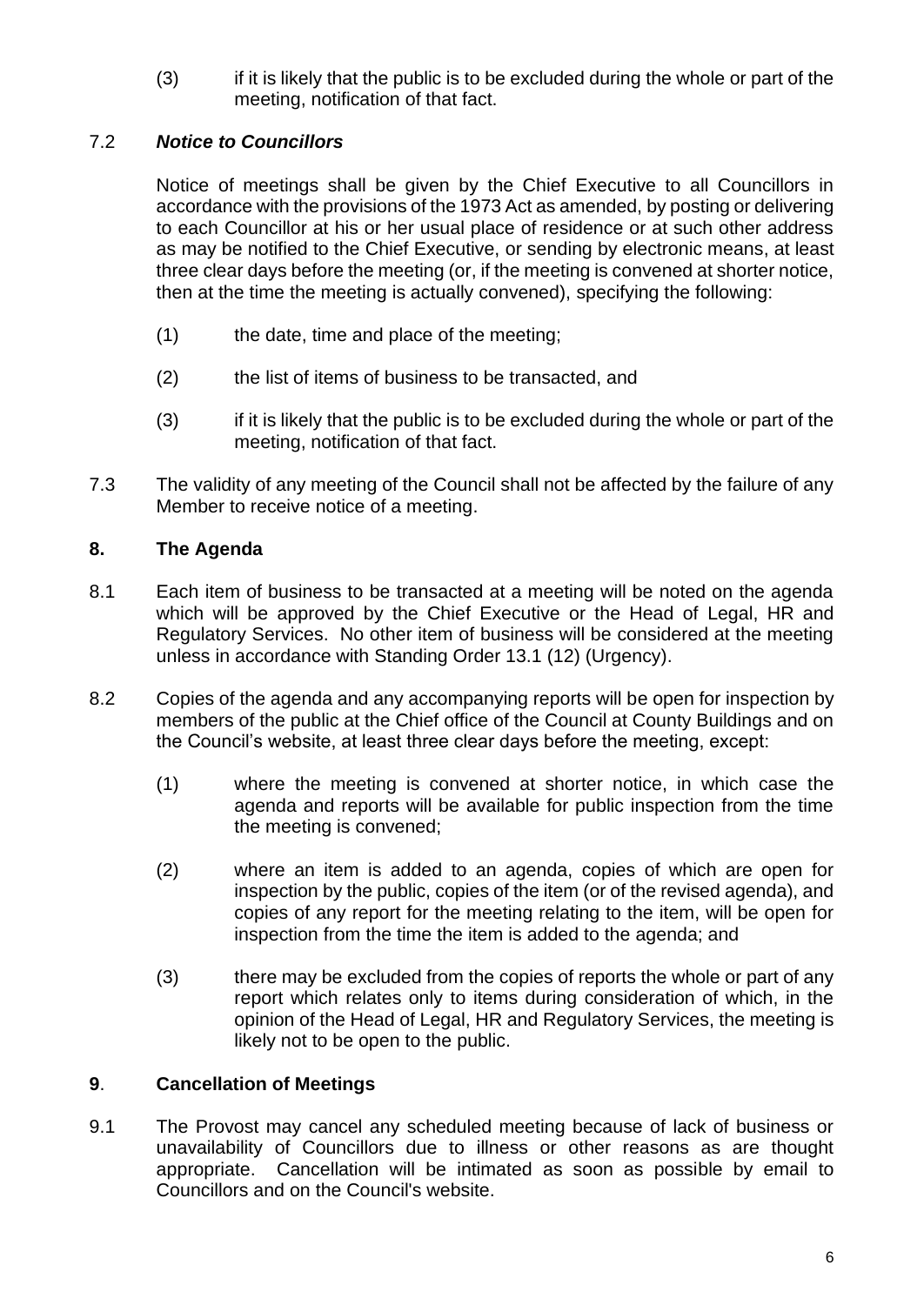(3) if it is likely that the public is to be excluded during the whole or part of the meeting, notification of that fact.

## 7.2 *Notice to Councillors*

Notice of meetings shall be given by the Chief Executive to all Councillors in accordance with the provisions of the 1973 Act as amended, by posting or delivering to each Councillor at his or her usual place of residence or at such other address as may be notified to the Chief Executive, or sending by electronic means, at least three clear days before the meeting (or, if the meeting is convened at shorter notice, then at the time the meeting is actually convened), specifying the following:

- (1) the date, time and place of the meeting;
- (2) the list of items of business to be transacted, and
- (3) if it is likely that the public is to be excluded during the whole or part of the meeting, notification of that fact.
- 7.3 The validity of any meeting of the Council shall not be affected by the failure of any Member to receive notice of a meeting.

## <span id="page-9-0"></span>**8. The Agenda**

- 8.1 Each item of business to be transacted at a meeting will be noted on the agenda which will be approved by the Chief Executive or the Head of Legal, HR and Regulatory Services. No other item of business will be considered at the meeting unless in accordance with Standing Order 13.1 (12) (Urgency).
- 8.2 Copies of the agenda and any accompanying reports will be open for inspection by members of the public at the Chief office of the Council at County Buildings and on the Council's website, at least three clear days before the meeting, except:
	- (1) where the meeting is convened at shorter notice, in which case the agenda and reports will be available for public inspection from the time the meeting is convened;
	- (2) where an item is added to an agenda, copies of which are open for inspection by the public, copies of the item (or of the revised agenda), and copies of any report for the meeting relating to the item, will be open for inspection from the time the item is added to the agenda; and
	- (3) there may be excluded from the copies of reports the whole or part of any report which relates only to items during consideration of which, in the opinion of the Head of Legal, HR and Regulatory Services, the meeting is likely not to be open to the public.

## <span id="page-9-1"></span>**9**. **Cancellation of Meetings**

9.1 The Provost may cancel any scheduled meeting because of lack of business or unavailability of Councillors due to illness or other reasons as are thought appropriate. Cancellation will be intimated as soon as possible by email to Councillors and on the Council's website.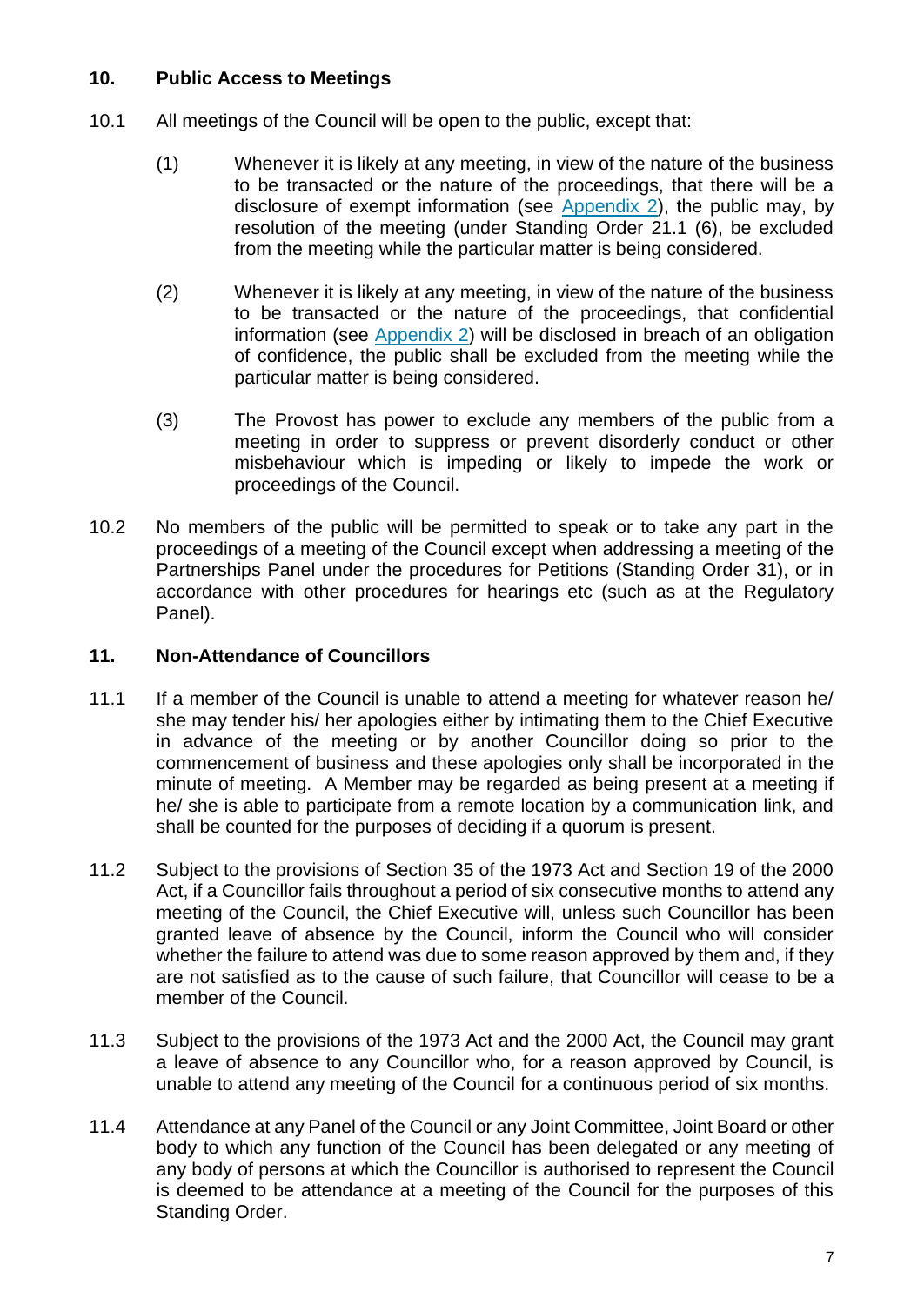## <span id="page-10-0"></span>**10. Public Access to Meetings**

- 10.1 All meetings of the Council will be open to the public, except that:
	- (1) Whenever it is likely at any meeting, in view of the nature of the business to be transacted or the nature of the proceedings, that there will be a disclosure of exempt information (see [Appendix 2\)](#page-37-0), the public may, by resolution of the meeting (under Standing Order 21.1 (6), be excluded from the meeting while the particular matter is being considered.
	- (2) Whenever it is likely at any meeting, in view of the nature of the business to be transacted or the nature of the proceedings, that confidential information (see [Appendix 2\)](#page-37-0) will be disclosed in breach of an obligation of confidence, the public shall be excluded from the meeting while the particular matter is being considered.
	- (3) The Provost has power to exclude any members of the public from a meeting in order to suppress or prevent disorderly conduct or other misbehaviour which is impeding or likely to impede the work or proceedings of the Council.
- 10.2 No members of the public will be permitted to speak or to take any part in the proceedings of a meeting of the Council except when addressing a meeting of the Partnerships Panel under the procedures for Petitions (Standing Order 31), or in accordance with other procedures for hearings etc (such as at the Regulatory Panel).

## <span id="page-10-1"></span>**11. Non-Attendance of Councillors**

- 11.1 If a member of the Council is unable to attend a meeting for whatever reason he/ she may tender his/ her apologies either by intimating them to the Chief Executive in advance of the meeting or by another Councillor doing so prior to the commencement of business and these apologies only shall be incorporated in the minute of meeting. A Member may be regarded as being present at a meeting if he/ she is able to participate from a remote location by a communication link, and shall be counted for the purposes of deciding if a quorum is present.
- 11.2 Subject to the provisions of Section 35 of the 1973 Act and Section 19 of the 2000 Act, if a Councillor fails throughout a period of six consecutive months to attend any meeting of the Council, the Chief Executive will, unless such Councillor has been granted leave of absence by the Council, inform the Council who will consider whether the failure to attend was due to some reason approved by them and, if they are not satisfied as to the cause of such failure, that Councillor will cease to be a member of the Council.
- 11.3 Subject to the provisions of the 1973 Act and the 2000 Act, the Council may grant a leave of absence to any Councillor who, for a reason approved by Council, is unable to attend any meeting of the Council for a continuous period of six months.
- 11.4 Attendance at any Panel of the Council or any Joint Committee, Joint Board or other body to which any function of the Council has been delegated or any meeting of any body of persons at which the Councillor is authorised to represent the Council is deemed to be attendance at a meeting of the Council for the purposes of this Standing Order.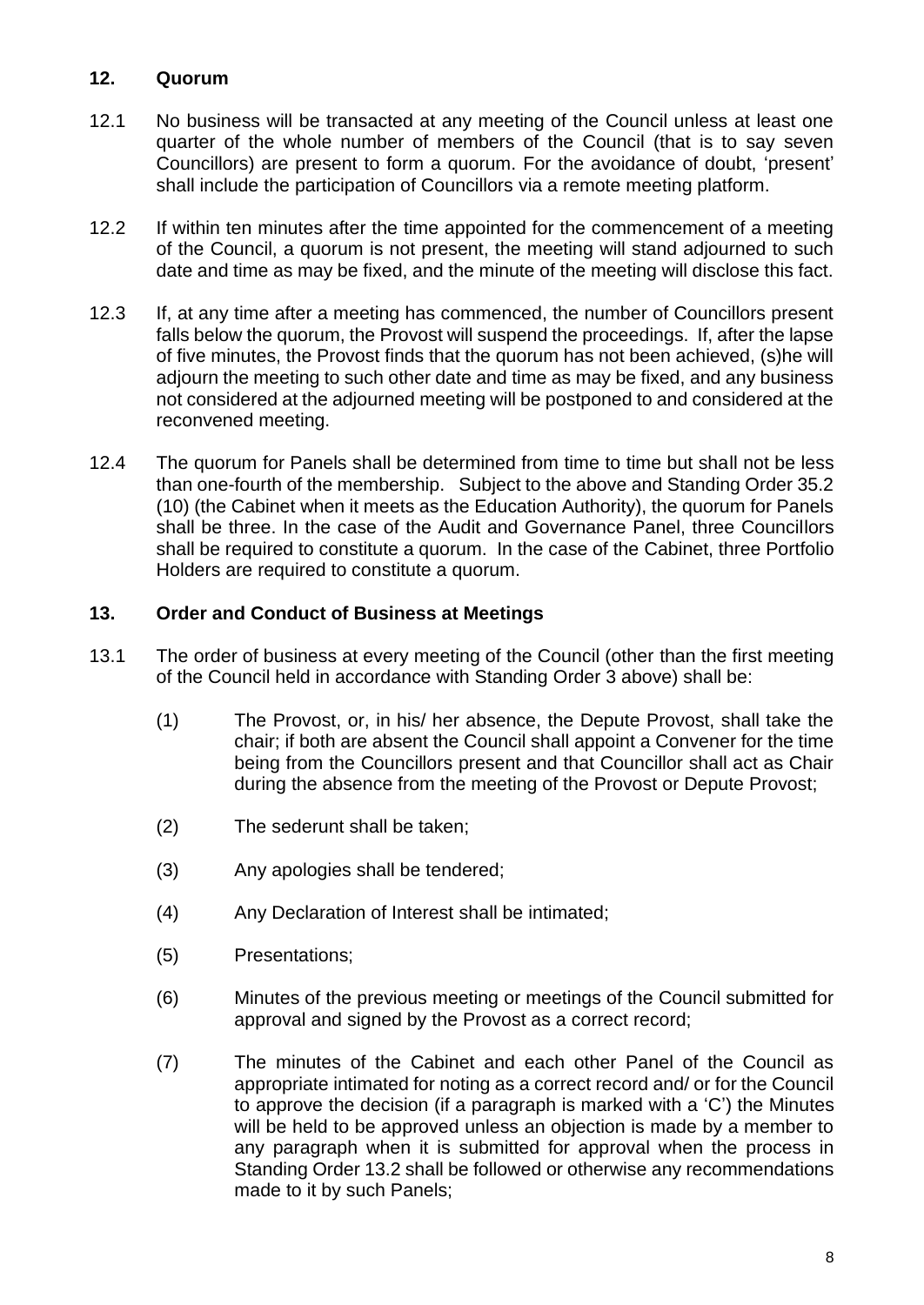## <span id="page-11-0"></span>**12. Quorum**

- 12.1 No business will be transacted at any meeting of the Council unless at least one quarter of the whole number of members of the Council (that is to say seven Councillors) are present to form a quorum. For the avoidance of doubt, 'present' shall include the participation of Councillors via a remote meeting platform.
- 12.2 If within ten minutes after the time appointed for the commencement of a meeting of the Council, a quorum is not present, the meeting will stand adjourned to such date and time as may be fixed, and the minute of the meeting will disclose this fact.
- 12.3 If, at any time after a meeting has commenced, the number of Councillors present falls below the quorum, the Provost will suspend the proceedings. If, after the lapse of five minutes, the Provost finds that the quorum has not been achieved, (s)he will adjourn the meeting to such other date and time as may be fixed, and any business not considered at the adjourned meeting will be postponed to and considered at the reconvened meeting.
- 12.4 The quorum for Panels shall be determined from time to time but shall not be less than one-fourth of the membership. Subject to the above and Standing Order 35.2 (10) (the Cabinet when it meets as the Education Authority), the quorum for Panels shall be three. In the case of the Audit and Governance Panel, three Councillors shall be required to constitute a quorum. In the case of the Cabinet, three Portfolio Holders are required to constitute a quorum.

## <span id="page-11-1"></span>**13. Order and Conduct of Business at Meetings**

- 13.1 The order of business at every meeting of the Council (other than the first meeting of the Council held in accordance with Standing Order 3 above) shall be:
	- (1) The Provost, or, in his/ her absence, the Depute Provost, shall take the chair; if both are absent the Council shall appoint a Convener for the time being from the Councillors present and that Councillor shall act as Chair during the absence from the meeting of the Provost or Depute Provost;
	- (2) The sederunt shall be taken;
	- (3) Any apologies shall be tendered;
	- (4) Any Declaration of Interest shall be intimated;
	- (5) Presentations;
	- (6) Minutes of the previous meeting or meetings of the Council submitted for approval and signed by the Provost as a correct record;
	- (7) The minutes of the Cabinet and each other Panel of the Council as appropriate intimated for noting as a correct record and/ or for the Council to approve the decision (if a paragraph is marked with a 'C') the Minutes will be held to be approved unless an objection is made by a member to any paragraph when it is submitted for approval when the process in Standing Order 13.2 shall be followed or otherwise any recommendations made to it by such Panels;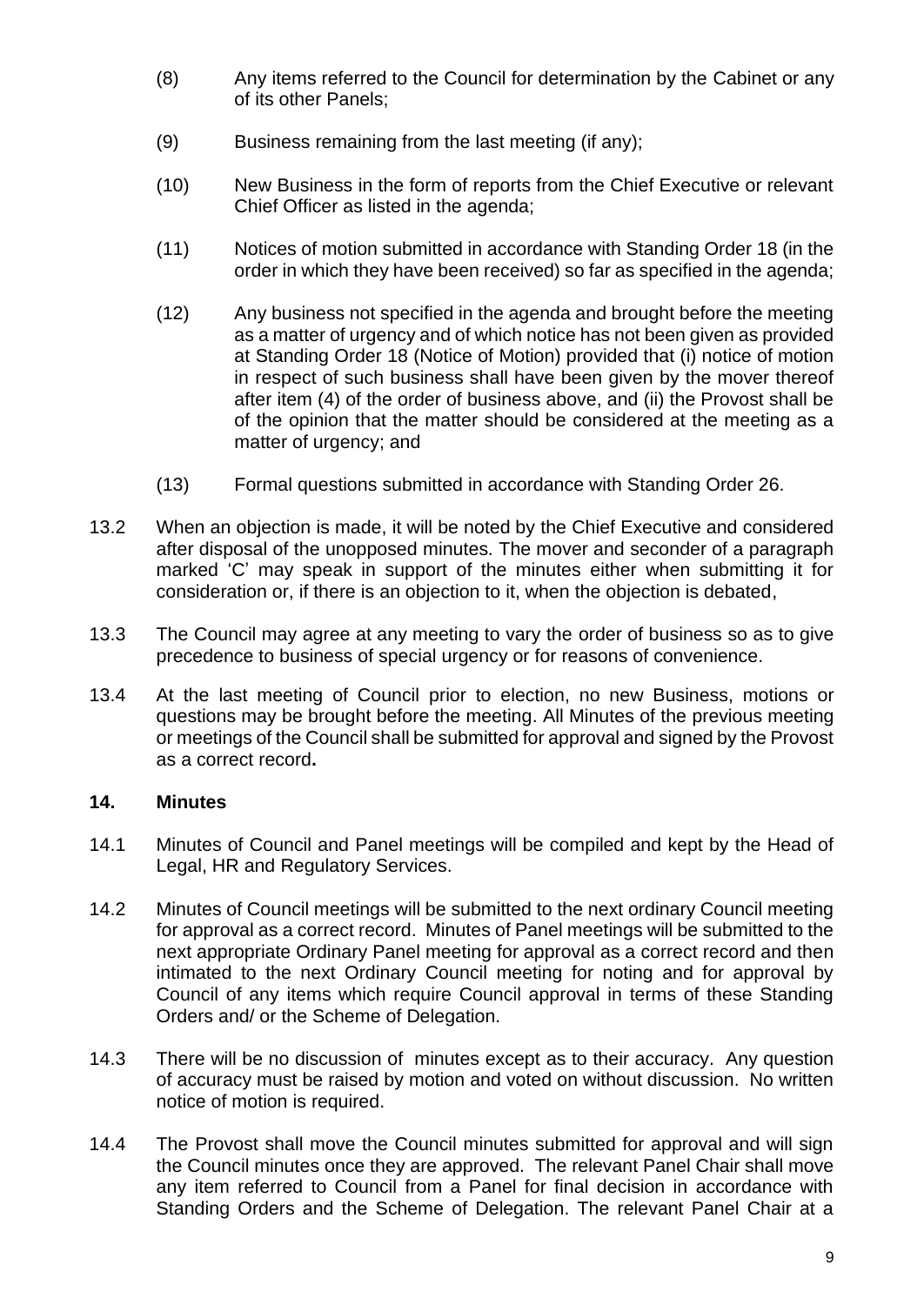- (8) Any items referred to the Council for determination by the Cabinet or any of its other Panels;
- (9) Business remaining from the last meeting (if any);
- (10) New Business in the form of reports from the Chief Executive or relevant Chief Officer as listed in the agenda;
- (11) Notices of motion submitted in accordance with Standing Order 18 (in the order in which they have been received) so far as specified in the agenda;
- (12) Any business not specified in the agenda and brought before the meeting as a matter of urgency and of which notice has not been given as provided at Standing Order 18 (Notice of Motion) provided that (i) notice of motion in respect of such business shall have been given by the mover thereof after item (4) of the order of business above, and (ii) the Provost shall be of the opinion that the matter should be considered at the meeting as a matter of urgency; and
- (13) Formal questions submitted in accordance with Standing Order 26.
- 13.2 When an objection is made, it will be noted by the Chief Executive and considered after disposal of the unopposed minutes. The mover and seconder of a paragraph marked 'C' may speak in support of the minutes either when submitting it for consideration or, if there is an objection to it, when the objection is debated,
- 13.3 The Council may agree at any meeting to vary the order of business so as to give precedence to business of special urgency or for reasons of convenience.
- 13.4 At the last meeting of Council prior to election, no new Business, motions or questions may be brought before the meeting. All Minutes of the previous meeting or meetings of the Council shall be submitted for approval and signed by the Provost as a correct record**.**

#### <span id="page-12-0"></span>**14. Minutes**

- 14.1 Minutes of Council and Panel meetings will be compiled and kept by the Head of Legal, HR and Regulatory Services.
- 14.2 Minutes of Council meetings will be submitted to the next ordinary Council meeting for approval as a correct record. Minutes of Panel meetings will be submitted to the next appropriate Ordinary Panel meeting for approval as a correct record and then intimated to the next Ordinary Council meeting for noting and for approval by Council of any items which require Council approval in terms of these Standing Orders and/ or the Scheme of Delegation.
- 14.3 There will be no discussion of minutes except as to their accuracy. Any question of accuracy must be raised by motion and voted on without discussion. No written notice of motion is required.
- 14.4 The Provost shall move the Council minutes submitted for approval and will sign the Council minutes once they are approved. The relevant Panel Chair shall move any item referred to Council from a Panel for final decision in accordance with Standing Orders and the Scheme of Delegation. The relevant Panel Chair at a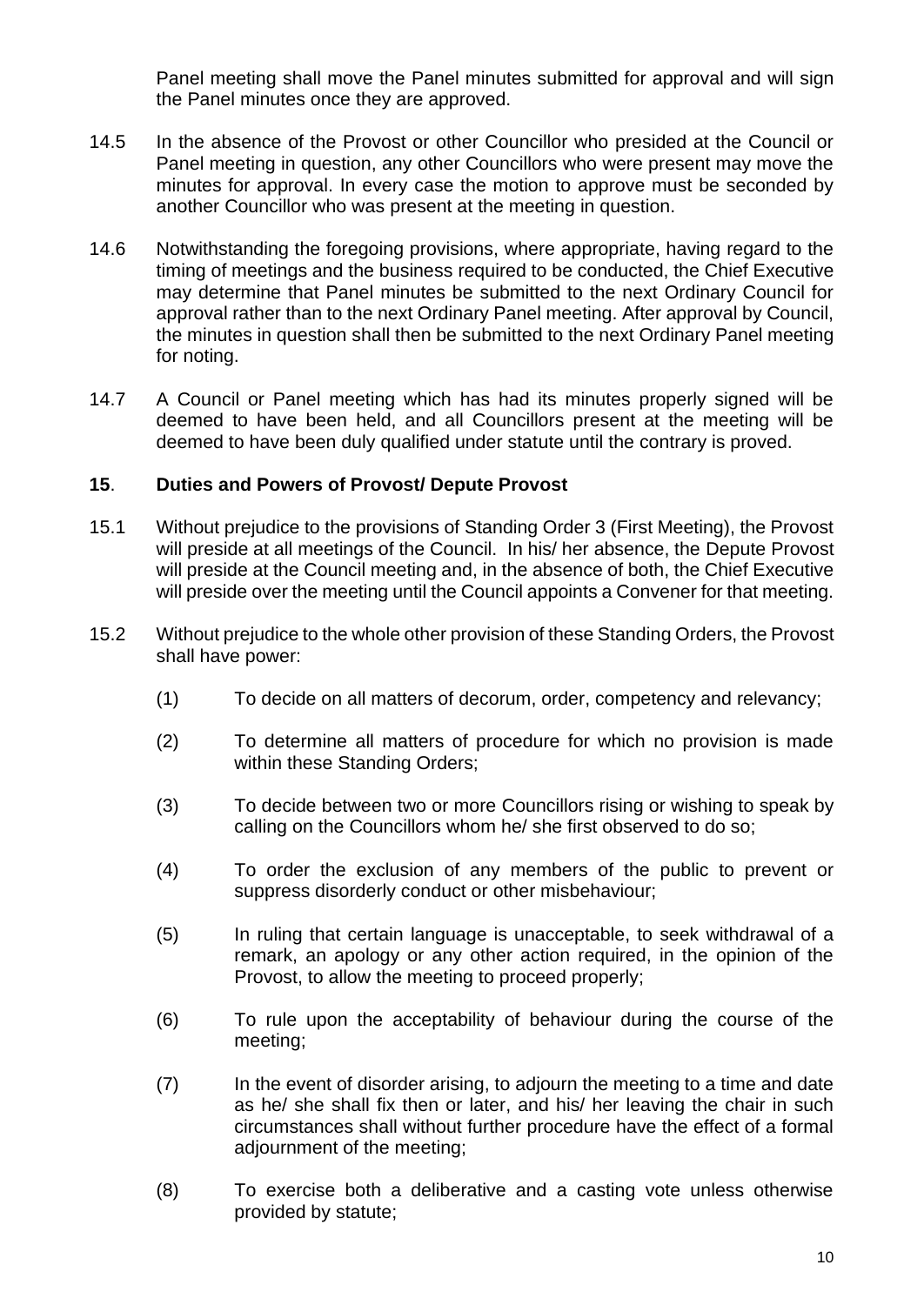Panel meeting shall move the Panel minutes submitted for approval and will sign the Panel minutes once they are approved.

- 14.5 In the absence of the Provost or other Councillor who presided at the Council or Panel meeting in question, any other Councillors who were present may move the minutes for approval. In every case the motion to approve must be seconded by another Councillor who was present at the meeting in question.
- 14.6 Notwithstanding the foregoing provisions, where appropriate, having regard to the timing of meetings and the business required to be conducted, the Chief Executive may determine that Panel minutes be submitted to the next Ordinary Council for approval rather than to the next Ordinary Panel meeting. After approval by Council, the minutes in question shall then be submitted to the next Ordinary Panel meeting for noting.
- 14.7 A Council or Panel meeting which has had its minutes properly signed will be deemed to have been held, and all Councillors present at the meeting will be deemed to have been duly qualified under statute until the contrary is proved.

#### <span id="page-13-0"></span>**15**. **Duties and Powers of Provost/ Depute Provost**

- 15.1 Without prejudice to the provisions of Standing Order 3 (First Meeting), the Provost will preside at all meetings of the Council. In his/ her absence, the Depute Provost will preside at the Council meeting and, in the absence of both, the Chief Executive will preside over the meeting until the Council appoints a Convener for that meeting.
- 15.2 Without prejudice to the whole other provision of these Standing Orders, the Provost shall have power:
	- (1) To decide on all matters of decorum, order, competency and relevancy;
	- (2) To determine all matters of procedure for which no provision is made within these Standing Orders;
	- (3) To decide between two or more Councillors rising or wishing to speak by calling on the Councillors whom he/ she first observed to do so;
	- (4) To order the exclusion of any members of the public to prevent or suppress disorderly conduct or other misbehaviour;
	- (5) In ruling that certain language is unacceptable, to seek withdrawal of a remark, an apology or any other action required, in the opinion of the Provost, to allow the meeting to proceed properly;
	- (6) To rule upon the acceptability of behaviour during the course of the meeting;
	- (7) In the event of disorder arising, to adjourn the meeting to a time and date as he/ she shall fix then or later, and his/ her leaving the chair in such circumstances shall without further procedure have the effect of a formal adjournment of the meeting;
	- (8) To exercise both a deliberative and a casting vote unless otherwise provided by statute;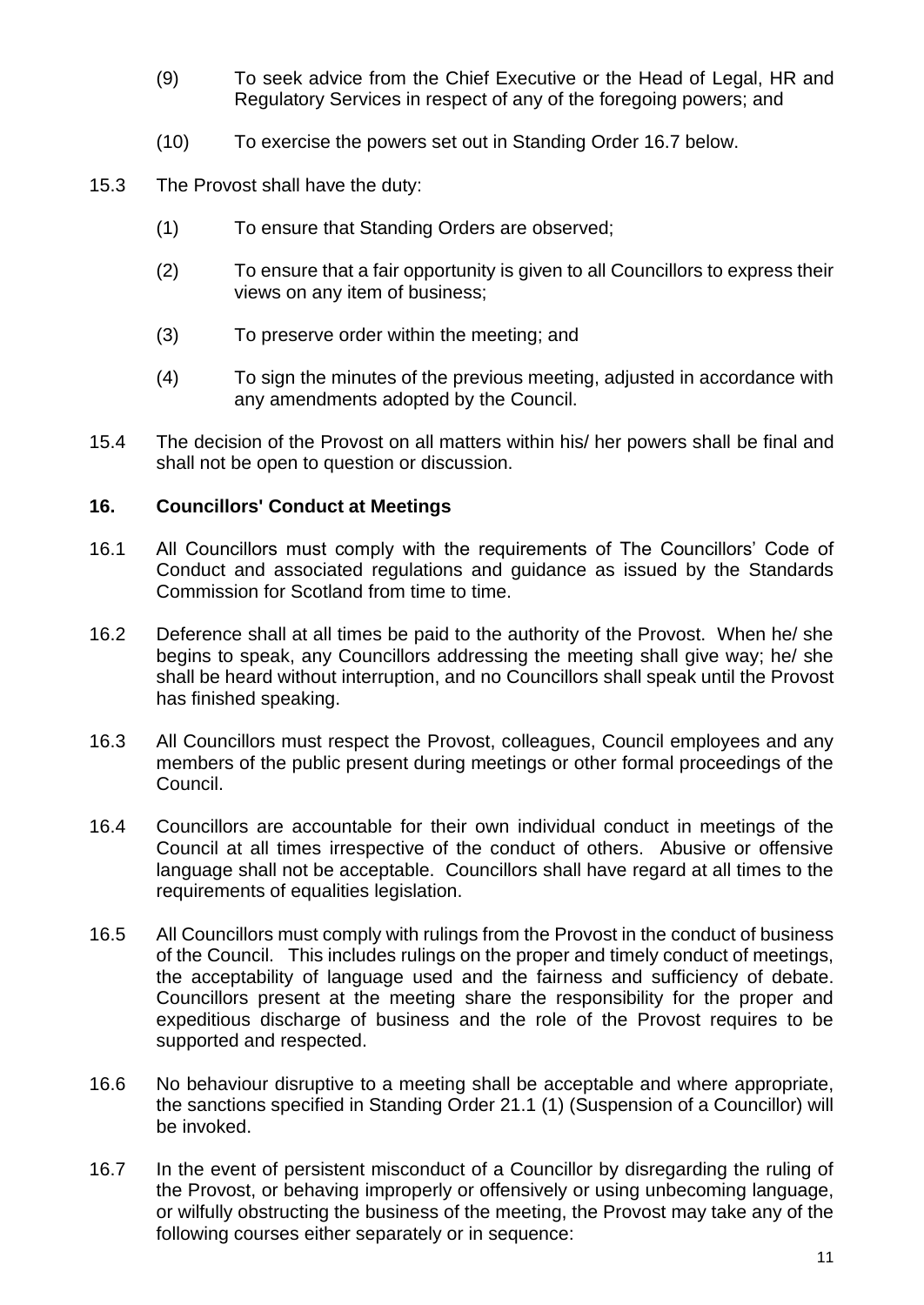- (9) To seek advice from the Chief Executive or the Head of Legal, HR and Regulatory Services in respect of any of the foregoing powers; and
- (10) To exercise the powers set out in Standing Order 16.7 below.
- 15.3 The Provost shall have the duty:
	- (1) To ensure that Standing Orders are observed;
	- (2) To ensure that a fair opportunity is given to all Councillors to express their views on any item of business;
	- (3) To preserve order within the meeting; and
	- (4) To sign the minutes of the previous meeting, adjusted in accordance with any amendments adopted by the Council.
- 15.4 The decision of the Provost on all matters within his/ her powers shall be final and shall not be open to question or discussion.

#### <span id="page-14-0"></span>**16. Councillors' Conduct at Meetings**

- 16.1 All Councillors must comply with the requirements of The Councillors' Code of Conduct and associated regulations and guidance as issued by the Standards Commission for Scotland from time to time.
- 16.2 Deference shall at all times be paid to the authority of the Provost. When he/ she begins to speak, any Councillors addressing the meeting shall give way; he/ she shall be heard without interruption, and no Councillors shall speak until the Provost has finished speaking.
- 16.3 All Councillors must respect the Provost, colleagues, Council employees and any members of the public present during meetings or other formal proceedings of the Council.
- 16.4 Councillors are accountable for their own individual conduct in meetings of the Council at all times irrespective of the conduct of others. Abusive or offensive language shall not be acceptable. Councillors shall have regard at all times to the requirements of equalities legislation.
- 16.5 All Councillors must comply with rulings from the Provost in the conduct of business of the Council. This includes rulings on the proper and timely conduct of meetings, the acceptability of language used and the fairness and sufficiency of debate. Councillors present at the meeting share the responsibility for the proper and expeditious discharge of business and the role of the Provost requires to be supported and respected.
- 16.6 No behaviour disruptive to a meeting shall be acceptable and where appropriate, the sanctions specified in Standing Order 21.1 (1) (Suspension of a Councillor) will be invoked.
- 16.7 In the event of persistent misconduct of a Councillor by disregarding the ruling of the Provost, or behaving improperly or offensively or using unbecoming language, or wilfully obstructing the business of the meeting, the Provost may take any of the following courses either separately or in sequence: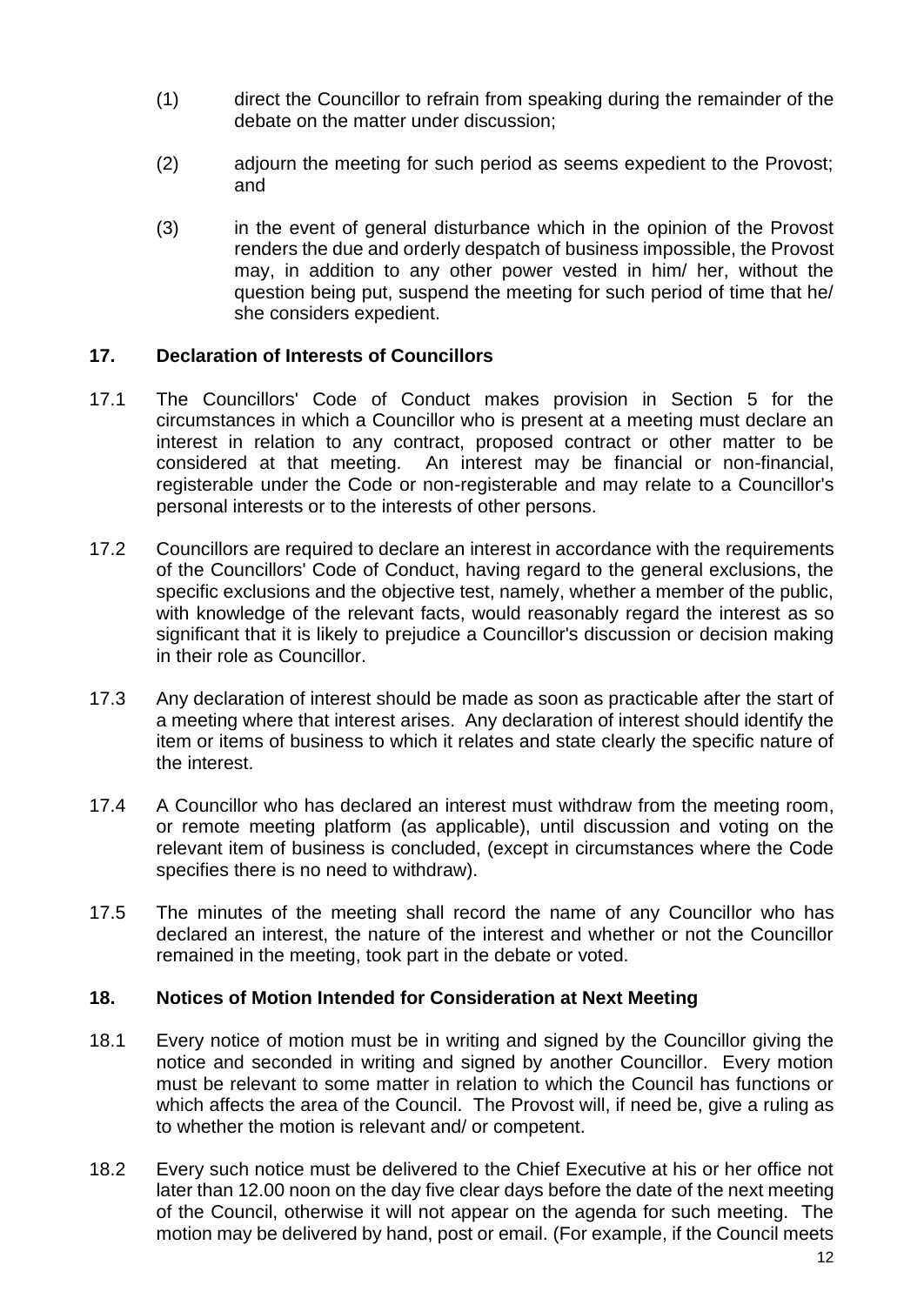- (1) direct the Councillor to refrain from speaking during the remainder of the debate on the matter under discussion;
- (2) adjourn the meeting for such period as seems expedient to the Provost; and
- (3) in the event of general disturbance which in the opinion of the Provost renders the due and orderly despatch of business impossible, the Provost may, in addition to any other power vested in him/ her, without the question being put, suspend the meeting for such period of time that he/ she considers expedient.

#### <span id="page-15-0"></span>**17. Declaration of Interests of Councillors**

- 17.1 The Councillors' Code of Conduct makes provision in Section 5 for the circumstances in which a Councillor who is present at a meeting must declare an interest in relation to any contract, proposed contract or other matter to be considered at that meeting. An interest may be financial or non-financial, registerable under the Code or non-registerable and may relate to a Councillor's personal interests or to the interests of other persons.
- 17.2 Councillors are required to declare an interest in accordance with the requirements of the Councillors' Code of Conduct, having regard to the general exclusions, the specific exclusions and the objective test, namely, whether a member of the public, with knowledge of the relevant facts, would reasonably regard the interest as so significant that it is likely to prejudice a Councillor's discussion or decision making in their role as Councillor.
- 17.3 Any declaration of interest should be made as soon as practicable after the start of a meeting where that interest arises. Any declaration of interest should identify the item or items of business to which it relates and state clearly the specific nature of the interest.
- 17.4 A Councillor who has declared an interest must withdraw from the meeting room, or remote meeting platform (as applicable), until discussion and voting on the relevant item of business is concluded, (except in circumstances where the Code specifies there is no need to withdraw).
- 17.5 The minutes of the meeting shall record the name of any Councillor who has declared an interest, the nature of the interest and whether or not the Councillor remained in the meeting, took part in the debate or voted.

#### <span id="page-15-1"></span>**18. Notices of Motion Intended for Consideration at Next Meeting**

- 18.1 Every notice of motion must be in writing and signed by the Councillor giving the notice and seconded in writing and signed by another Councillor. Every motion must be relevant to some matter in relation to which the Council has functions or which affects the area of the Council. The Provost will, if need be, give a ruling as to whether the motion is relevant and/ or competent.
- 18.2 Every such notice must be delivered to the Chief Executive at his or her office not later than 12.00 noon on the day five clear days before the date of the next meeting of the Council, otherwise it will not appear on the agenda for such meeting. The motion may be delivered by hand, post or email. (For example, if the Council meets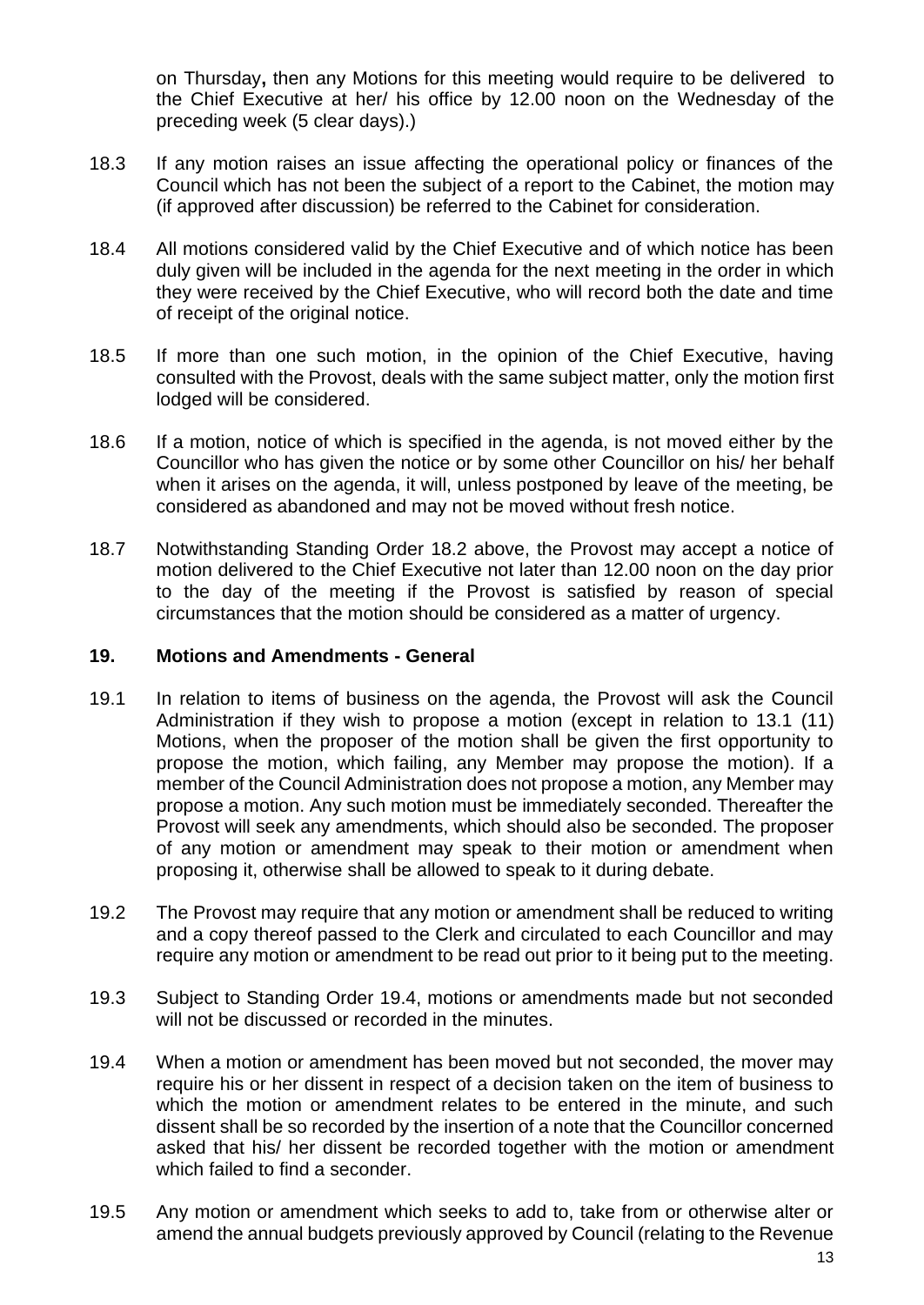on Thursday**,** then any Motions for this meeting would require to be delivered to the Chief Executive at her/ his office by 12.00 noon on the Wednesday of the preceding week (5 clear days).)

- 18.3 If any motion raises an issue affecting the operational policy or finances of the Council which has not been the subject of a report to the Cabinet, the motion may (if approved after discussion) be referred to the Cabinet for consideration.
- 18.4 All motions considered valid by the Chief Executive and of which notice has been duly given will be included in the agenda for the next meeting in the order in which they were received by the Chief Executive, who will record both the date and time of receipt of the original notice.
- 18.5 If more than one such motion, in the opinion of the Chief Executive, having consulted with the Provost, deals with the same subject matter, only the motion first lodged will be considered.
- 18.6 If a motion, notice of which is specified in the agenda, is not moved either by the Councillor who has given the notice or by some other Councillor on his/ her behalf when it arises on the agenda, it will, unless postponed by leave of the meeting, be considered as abandoned and may not be moved without fresh notice.
- 18.7 Notwithstanding Standing Order 18.2 above, the Provost may accept a notice of motion delivered to the Chief Executive not later than 12.00 noon on the day prior to the day of the meeting if the Provost is satisfied by reason of special circumstances that the motion should be considered as a matter of urgency.

#### <span id="page-16-0"></span>**19. Motions and Amendments - General**

- 19.1 In relation to items of business on the agenda, the Provost will ask the Council Administration if they wish to propose a motion (except in relation to 13.1 (11) Motions, when the proposer of the motion shall be given the first opportunity to propose the motion, which failing, any Member may propose the motion). If a member of the Council Administration does not propose a motion, any Member may propose a motion. Any such motion must be immediately seconded. Thereafter the Provost will seek any amendments, which should also be seconded. The proposer of any motion or amendment may speak to their motion or amendment when proposing it, otherwise shall be allowed to speak to it during debate.
- 19.2 The Provost may require that any motion or amendment shall be reduced to writing and a copy thereof passed to the Clerk and circulated to each Councillor and may require any motion or amendment to be read out prior to it being put to the meeting.
- 19.3 Subject to Standing Order 19.4, motions or amendments made but not seconded will not be discussed or recorded in the minutes.
- 19.4 When a motion or amendment has been moved but not seconded, the mover may require his or her dissent in respect of a decision taken on the item of business to which the motion or amendment relates to be entered in the minute, and such dissent shall be so recorded by the insertion of a note that the Councillor concerned asked that his/ her dissent be recorded together with the motion or amendment which failed to find a seconder.
- 19.5 Any motion or amendment which seeks to add to, take from or otherwise alter or amend the annual budgets previously approved by Council (relating to the Revenue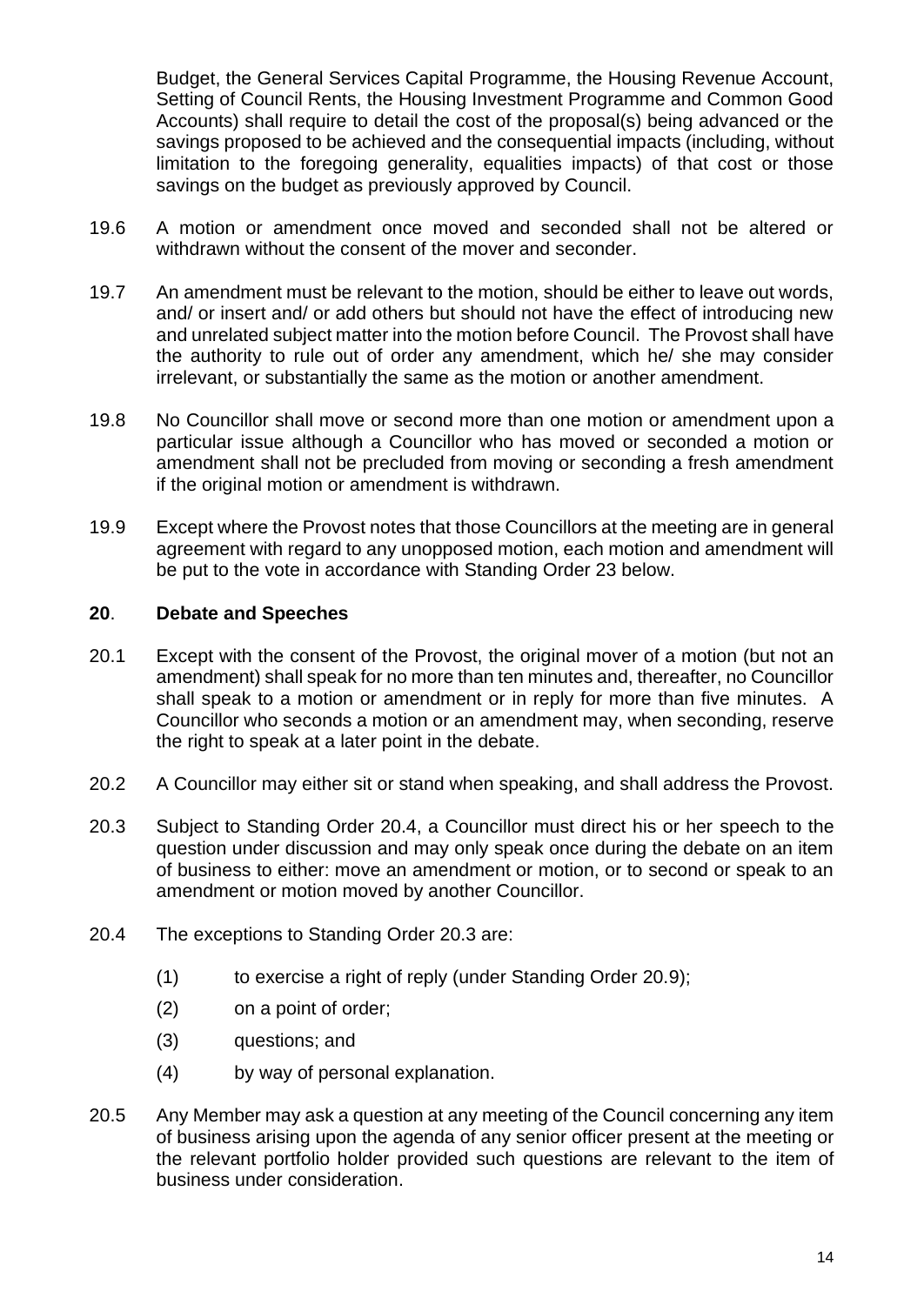Budget, the General Services Capital Programme, the Housing Revenue Account, Setting of Council Rents, the Housing Investment Programme and Common Good Accounts) shall require to detail the cost of the proposal(s) being advanced or the savings proposed to be achieved and the consequential impacts (including, without limitation to the foregoing generality, equalities impacts) of that cost or those savings on the budget as previously approved by Council.

- 19.6 A motion or amendment once moved and seconded shall not be altered or withdrawn without the consent of the mover and seconder.
- 19.7 An amendment must be relevant to the motion, should be either to leave out words, and/ or insert and/ or add others but should not have the effect of introducing new and unrelated subject matter into the motion before Council. The Provost shall have the authority to rule out of order any amendment, which he/ she may consider irrelevant, or substantially the same as the motion or another amendment.
- 19.8 No Councillor shall move or second more than one motion or amendment upon a particular issue although a Councillor who has moved or seconded a motion or amendment shall not be precluded from moving or seconding a fresh amendment if the original motion or amendment is withdrawn.
- 19.9 Except where the Provost notes that those Councillors at the meeting are in general agreement with regard to any unopposed motion, each motion and amendment will be put to the vote in accordance with Standing Order 23 below.

#### <span id="page-17-0"></span>**20**. **Debate and Speeches**

- 20.1 Except with the consent of the Provost, the original mover of a motion (but not an amendment) shall speak for no more than ten minutes and, thereafter, no Councillor shall speak to a motion or amendment or in reply for more than five minutes. A Councillor who seconds a motion or an amendment may, when seconding, reserve the right to speak at a later point in the debate.
- 20.2 A Councillor may either sit or stand when speaking, and shall address the Provost.
- 20.3 Subject to Standing Order 20.4, a Councillor must direct his or her speech to the question under discussion and may only speak once during the debate on an item of business to either: move an amendment or motion, or to second or speak to an amendment or motion moved by another Councillor.
- 20.4 The exceptions to Standing Order 20.3 are:
	- (1) to exercise a right of reply (under Standing Order 20.9);
	- (2) on a point of order;
	- (3) questions; and
	- (4) by way of personal explanation.
- 20.5 Any Member may ask a question at any meeting of the Council concerning any item of business arising upon the agenda of any senior officer present at the meeting or the relevant portfolio holder provided such questions are relevant to the item of business under consideration.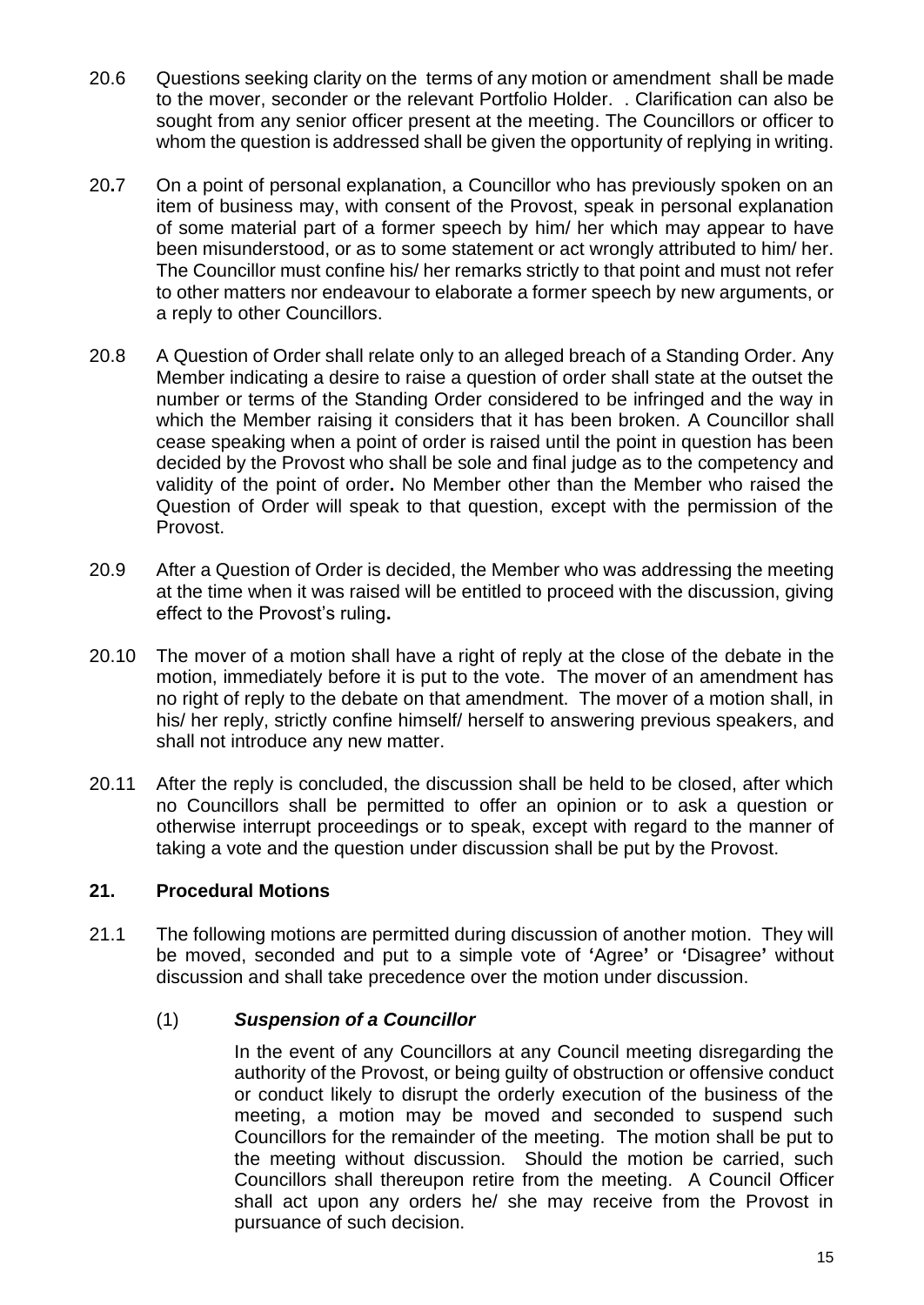- 20.6 Questions seeking clarity on the terms of any motion or amendment shall be made to the mover, seconder or the relevant Portfolio Holder. . Clarification can also be sought from any senior officer present at the meeting. The Councillors or officer to whom the question is addressed shall be given the opportunity of replying in writing.
- 20**.**7 On a point of personal explanation, a Councillor who has previously spoken on an item of business may, with consent of the Provost, speak in personal explanation of some material part of a former speech by him/ her which may appear to have been misunderstood, or as to some statement or act wrongly attributed to him/ her. The Councillor must confine his/ her remarks strictly to that point and must not refer to other matters nor endeavour to elaborate a former speech by new arguments, or a reply to other Councillors.
- 20.8 A Question of Order shall relate only to an alleged breach of a Standing Order. Any Member indicating a desire to raise a question of order shall state at the outset the number or terms of the Standing Order considered to be infringed and the way in which the Member raising it considers that it has been broken. A Councillor shall cease speaking when a point of order is raised until the point in question has been decided by the Provost who shall be sole and final judge as to the competency and validity of the point of order**.** No Member other than the Member who raised the Question of Order will speak to that question, except with the permission of the Provost.
- 20.9 After a Question of Order is decided, the Member who was addressing the meeting at the time when it was raised will be entitled to proceed with the discussion, giving effect to the Provost's ruling**.**
- 20.10 The mover of a motion shall have a right of reply at the close of the debate in the motion, immediately before it is put to the vote. The mover of an amendment has no right of reply to the debate on that amendment. The mover of a motion shall, in his/ her reply, strictly confine himself/ herself to answering previous speakers, and shall not introduce any new matter.
- 20.11 After the reply is concluded, the discussion shall be held to be closed, after which no Councillors shall be permitted to offer an opinion or to ask a question or otherwise interrupt proceedings or to speak, except with regard to the manner of taking a vote and the question under discussion shall be put by the Provost.

## <span id="page-18-0"></span>**21. Procedural Motions**

21.1 The following motions are permitted during discussion of another motion. They will be moved, seconded and put to a simple vote of **'**Agree**'** or **'**Disagree**'** without discussion and shall take precedence over the motion under discussion.

## (1) *Suspension of a Councillor*

In the event of any Councillors at any Council meeting disregarding the authority of the Provost, or being guilty of obstruction or offensive conduct or conduct likely to disrupt the orderly execution of the business of the meeting, a motion may be moved and seconded to suspend such Councillors for the remainder of the meeting. The motion shall be put to the meeting without discussion. Should the motion be carried, such Councillors shall thereupon retire from the meeting. A Council Officer shall act upon any orders he/ she may receive from the Provost in pursuance of such decision.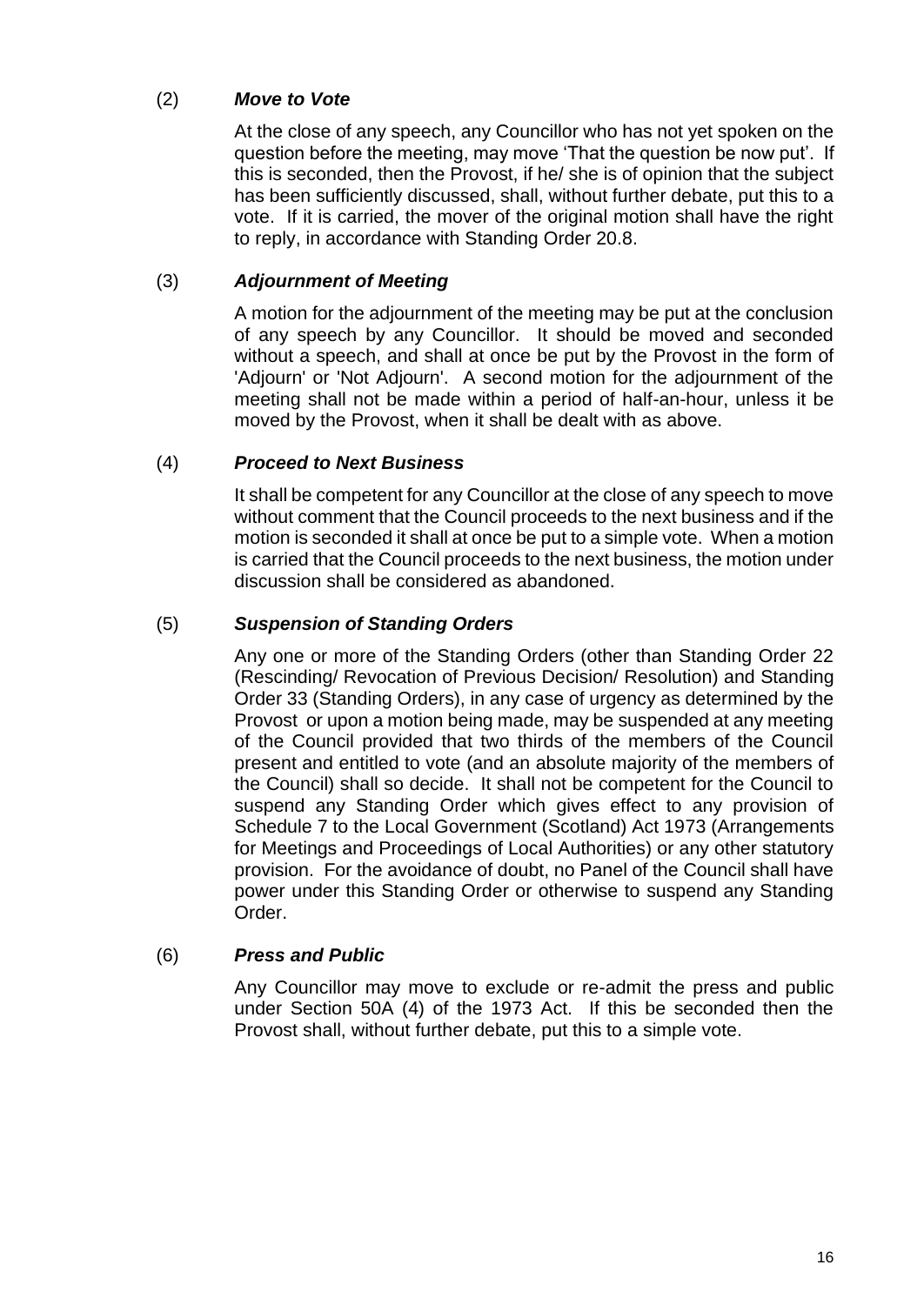## (2) *Move to Vote*

At the close of any speech, any Councillor who has not yet spoken on the question before the meeting, may move 'That the question be now put'. If this is seconded, then the Provost, if he/ she is of opinion that the subject has been sufficiently discussed, shall, without further debate, put this to a vote. If it is carried, the mover of the original motion shall have the right to reply, in accordance with Standing Order 20.8.

## (3) *Adjournment of Meeting*

A motion for the adjournment of the meeting may be put at the conclusion of any speech by any Councillor. It should be moved and seconded without a speech, and shall at once be put by the Provost in the form of 'Adjourn' or 'Not Adjourn'. A second motion for the adjournment of the meeting shall not be made within a period of half-an-hour, unless it be moved by the Provost, when it shall be dealt with as above.

## (4) *Proceed to Next Business*

It shall be competent for any Councillor at the close of any speech to move without comment that the Council proceeds to the next business and if the motion is seconded it shall at once be put to a simple vote. When a motion is carried that the Council proceeds to the next business, the motion under discussion shall be considered as abandoned.

## (5) *Suspension of Standing Orders*

Any one or more of the Standing Orders (other than Standing Order 22 (Rescinding/ Revocation of Previous Decision/ Resolution) and Standing Order 33 (Standing Orders), in any case of urgency as determined by the Provost or upon a motion being made, may be suspended at any meeting of the Council provided that two thirds of the members of the Council present and entitled to vote (and an absolute majority of the members of the Council) shall so decide. It shall not be competent for the Council to suspend any Standing Order which gives effect to any provision of Schedule 7 to the Local Government (Scotland) Act 1973 (Arrangements for Meetings and Proceedings of Local Authorities) or any other statutory provision. For the avoidance of doubt, no Panel of the Council shall have power under this Standing Order or otherwise to suspend any Standing Order.

## (6) *Press and Public*

Any Councillor may move to exclude or re-admit the press and public under Section 50A (4) of the 1973 Act. If this be seconded then the Provost shall, without further debate, put this to a simple vote.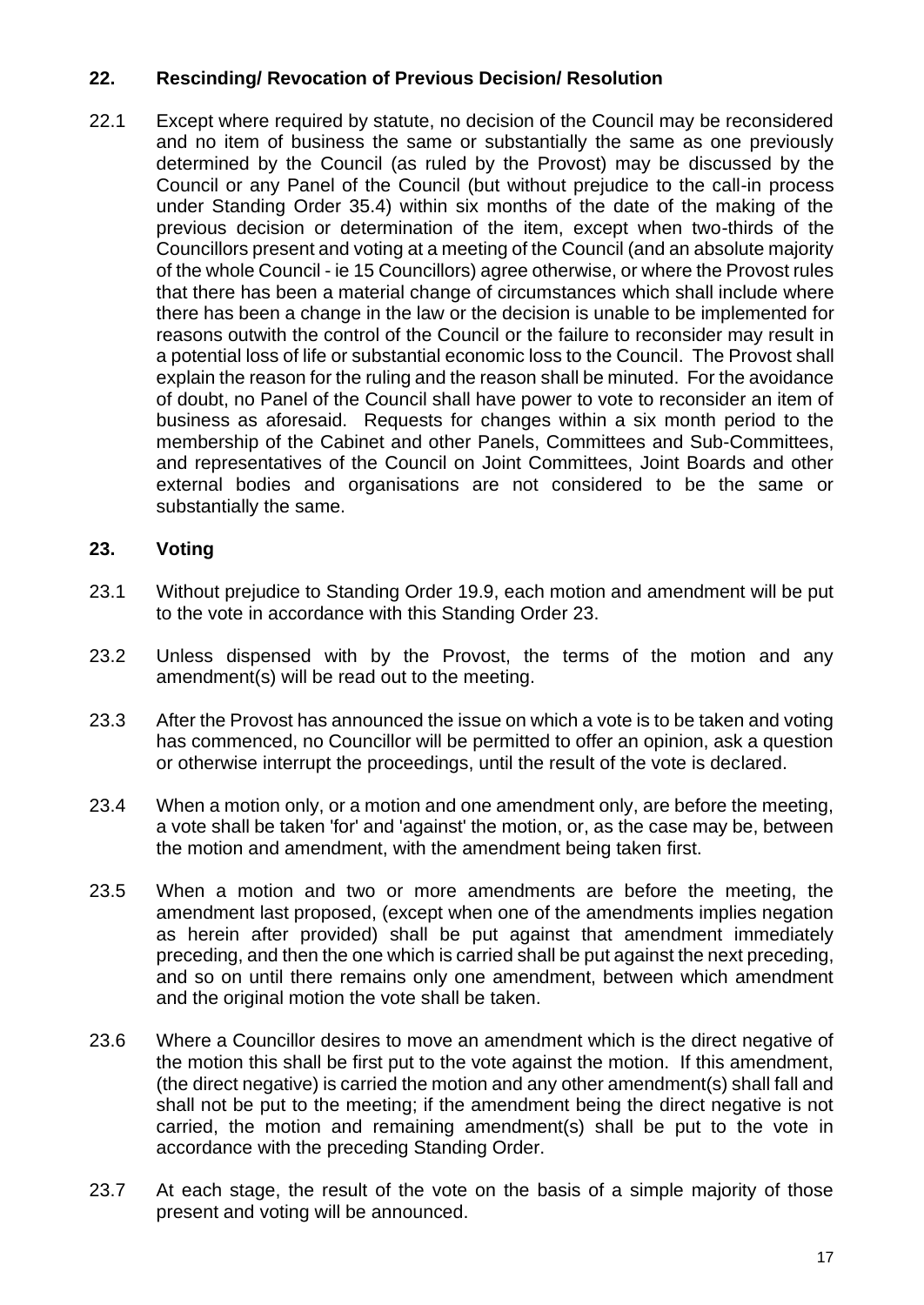## <span id="page-20-0"></span>**22. Rescinding/ Revocation of Previous Decision/ Resolution**

22.1 Except where required by statute, no decision of the Council may be reconsidered and no item of business the same or substantially the same as one previously determined by the Council (as ruled by the Provost) may be discussed by the Council or any Panel of the Council (but without prejudice to the call-in process under Standing Order 35.4) within six months of the date of the making of the previous decision or determination of the item, except when two-thirds of the Councillors present and voting at a meeting of the Council (and an absolute majority of the whole Council - ie 15 Councillors) agree otherwise, or where the Provost rules that there has been a material change of circumstances which shall include where there has been a change in the law or the decision is unable to be implemented for reasons outwith the control of the Council or the failure to reconsider may result in a potential loss of life or substantial economic loss to the Council. The Provost shall explain the reason for the ruling and the reason shall be minuted. For the avoidance of doubt, no Panel of the Council shall have power to vote to reconsider an item of business as aforesaid. Requests for changes within a six month period to the membership of the Cabinet and other Panels, Committees and Sub-Committees, and representatives of the Council on Joint Committees, Joint Boards and other external bodies and organisations are not considered to be the same or substantially the same.

## <span id="page-20-1"></span>**23. Voting**

- 23.1 Without prejudice to Standing Order 19.9, each motion and amendment will be put to the vote in accordance with this Standing Order 23.
- 23.2 Unless dispensed with by the Provost, the terms of the motion and any amendment(s) will be read out to the meeting.
- 23.3 After the Provost has announced the issue on which a vote is to be taken and voting has commenced, no Councillor will be permitted to offer an opinion, ask a question or otherwise interrupt the proceedings, until the result of the vote is declared.
- 23.4 When a motion only, or a motion and one amendment only, are before the meeting, a vote shall be taken 'for' and 'against' the motion, or, as the case may be, between the motion and amendment, with the amendment being taken first.
- 23.5 When a motion and two or more amendments are before the meeting, the amendment last proposed, (except when one of the amendments implies negation as herein after provided) shall be put against that amendment immediately preceding, and then the one which is carried shall be put against the next preceding, and so on until there remains only one amendment, between which amendment and the original motion the vote shall be taken.
- 23.6 Where a Councillor desires to move an amendment which is the direct negative of the motion this shall be first put to the vote against the motion. If this amendment, (the direct negative) is carried the motion and any other amendment(s) shall fall and shall not be put to the meeting; if the amendment being the direct negative is not carried, the motion and remaining amendment(s) shall be put to the vote in accordance with the preceding Standing Order.
- 23.7 At each stage, the result of the vote on the basis of a simple majority of those present and voting will be announced.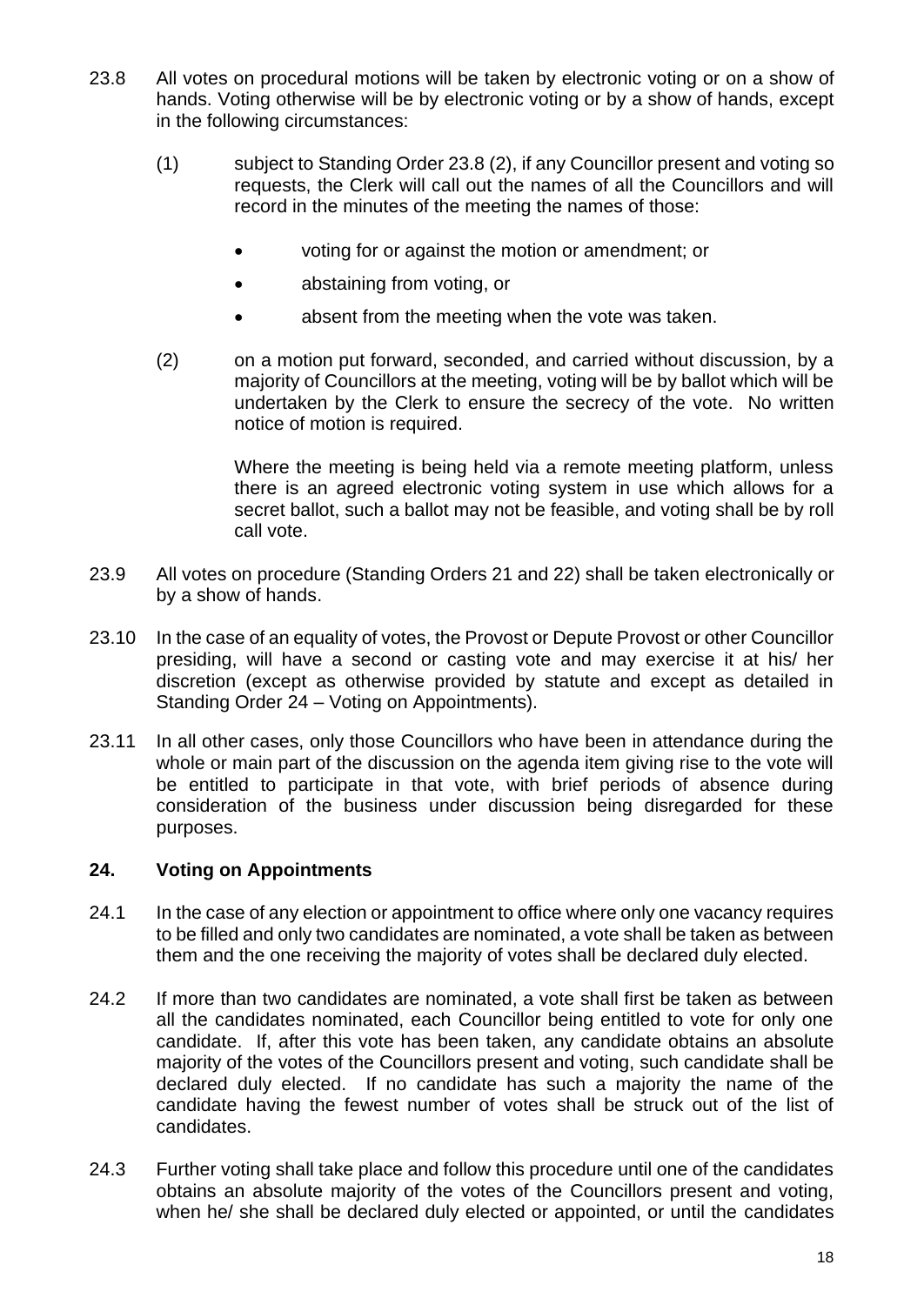- 23.8 All votes on procedural motions will be taken by electronic voting or on a show of hands. Voting otherwise will be by electronic voting or by a show of hands, except in the following circumstances:
	- (1) subject to Standing Order 23.8 (2), if any Councillor present and voting so requests, the Clerk will call out the names of all the Councillors and will record in the minutes of the meeting the names of those:
		- voting for or against the motion or amendment; or
		- abstaining from voting, or
		- absent from the meeting when the vote was taken.
	- (2) on a motion put forward, seconded, and carried without discussion, by a majority of Councillors at the meeting, voting will be by ballot which will be undertaken by the Clerk to ensure the secrecy of the vote. No written notice of motion is required.

Where the meeting is being held via a remote meeting platform, unless there is an agreed electronic voting system in use which allows for a secret ballot, such a ballot may not be feasible, and voting shall be by roll call vote.

- 23.9 All votes on procedure (Standing Orders 21 and 22) shall be taken electronically or by a show of hands.
- 23.10 In the case of an equality of votes, the Provost or Depute Provost or other Councillor presiding, will have a second or casting vote and may exercise it at his/ her discretion (except as otherwise provided by statute and except as detailed in Standing Order 24 – Voting on Appointments).
- 23.11 In all other cases, only those Councillors who have been in attendance during the whole or main part of the discussion on the agenda item giving rise to the vote will be entitled to participate in that vote, with brief periods of absence during consideration of the business under discussion being disregarded for these purposes.

#### <span id="page-21-0"></span>**24. Voting on Appointments**

- 24.1 In the case of any election or appointment to office where only one vacancy requires to be filled and only two candidates are nominated, a vote shall be taken as between them and the one receiving the majority of votes shall be declared duly elected.
- 24.2 If more than two candidates are nominated, a vote shall first be taken as between all the candidates nominated, each Councillor being entitled to vote for only one candidate. If, after this vote has been taken, any candidate obtains an absolute majority of the votes of the Councillors present and voting, such candidate shall be declared duly elected. If no candidate has such a majority the name of the candidate having the fewest number of votes shall be struck out of the list of candidates.
- 24.3 Further voting shall take place and follow this procedure until one of the candidates obtains an absolute majority of the votes of the Councillors present and voting, when he/ she shall be declared duly elected or appointed, or until the candidates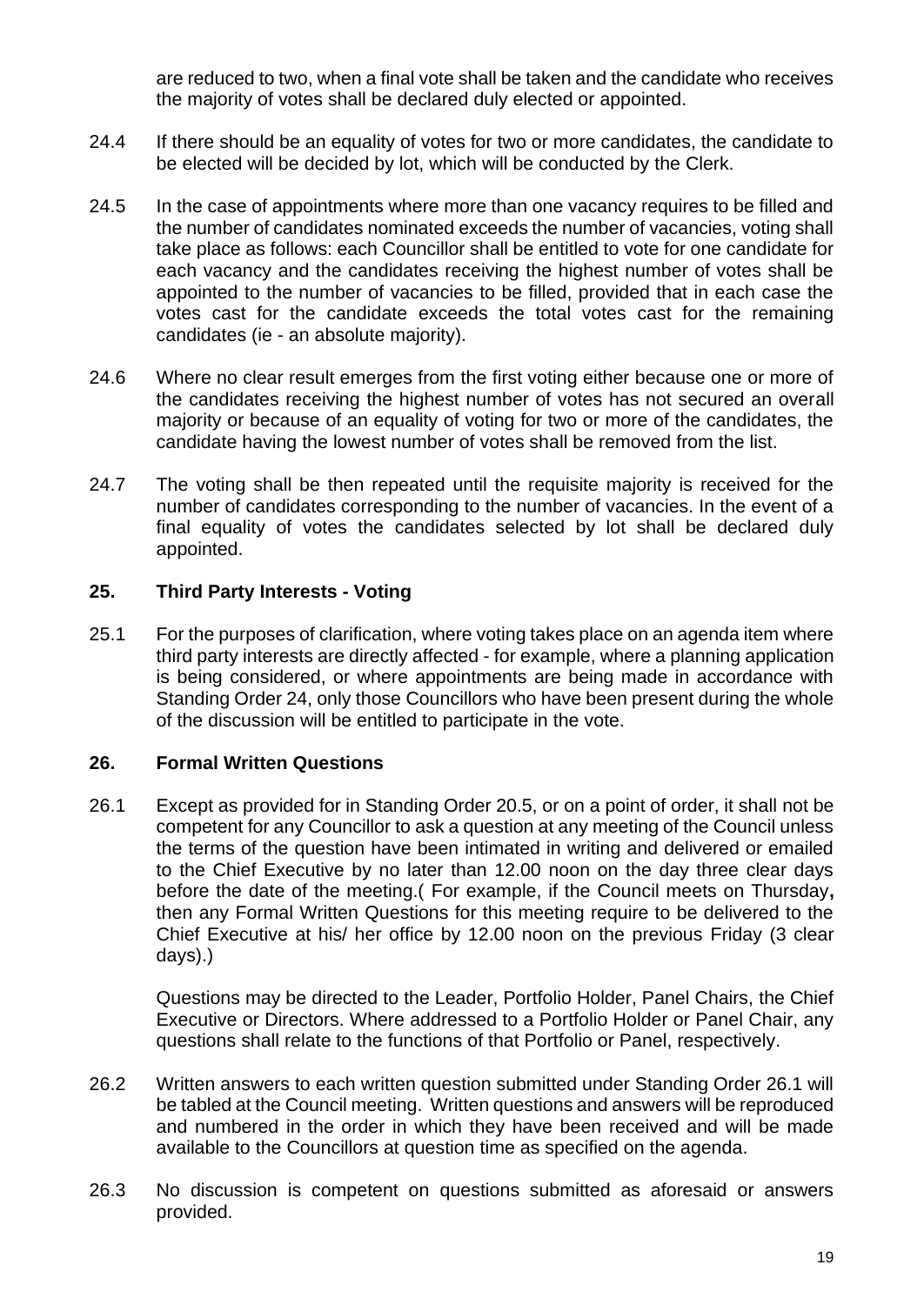are reduced to two, when a final vote shall be taken and the candidate who receives the majority of votes shall be declared duly elected or appointed.

- 24.4 If there should be an equality of votes for two or more candidates, the candidate to be elected will be decided by lot, which will be conducted by the Clerk.
- 24.5 In the case of appointments where more than one vacancy requires to be filled and the number of candidates nominated exceeds the number of vacancies, voting shall take place as follows: each Councillor shall be entitled to vote for one candidate for each vacancy and the candidates receiving the highest number of votes shall be appointed to the number of vacancies to be filled, provided that in each case the votes cast for the candidate exceeds the total votes cast for the remaining candidates (ie - an absolute majority).
- 24.6 Where no clear result emerges from the first voting either because one or more of the candidates receiving the highest number of votes has not secured an overall majority or because of an equality of voting for two or more of the candidates, the candidate having the lowest number of votes shall be removed from the list.
- 24.7 The voting shall be then repeated until the requisite majority is received for the number of candidates corresponding to the number of vacancies. In the event of a final equality of votes the candidates selected by lot shall be declared duly appointed.

#### <span id="page-22-0"></span>**25. Third Party Interests - Voting**

25.1 For the purposes of clarification, where voting takes place on an agenda item where third party interests are directly affected - for example, where a planning application is being considered, or where appointments are being made in accordance with Standing Order 24, only those Councillors who have been present during the whole of the discussion will be entitled to participate in the vote.

#### <span id="page-22-1"></span>**26. Formal Written Questions**

26.1 Except as provided for in Standing Order 20.5, or on a point of order, it shall not be competent for any Councillor to ask a question at any meeting of the Council unless the terms of the question have been intimated in writing and delivered or emailed to the Chief Executive by no later than 12.00 noon on the day three clear days before the date of the meeting.( For example, if the Council meets on Thursday**,** then any Formal Written Questions for this meeting require to be delivered to the Chief Executive at his/ her office by 12.00 noon on the previous Friday (3 clear days).)

Questions may be directed to the Leader, Portfolio Holder, Panel Chairs, the Chief Executive or Directors. Where addressed to a Portfolio Holder or Panel Chair, any questions shall relate to the functions of that Portfolio or Panel, respectively.

- 26.2 Written answers to each written question submitted under Standing Order 26.1 will be tabled at the Council meeting. Written questions and answers will be reproduced and numbered in the order in which they have been received and will be made available to the Councillors at question time as specified on the agenda.
- 26.3 No discussion is competent on questions submitted as aforesaid or answers provided.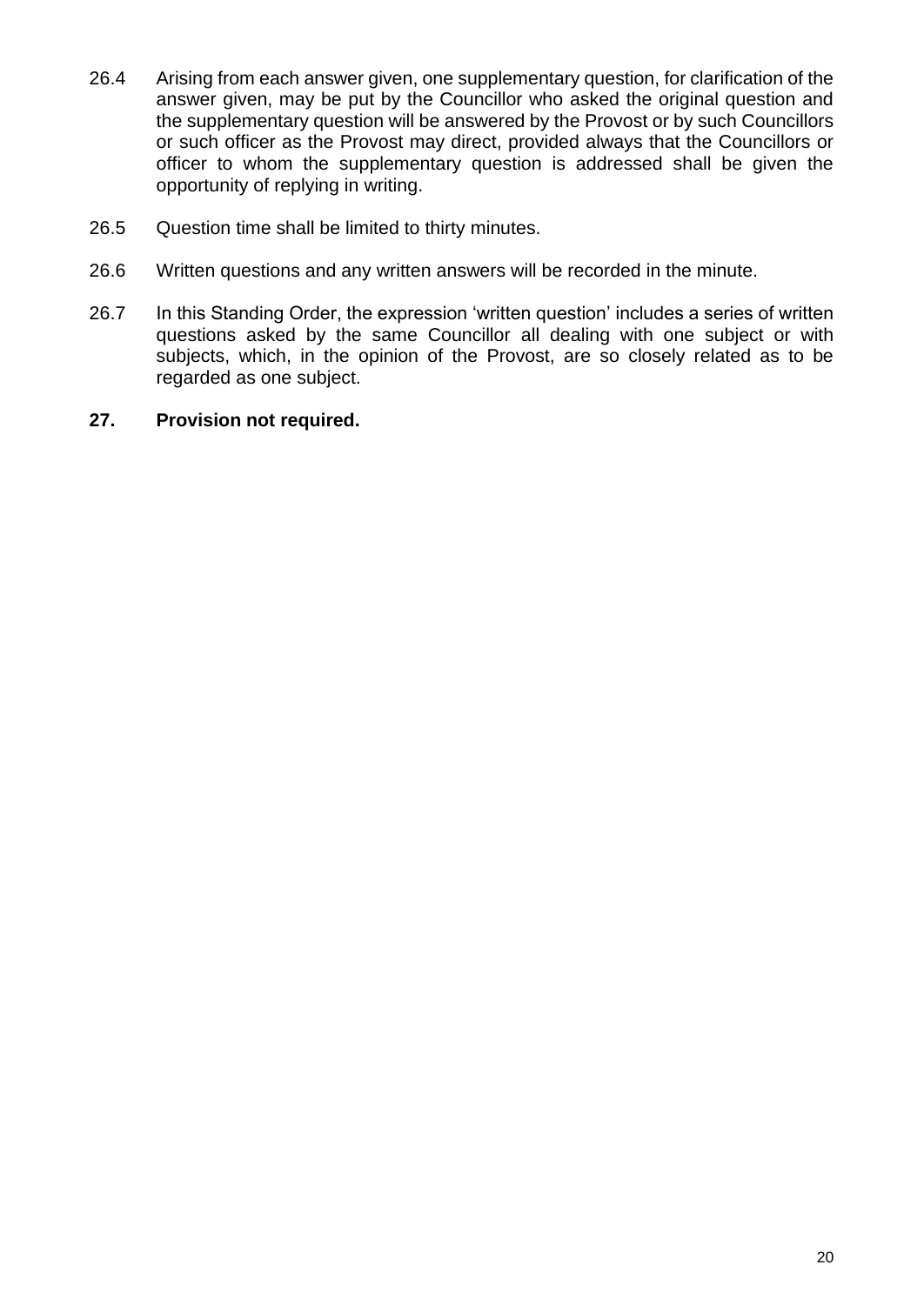- 26.4 Arising from each answer given, one supplementary question, for clarification of the answer given, may be put by the Councillor who asked the original question and the supplementary question will be answered by the Provost or by such Councillors or such officer as the Provost may direct, provided always that the Councillors or officer to whom the supplementary question is addressed shall be given the opportunity of replying in writing.
- 26.5 Question time shall be limited to thirty minutes.
- 26.6 Written questions and any written answers will be recorded in the minute.
- 26.7 In this Standing Order, the expression 'written question' includes a series of written questions asked by the same Councillor all dealing with one subject or with subjects, which, in the opinion of the Provost, are so closely related as to be regarded as one subject.

#### **27. Provision not required.**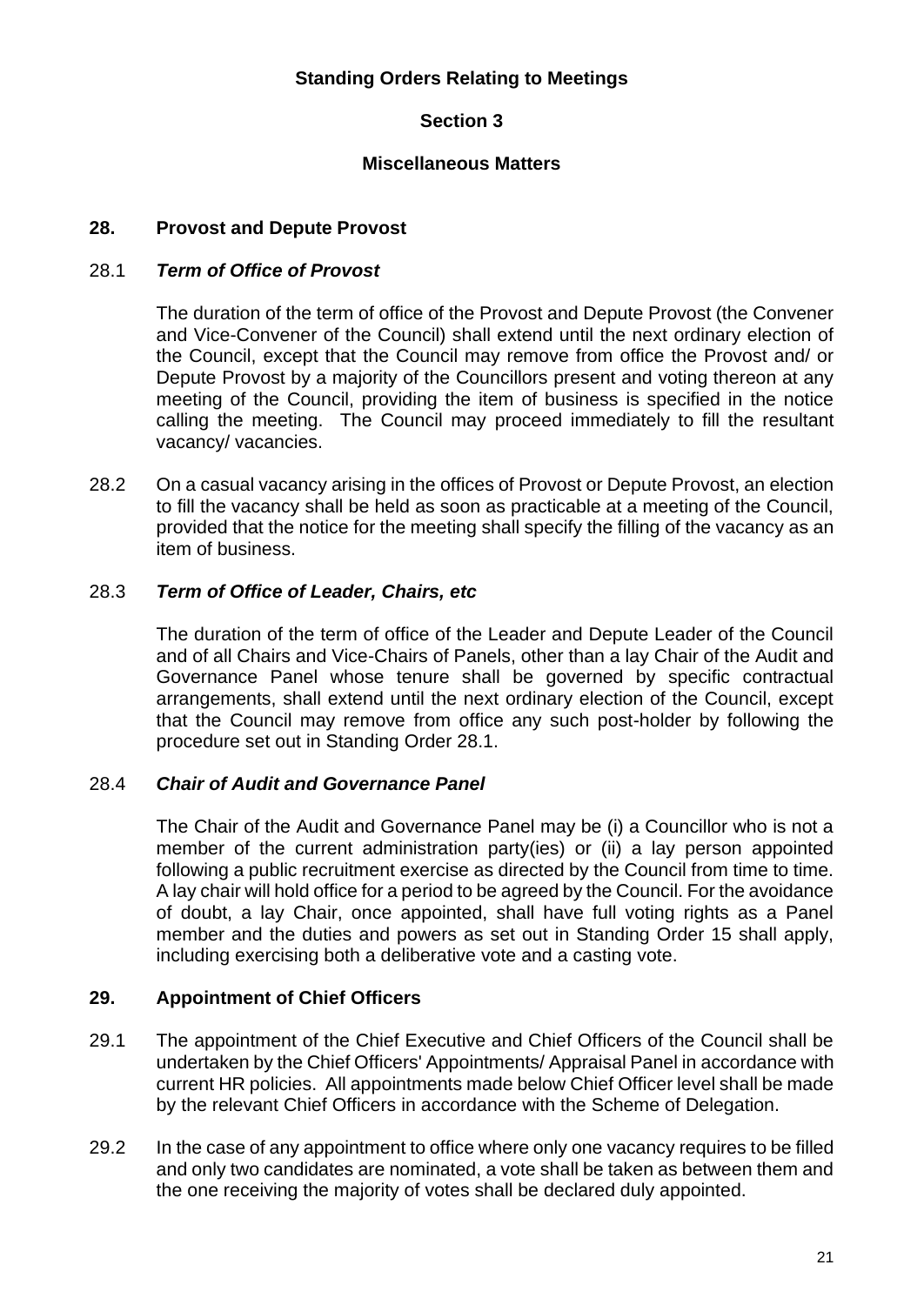## **Standing Orders Relating to Meetings**

## **Section 3**

#### **Miscellaneous Matters**

#### <span id="page-24-1"></span><span id="page-24-0"></span>**28. Provost and Depute Provost**

#### 28.1 *Term of Office of Provost*

The duration of the term of office of the Provost and Depute Provost (the Convener and Vice-Convener of the Council) shall extend until the next ordinary election of the Council, except that the Council may remove from office the Provost and/ or Depute Provost by a majority of the Councillors present and voting thereon at any meeting of the Council, providing the item of business is specified in the notice calling the meeting. The Council may proceed immediately to fill the resultant vacancy/ vacancies.

28.2 On a casual vacancy arising in the offices of Provost or Depute Provost, an election to fill the vacancy shall be held as soon as practicable at a meeting of the Council, provided that the notice for the meeting shall specify the filling of the vacancy as an item of business.

#### 28.3 *Term of Office of Leader, Chairs, etc*

The duration of the term of office of the Leader and Depute Leader of the Council and of all Chairs and Vice-Chairs of Panels, other than a lay Chair of the Audit and Governance Panel whose tenure shall be governed by specific contractual arrangements, shall extend until the next ordinary election of the Council, except that the Council may remove from office any such post-holder by following the procedure set out in Standing Order 28.1.

#### 28.4 *Chair of Audit and Governance Panel*

The Chair of the Audit and Governance Panel may be (i) a Councillor who is not a member of the current administration party(ies) or (ii) a lay person appointed following a public recruitment exercise as directed by the Council from time to time. A lay chair will hold office for a period to be agreed by the Council. For the avoidance of doubt, a lay Chair, once appointed, shall have full voting rights as a Panel member and the duties and powers as set out in Standing Order 15 shall apply, including exercising both a deliberative vote and a casting vote.

#### <span id="page-24-2"></span>**29. Appointment of Chief Officers**

- 29.1 The appointment of the Chief Executive and Chief Officers of the Council shall be undertaken by the Chief Officers' Appointments/ Appraisal Panel in accordance with current HR policies. All appointments made below Chief Officer level shall be made by the relevant Chief Officers in accordance with the Scheme of Delegation.
- 29.2 In the case of any appointment to office where only one vacancy requires to be filled and only two candidates are nominated, a vote shall be taken as between them and the one receiving the majority of votes shall be declared duly appointed.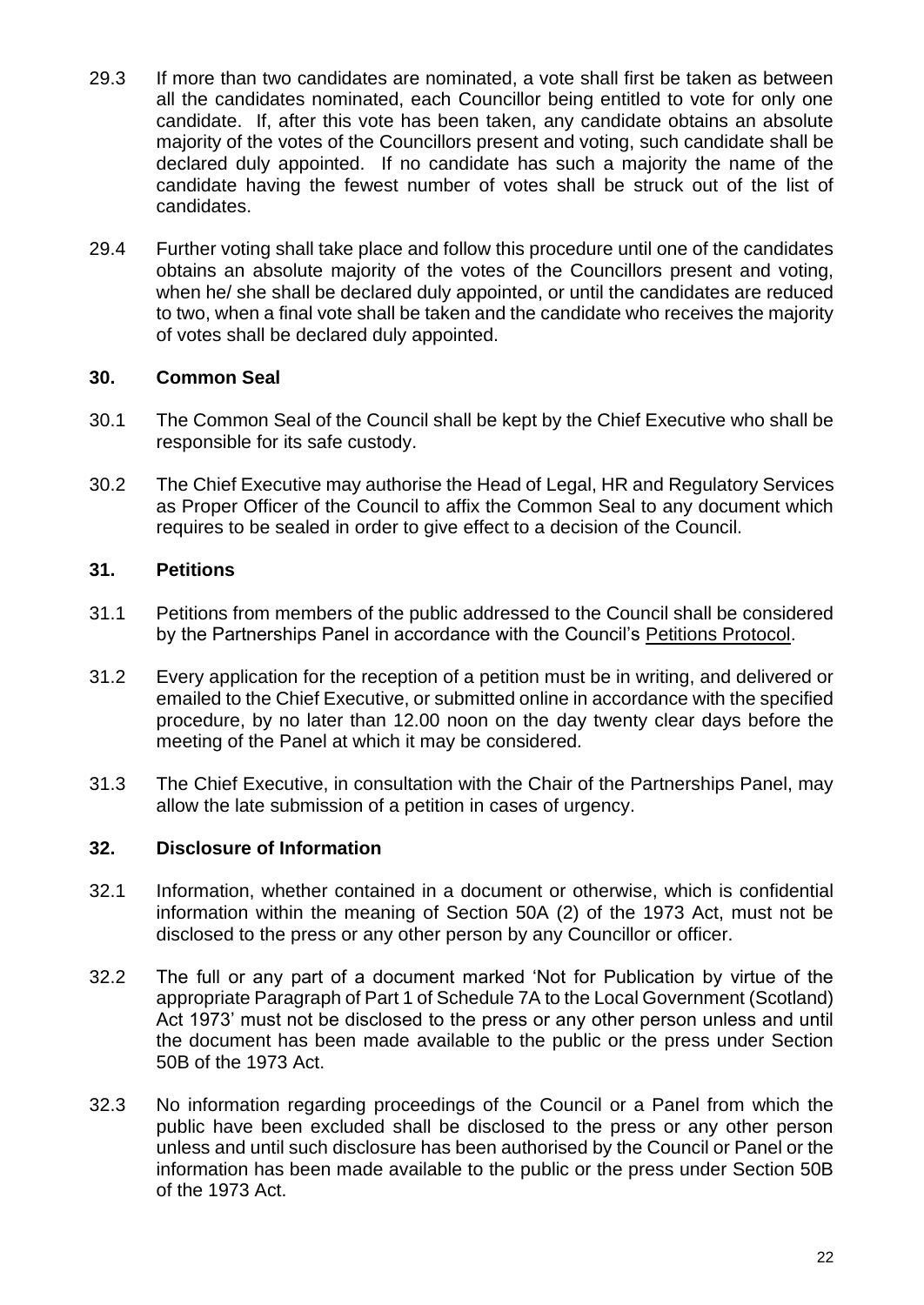- 29.3 If more than two candidates are nominated, a vote shall first be taken as between all the candidates nominated, each Councillor being entitled to vote for only one candidate. If, after this vote has been taken, any candidate obtains an absolute majority of the votes of the Councillors present and voting, such candidate shall be declared duly appointed. If no candidate has such a majority the name of the candidate having the fewest number of votes shall be struck out of the list of candidates.
- 29.4 Further voting shall take place and follow this procedure until one of the candidates obtains an absolute majority of the votes of the Councillors present and voting, when he/ she shall be declared duly appointed, or until the candidates are reduced to two, when a final vote shall be taken and the candidate who receives the majority of votes shall be declared duly appointed.

## <span id="page-25-0"></span>**30. Common Seal**

- 30.1 The Common Seal of the Council shall be kept by the Chief Executive who shall be responsible for its safe custody.
- 30.2 The Chief Executive may authorise the Head of Legal, HR and Regulatory Services as Proper Officer of the Council to affix the Common Seal to any document which requires to be sealed in order to give effect to a decision of the Council.

#### <span id="page-25-1"></span>**31. Petitions**

- 31.1 Petitions from members of the public addressed to the Council shall be considered by the Partnerships Panel in accordance with the Council's [Petitions Protocol.](https://ww20.south-ayrshire.gov.uk/corporateservices/LegalAdmin/CommitteeInformation/Petitions%20Protocol.pdf)
- 31.2 Every application for the reception of a petition must be in writing, and delivered or emailed to the Chief Executive, or submitted online in accordance with the specified procedure, by no later than 12.00 noon on the day twenty clear days before the meeting of the Panel at which it may be considered*.*
- 31.3 The Chief Executive, in consultation with the Chair of the Partnerships Panel, may allow the late submission of a petition in cases of urgency.

#### <span id="page-25-2"></span>**32. Disclosure of Information**

- 32.1 Information, whether contained in a document or otherwise, which is confidential information within the meaning of Section 50A (2) of the 1973 Act, must not be disclosed to the press or any other person by any Councillor or officer.
- 32.2 The full or any part of a document marked 'Not for Publication by virtue of the appropriate Paragraph of Part 1 of Schedule 7A to the Local Government (Scotland) Act 1973' must not be disclosed to the press or any other person unless and until the document has been made available to the public or the press under Section 50B of the 1973 Act.
- 32.3 No information regarding proceedings of the Council or a Panel from which the public have been excluded shall be disclosed to the press or any other person unless and until such disclosure has been authorised by the Council or Panel or the information has been made available to the public or the press under Section 50B of the 1973 Act.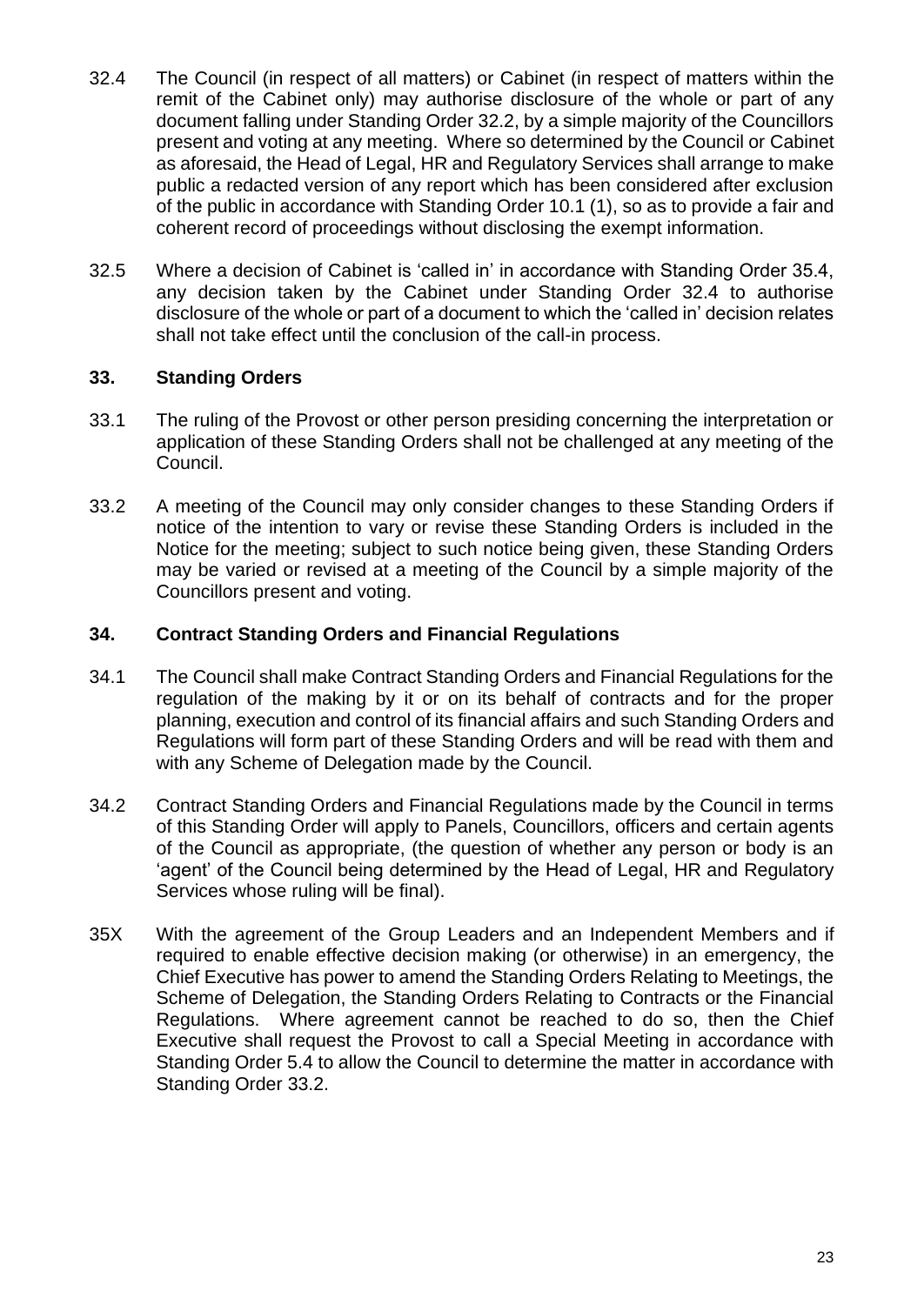- 32.4 The Council (in respect of all matters) or Cabinet (in respect of matters within the remit of the Cabinet only) may authorise disclosure of the whole or part of any document falling under Standing Order 32.2, by a simple majority of the Councillors present and voting at any meeting. Where so determined by the Council or Cabinet as aforesaid, the Head of Legal, HR and Regulatory Services shall arrange to make public a redacted version of any report which has been considered after exclusion of the public in accordance with Standing Order 10.1 (1), so as to provide a fair and coherent record of proceedings without disclosing the exempt information.
- 32.5 Where a decision of Cabinet is 'called in' in accordance with Standing Order 35.4, any decision taken by the Cabinet under Standing Order 32.4 to authorise disclosure of the whole or part of a document to which the 'called in' decision relates shall not take effect until the conclusion of the call-in process.

## <span id="page-26-0"></span>**33. Standing Orders**

- 33.1 The ruling of the Provost or other person presiding concerning the interpretation or application of these Standing Orders shall not be challenged at any meeting of the Council.
- 33.2 A meeting of the Council may only consider changes to these Standing Orders if notice of the intention to vary or revise these Standing Orders is included in the Notice for the meeting; subject to such notice being given, these Standing Orders may be varied or revised at a meeting of the Council by a simple majority of the Councillors present and voting.

## <span id="page-26-1"></span>**34. Contract Standing Orders and Financial Regulations**

- 34.1 The Council shall make Contract Standing Orders and Financial Regulations for the regulation of the making by it or on its behalf of contracts and for the proper planning, execution and control of its financial affairs and such Standing Orders and Regulations will form part of these Standing Orders and will be read with them and with any Scheme of Delegation made by the Council.
- 34.2 Contract Standing Orders and Financial Regulations made by the Council in terms of this Standing Order will apply to Panels, Councillors, officers and certain agents of the Council as appropriate, (the question of whether any person or body is an 'agent' of the Council being determined by the Head of Legal, HR and Regulatory Services whose ruling will be final).
- 35X With the agreement of the Group Leaders and an Independent Members and if required to enable effective decision making (or otherwise) in an emergency, the Chief Executive has power to amend the Standing Orders Relating to Meetings, the Scheme of Delegation, the Standing Orders Relating to Contracts or the Financial Regulations. Where agreement cannot be reached to do so, then the Chief Executive shall request the Provost to call a Special Meeting in accordance with Standing Order 5.4 to allow the Council to determine the matter in accordance with Standing Order 33.2.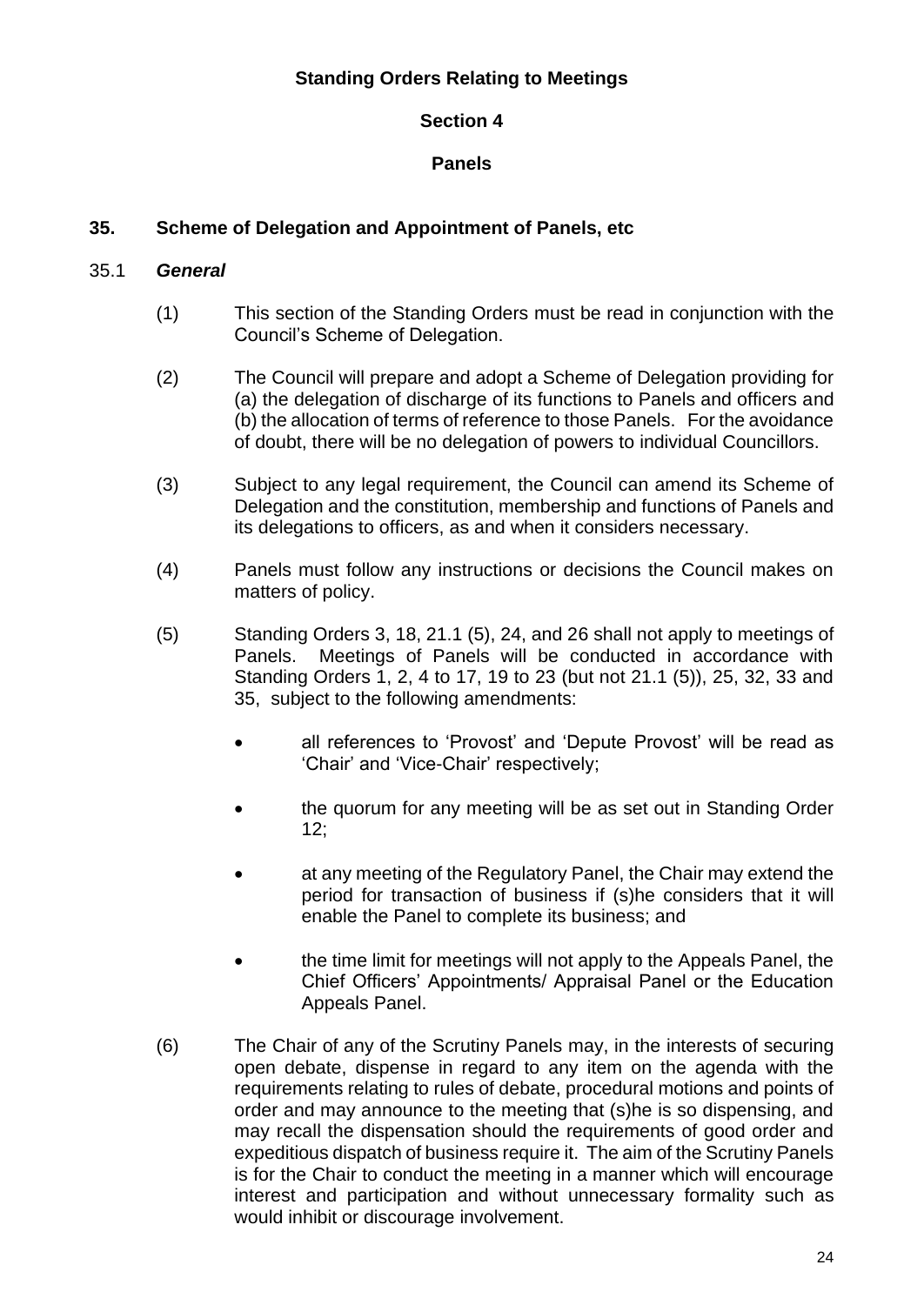## **Standing Orders Relating to Meetings**

## **Section 4**

## **Panels**

## <span id="page-27-1"></span><span id="page-27-0"></span>**35. Scheme of Delegation and Appointment of Panels, etc**

## 35.1 *General*

- (1) This section of the Standing Orders must be read in conjunction with the Council's Scheme of Delegation.
- (2) The Council will prepare and adopt a Scheme of Delegation providing for (a) the delegation of discharge of its functions to Panels and officers and (b) the allocation of terms of reference to those Panels. For the avoidance of doubt, there will be no delegation of powers to individual Councillors.
- (3) Subject to any legal requirement, the Council can amend its Scheme of Delegation and the constitution, membership and functions of Panels and its delegations to officers, as and when it considers necessary.
- (4) Panels must follow any instructions or decisions the Council makes on matters of policy.
- (5) Standing Orders 3, 18, 21.1 (5), 24, and 26 shall not apply to meetings of Panels. Meetings of Panels will be conducted in accordance with Standing Orders 1, 2, 4 to 17, 19 to 23 (but not 21.1 (5)), 25, 32, 33 and 35, subject to the following amendments:
	- all references to 'Provost' and 'Depute Provost' will be read as 'Chair' and 'Vice-Chair' respectively;
	- the quorum for any meeting will be as set out in Standing Order 12;
	- at any meeting of the Regulatory Panel, the Chair may extend the period for transaction of business if (s)he considers that it will enable the Panel to complete its business; and
	- the time limit for meetings will not apply to the Appeals Panel, the Chief Officers' Appointments/ Appraisal Panel or the Education Appeals Panel.
- (6) The Chair of any of the Scrutiny Panels may, in the interests of securing open debate, dispense in regard to any item on the agenda with the requirements relating to rules of debate, procedural motions and points of order and may announce to the meeting that (s)he is so dispensing, and may recall the dispensation should the requirements of good order and expeditious dispatch of business require it. The aim of the Scrutiny Panels is for the Chair to conduct the meeting in a manner which will encourage interest and participation and without unnecessary formality such as would inhibit or discourage involvement.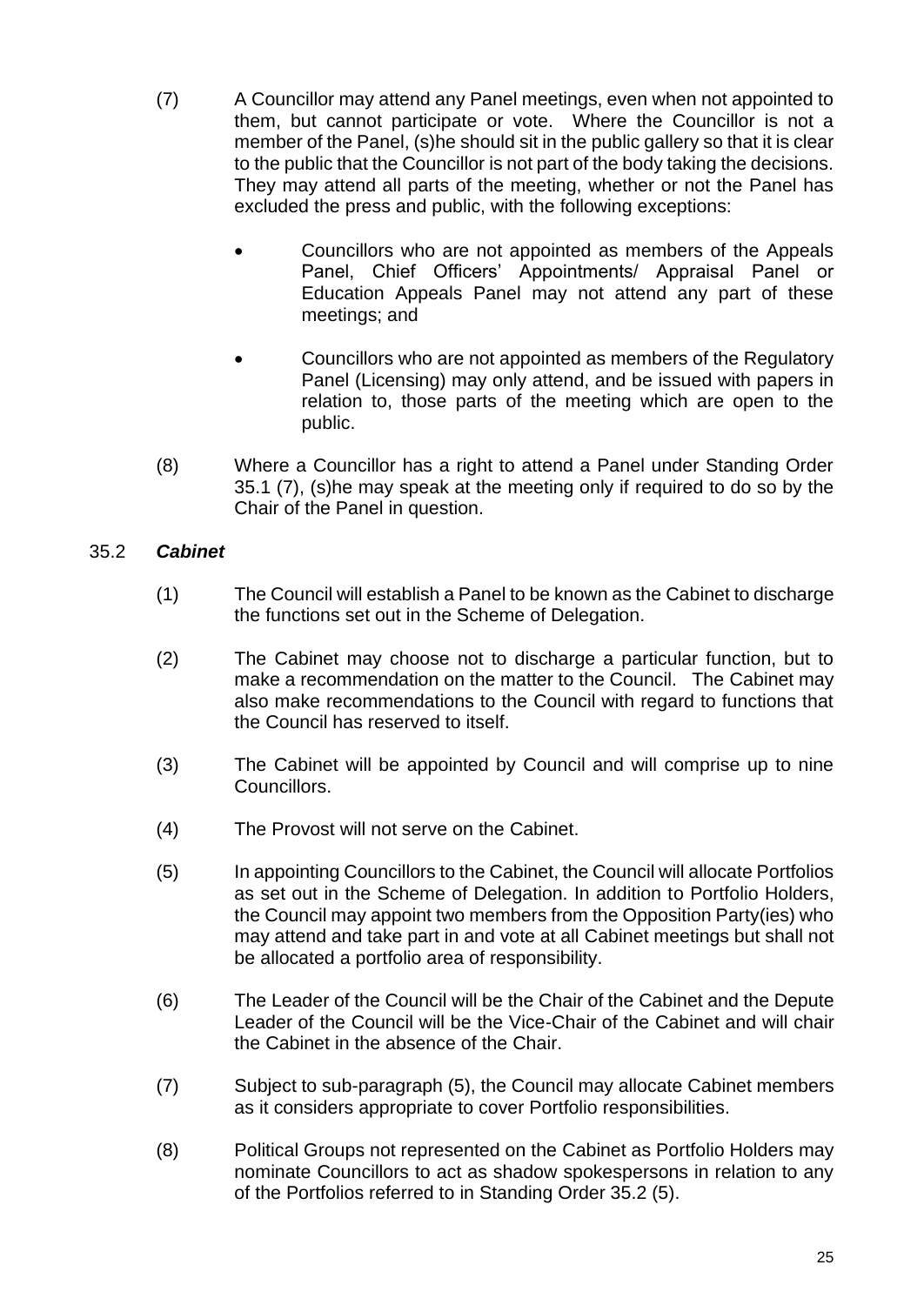- (7) A Councillor may attend any Panel meetings, even when not appointed to them, but cannot participate or vote. Where the Councillor is not a member of the Panel, (s)he should sit in the public gallery so that it is clear to the public that the Councillor is not part of the body taking the decisions. They may attend all parts of the meeting, whether or not the Panel has excluded the press and public, with the following exceptions:
	- Councillors who are not appointed as members of the Appeals Panel, Chief Officers' Appointments/ Appraisal Panel or Education Appeals Panel may not attend any part of these meetings; and
	- Councillors who are not appointed as members of the Regulatory Panel (Licensing) may only attend, and be issued with papers in relation to, those parts of the meeting which are open to the public.
- (8) Where a Councillor has a right to attend a Panel under Standing Order 35.1 (7), (s)he may speak at the meeting only if required to do so by the Chair of the Panel in question.

## 35.2 *Cabinet*

- (1) The Council will establish a Panel to be known as the Cabinet to discharge the functions set out in the Scheme of Delegation.
- (2) The Cabinet may choose not to discharge a particular function, but to make a recommendation on the matter to the Council. The Cabinet may also make recommendations to the Council with regard to functions that the Council has reserved to itself.
- (3) The Cabinet will be appointed by Council and will comprise up to nine Councillors.
- (4) The Provost will not serve on the Cabinet.
- (5) In appointing Councillors to the Cabinet, the Council will allocate Portfolios as set out in the Scheme of Delegation. In addition to Portfolio Holders, the Council may appoint two members from the Opposition Party(ies) who may attend and take part in and vote at all Cabinet meetings but shall not be allocated a portfolio area of responsibility.
- (6) The Leader of the Council will be the Chair of the Cabinet and the Depute Leader of the Council will be the Vice-Chair of the Cabinet and will chair the Cabinet in the absence of the Chair.
- (7) Subject to sub-paragraph (5), the Council may allocate Cabinet members as it considers appropriate to cover Portfolio responsibilities.
- (8) Political Groups not represented on the Cabinet as Portfolio Holders may nominate Councillors to act as shadow spokespersons in relation to any of the Portfolios referred to in Standing Order 35.2 (5).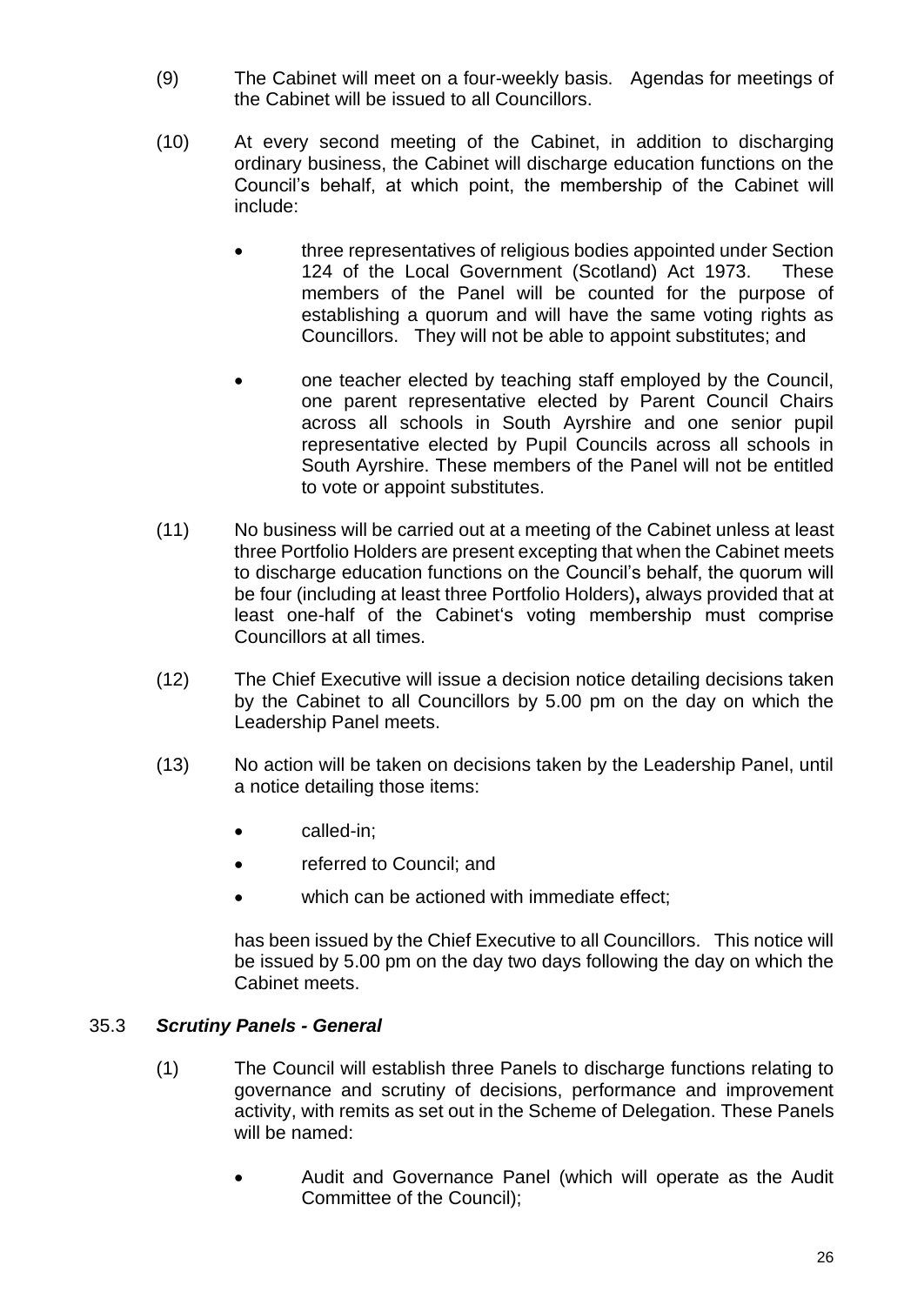- (9) The Cabinet will meet on a four-weekly basis. Agendas for meetings of the Cabinet will be issued to all Councillors.
- (10) At every second meeting of the Cabinet, in addition to discharging ordinary business, the Cabinet will discharge education functions on the Council's behalf, at which point, the membership of the Cabinet will include:
	- three representatives of religious bodies appointed under Section 124 of the Local Government (Scotland) Act 1973. These members of the Panel will be counted for the purpose of establishing a quorum and will have the same voting rights as Councillors. They will not be able to appoint substitutes; and
	- one teacher elected by teaching staff employed by the Council, one parent representative elected by Parent Council Chairs across all schools in South Ayrshire and one senior pupil representative elected by Pupil Councils across all schools in South Ayrshire. These members of the Panel will not be entitled to vote or appoint substitutes.
- (11) No business will be carried out at a meeting of the Cabinet unless at least three Portfolio Holders are present excepting that when the Cabinet meets to discharge education functions on the Council's behalf, the quorum will be four (including at least three Portfolio Holders)**,** always provided that at least one-half of the Cabinet's voting membership must comprise Councillors at all times.
- (12) The Chief Executive will issue a decision notice detailing decisions taken by the Cabinet to all Councillors by 5.00 pm on the day on which the Leadership Panel meets.
- (13) No action will be taken on decisions taken by the Leadership Panel, until a notice detailing those items:
	- called-in;
	- referred to Council; and
	- which can be actioned with immediate effect;

has been issued by the Chief Executive to all Councillors. This notice will be issued by 5.00 pm on the day two days following the day on which the Cabinet meets.

## 35.3 *Scrutiny Panels - General*

- (1) The Council will establish three Panels to discharge functions relating to governance and scrutiny of decisions, performance and improvement activity, with remits as set out in the Scheme of Delegation. These Panels will be named:
	- Audit and Governance Panel (which will operate as the Audit Committee of the Council);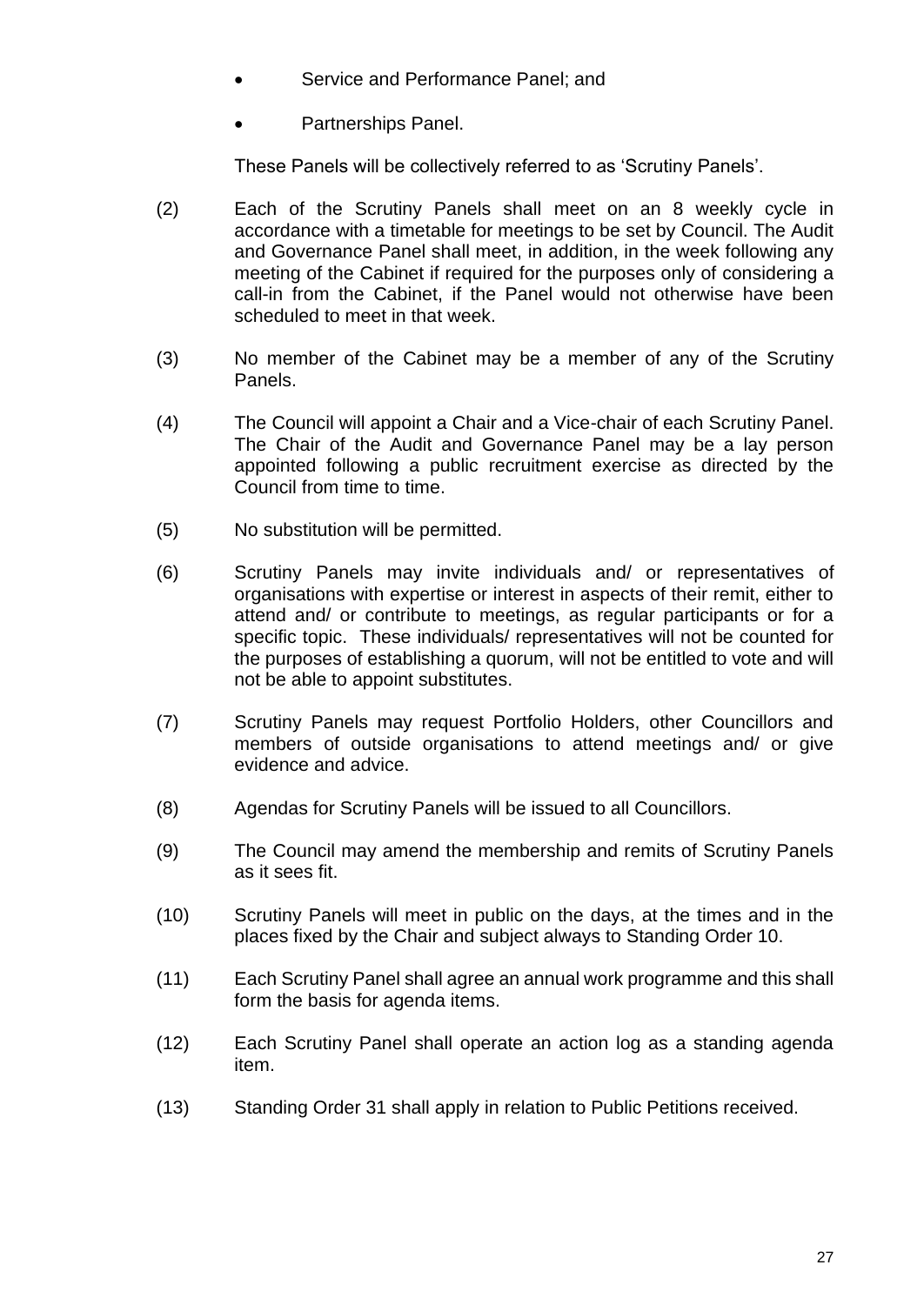- Service and Performance Panel; and
- Partnerships Panel.

These Panels will be collectively referred to as 'Scrutiny Panels'.

- (2) Each of the Scrutiny Panels shall meet on an 8 weekly cycle in accordance with a timetable for meetings to be set by Council. The Audit and Governance Panel shall meet, in addition, in the week following any meeting of the Cabinet if required for the purposes only of considering a call-in from the Cabinet, if the Panel would not otherwise have been scheduled to meet in that week.
- (3) No member of the Cabinet may be a member of any of the Scrutiny Panels.
- (4) The Council will appoint a Chair and a Vice-chair of each Scrutiny Panel. The Chair of the Audit and Governance Panel may be a lay person appointed following a public recruitment exercise as directed by the Council from time to time.
- (5) No substitution will be permitted.
- (6) Scrutiny Panels may invite individuals and/ or representatives of organisations with expertise or interest in aspects of their remit, either to attend and/ or contribute to meetings, as regular participants or for a specific topic. These individuals/ representatives will not be counted for the purposes of establishing a quorum, will not be entitled to vote and will not be able to appoint substitutes.
- (7) Scrutiny Panels may request Portfolio Holders, other Councillors and members of outside organisations to attend meetings and/ or give evidence and advice.
- (8) Agendas for Scrutiny Panels will be issued to all Councillors.
- (9) The Council may amend the membership and remits of Scrutiny Panels as it sees fit.
- (10) Scrutiny Panels will meet in public on the days, at the times and in the places fixed by the Chair and subject always to Standing Order 10.
- (11) Each Scrutiny Panel shall agree an annual work programme and this shall form the basis for agenda items.
- (12) Each Scrutiny Panel shall operate an action log as a standing agenda item.
- (13) Standing Order 31 shall apply in relation to Public Petitions received.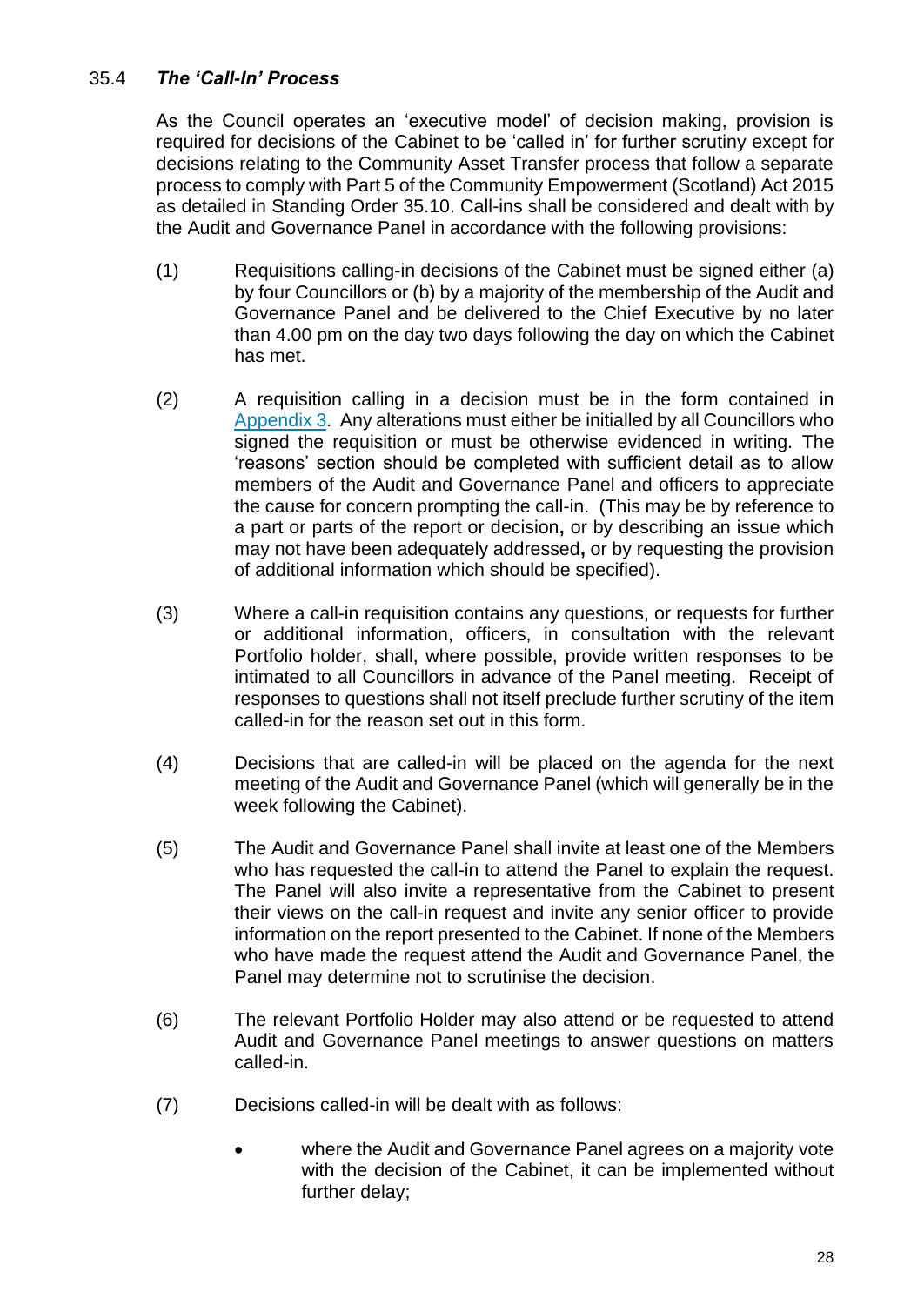## 35.4 *The 'Call-In' Process*

As the Council operates an 'executive model' of decision making, provision is required for decisions of the Cabinet to be 'called in' for further scrutiny except for decisions relating to the Community Asset Transfer process that follow a separate process to comply with Part 5 of the Community Empowerment (Scotland) Act 2015 as detailed in Standing Order 35.10. Call-ins shall be considered and dealt with by the Audit and Governance Panel in accordance with the following provisions:

- (1) Requisitions calling-in decisions of the Cabinet must be signed either (a) by four Councillors or (b) by a majority of the membership of the Audit and Governance Panel and be delivered to the Chief Executive by no later than 4.00 pm on the day two days following the day on which the Cabinet has met.
- (2) A requisition calling in a decision must be in the form contained in [Appendix 3.](#page-39-0) Any alterations must either be initialled by all Councillors who signed the requisition or must be otherwise evidenced in writing. The 'reasons' section should be completed with sufficient detail as to allow members of the Audit and Governance Panel and officers to appreciate the cause for concern prompting the call-in. (This may be by reference to a part or parts of the report or decision**,** or by describing an issue which may not have been adequately addressed**,** or by requesting the provision of additional information which should be specified).
- (3) Where a call-in requisition contains any questions, or requests for further or additional information, officers, in consultation with the relevant Portfolio holder, shall, where possible, provide written responses to be intimated to all Councillors in advance of the Panel meeting. Receipt of responses to questions shall not itself preclude further scrutiny of the item called-in for the reason set out in this form.
- (4) Decisions that are called-in will be placed on the agenda for the next meeting of the Audit and Governance Panel (which will generally be in the week following the Cabinet).
- (5) The Audit and Governance Panel shall invite at least one of the Members who has requested the call-in to attend the Panel to explain the request. The Panel will also invite a representative from the Cabinet to present their views on the call-in request and invite any senior officer to provide information on the report presented to the Cabinet. If none of the Members who have made the request attend the Audit and Governance Panel, the Panel may determine not to scrutinise the decision.
- (6) The relevant Portfolio Holder may also attend or be requested to attend Audit and Governance Panel meetings to answer questions on matters called-in.
- (7) Decisions called-in will be dealt with as follows:
	- where the Audit and Governance Panel agrees on a majority vote with the decision of the Cabinet, it can be implemented without further delay;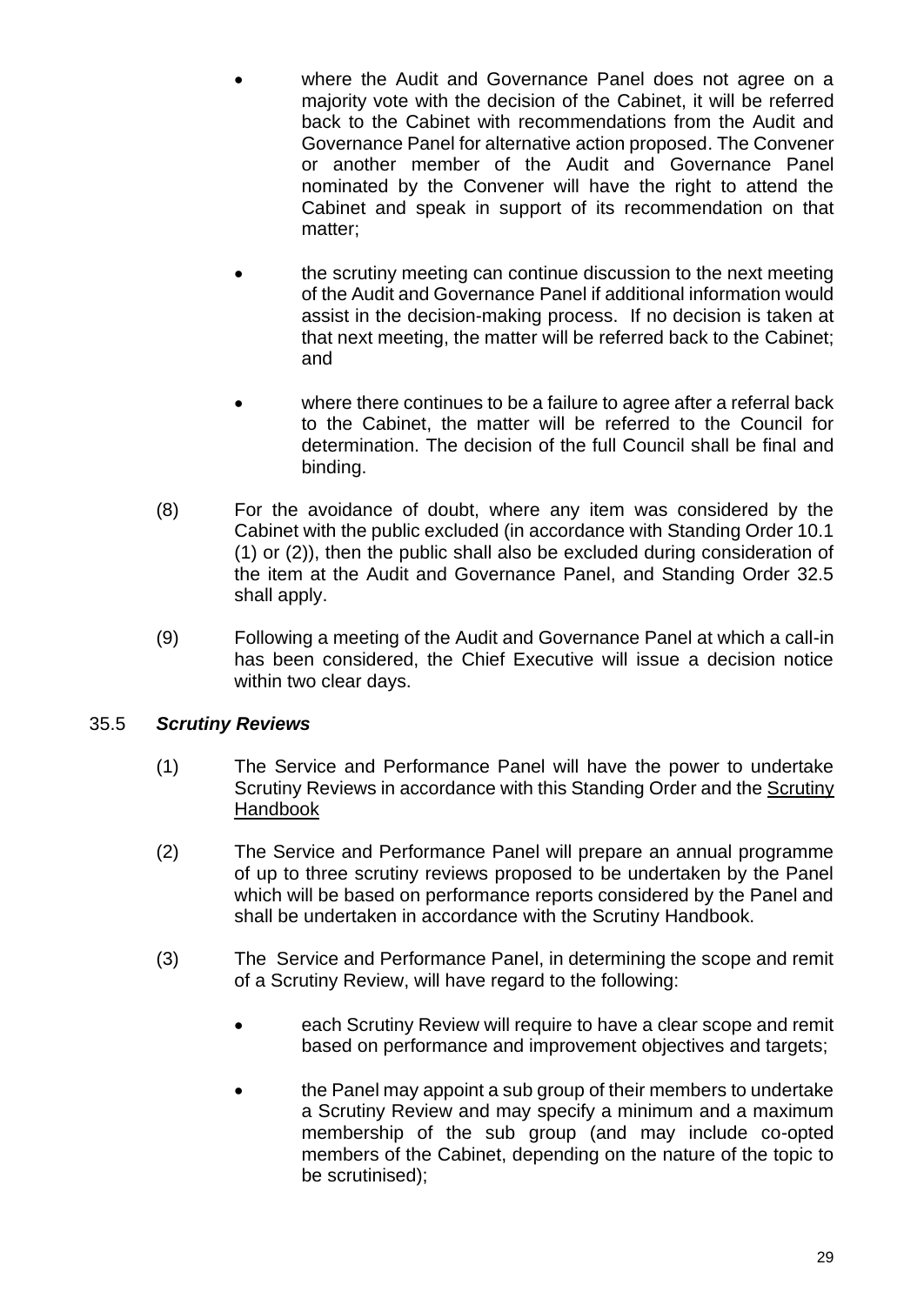- where the Audit and Governance Panel does not agree on a majority vote with the decision of the Cabinet, it will be referred back to the Cabinet with recommendations from the Audit and Governance Panel for alternative action proposed. The Convener or another member of the Audit and Governance Panel nominated by the Convener will have the right to attend the Cabinet and speak in support of its recommendation on that matter;
- the scrutiny meeting can continue discussion to the next meeting of the Audit and Governance Panel if additional information would assist in the decision-making process. If no decision is taken at that next meeting, the matter will be referred back to the Cabinet; and
- where there continues to be a failure to agree after a referral back to the Cabinet, the matter will be referred to the Council for determination. The decision of the full Council shall be final and binding.
- (8) For the avoidance of doubt, where any item was considered by the Cabinet with the public excluded (in accordance with Standing Order 10.1 (1) or (2)), then the public shall also be excluded during consideration of the item at the Audit and Governance Panel, and Standing Order 32.5 shall apply.
- (9) Following a meeting of the Audit and Governance Panel at which a call-in has been considered, the Chief Executive will issue a decision notice within two clear days.

## 35.5 *Scrutiny Reviews*

- (1) The Service and Performance Panel will have the power to undertake Scrutiny Reviews in accordance with this Standing Order and the [Scrutiny](https://ww20.south-ayrshire.gov.uk/corporateservices/LegalAdmin/CommitteeInformation/Scrutiny%20Handbook.pdf)  [Handbook](https://ww20.south-ayrshire.gov.uk/corporateservices/LegalAdmin/CommitteeInformation/Scrutiny%20Handbook.pdf)
- (2) The Service and Performance Panel will prepare an annual programme of up to three scrutiny reviews proposed to be undertaken by the Panel which will be based on performance reports considered by the Panel and shall be undertaken in accordance with the Scrutiny Handbook.
- (3) The Service and Performance Panel, in determining the scope and remit of a Scrutiny Review, will have regard to the following:
	- each Scrutiny Review will require to have a clear scope and remit based on performance and improvement objectives and targets;
	- the Panel may appoint a sub group of their members to undertake a Scrutiny Review and may specify a minimum and a maximum membership of the sub group (and may include co-opted members of the Cabinet, depending on the nature of the topic to be scrutinised);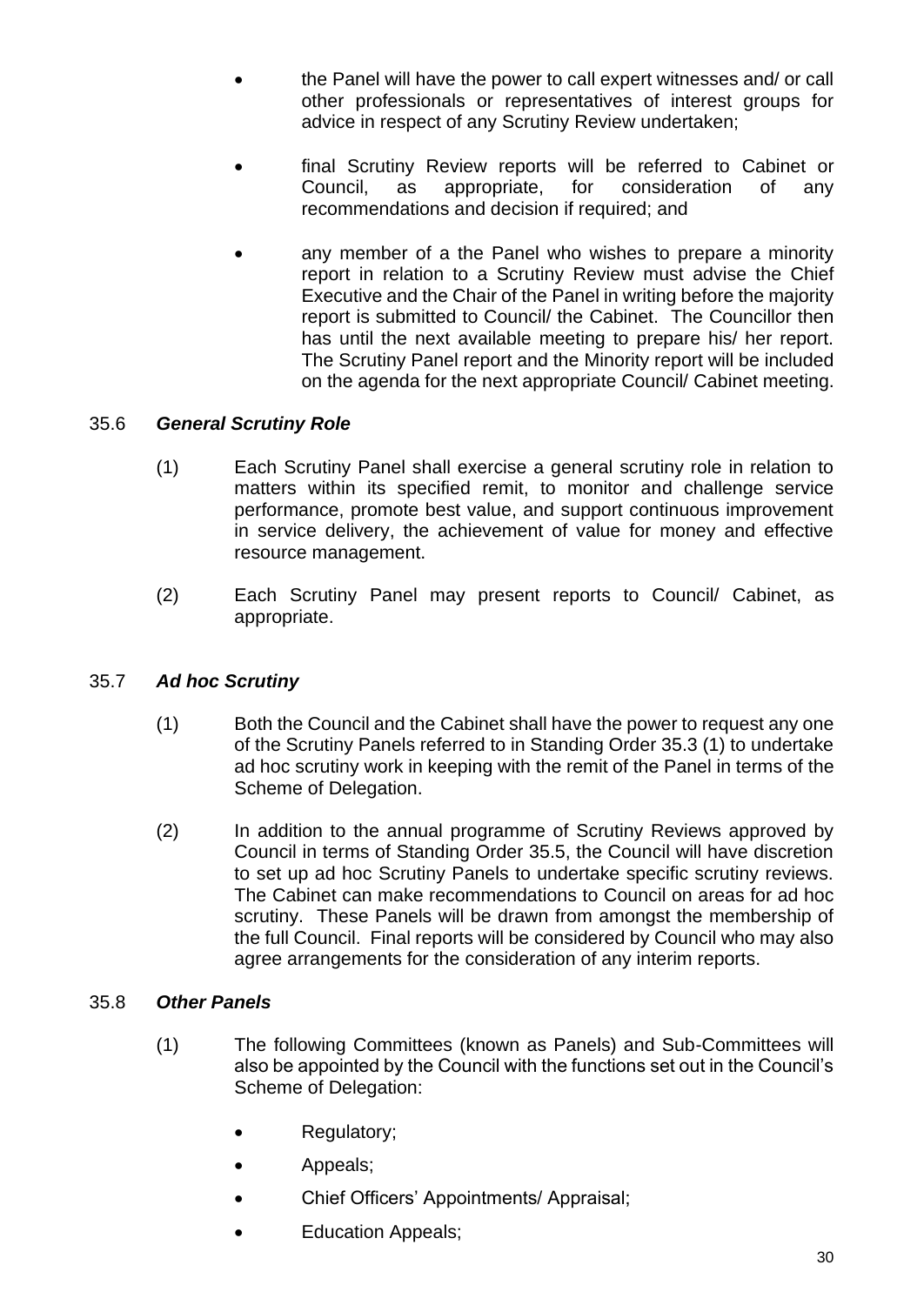- the Panel will have the power to call expert witnesses and/ or call other professionals or representatives of interest groups for advice in respect of any Scrutiny Review undertaken;
- final Scrutiny Review reports will be referred to Cabinet or Council, as appropriate, for consideration of any recommendations and decision if required; and
- any member of a the Panel who wishes to prepare a minority report in relation to a Scrutiny Review must advise the Chief Executive and the Chair of the Panel in writing before the majority report is submitted to Council/ the Cabinet. The Councillor then has until the next available meeting to prepare his/ her report. The Scrutiny Panel report and the Minority report will be included on the agenda for the next appropriate Council/ Cabinet meeting.

## 35.6 *General Scrutiny Role*

- (1) Each Scrutiny Panel shall exercise a general scrutiny role in relation to matters within its specified remit, to monitor and challenge service performance, promote best value, and support continuous improvement in service delivery, the achievement of value for money and effective resource management.
- (2) Each Scrutiny Panel may present reports to Council/ Cabinet, as appropriate.

## 35.7 *Ad hoc Scrutiny*

- (1) Both the Council and the Cabinet shall have the power to request any one of the Scrutiny Panels referred to in Standing Order 35.3 (1) to undertake ad hoc scrutiny work in keeping with the remit of the Panel in terms of the Scheme of Delegation.
- (2) In addition to the annual programme of Scrutiny Reviews approved by Council in terms of Standing Order 35.5, the Council will have discretion to set up ad hoc Scrutiny Panels to undertake specific scrutiny reviews. The Cabinet can make recommendations to Council on areas for ad hoc scrutiny. These Panels will be drawn from amongst the membership of the full Council. Final reports will be considered by Council who may also agree arrangements for the consideration of any interim reports.

## 35.8 *Other Panels*

- (1) The following Committees (known as Panels) and Sub-Committees will also be appointed by the Council with the functions set out in the Council's Scheme of Delegation:
	- Regulatory;
	- Appeals;
	- Chief Officers' Appointments/ Appraisal;
	- Education Appeals;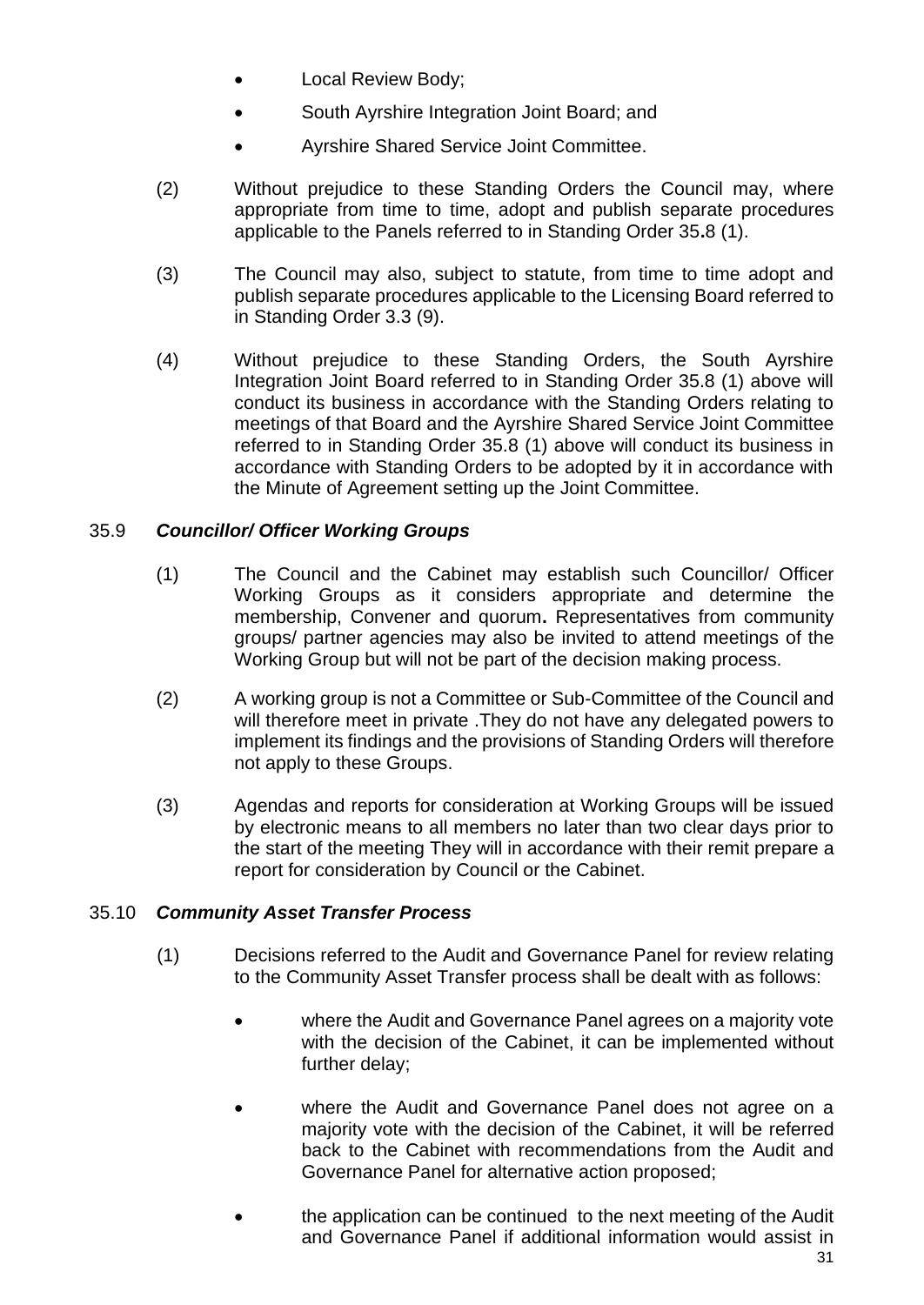- Local Review Body;
- South Ayrshire Integration Joint Board; and
- Ayrshire Shared Service Joint Committee.
- (2) Without prejudice to these Standing Orders the Council may, where appropriate from time to time, adopt and publish separate procedures applicable to the Panels referred to in Standing Order 35**.**8 (1).
- (3) The Council may also, subject to statute, from time to time adopt and publish separate procedures applicable to the Licensing Board referred to in Standing Order 3.3 (9).
- (4) Without prejudice to these Standing Orders, the South Ayrshire Integration Joint Board referred to in Standing Order 35.8 (1) above will conduct its business in accordance with the Standing Orders relating to meetings of that Board and the Ayrshire Shared Service Joint Committee referred to in Standing Order 35.8 (1) above will conduct its business in accordance with Standing Orders to be adopted by it in accordance with the Minute of Agreement setting up the Joint Committee.

## 35.9 *Councillor/ Officer Working Groups*

- (1) The Council and the Cabinet may establish such Councillor/ Officer Working Groups as it considers appropriate and determine the membership, Convener and quorum**.** Representatives from community groups/ partner agencies may also be invited to attend meetings of the Working Group but will not be part of the decision making process.
- (2) A working group is not a Committee or Sub-Committee of the Council and will therefore meet in private .They do not have any delegated powers to implement its findings and the provisions of Standing Orders will therefore not apply to these Groups.
- (3) Agendas and reports for consideration at Working Groups will be issued by electronic means to all members no later than two clear days prior to the start of the meeting They will in accordance with their remit prepare a report for consideration by Council or the Cabinet.

#### 35.10 *Community Asset Transfer Process*

- (1) Decisions referred to the Audit and Governance Panel for review relating to the Community Asset Transfer process shall be dealt with as follows:
	- where the Audit and Governance Panel agrees on a majority vote with the decision of the Cabinet, it can be implemented without further delay;
	- where the Audit and Governance Panel does not agree on a majority vote with the decision of the Cabinet, it will be referred back to the Cabinet with recommendations from the Audit and Governance Panel for alternative action proposed;
	- the application can be continued to the next meeting of the Audit and Governance Panel if additional information would assist in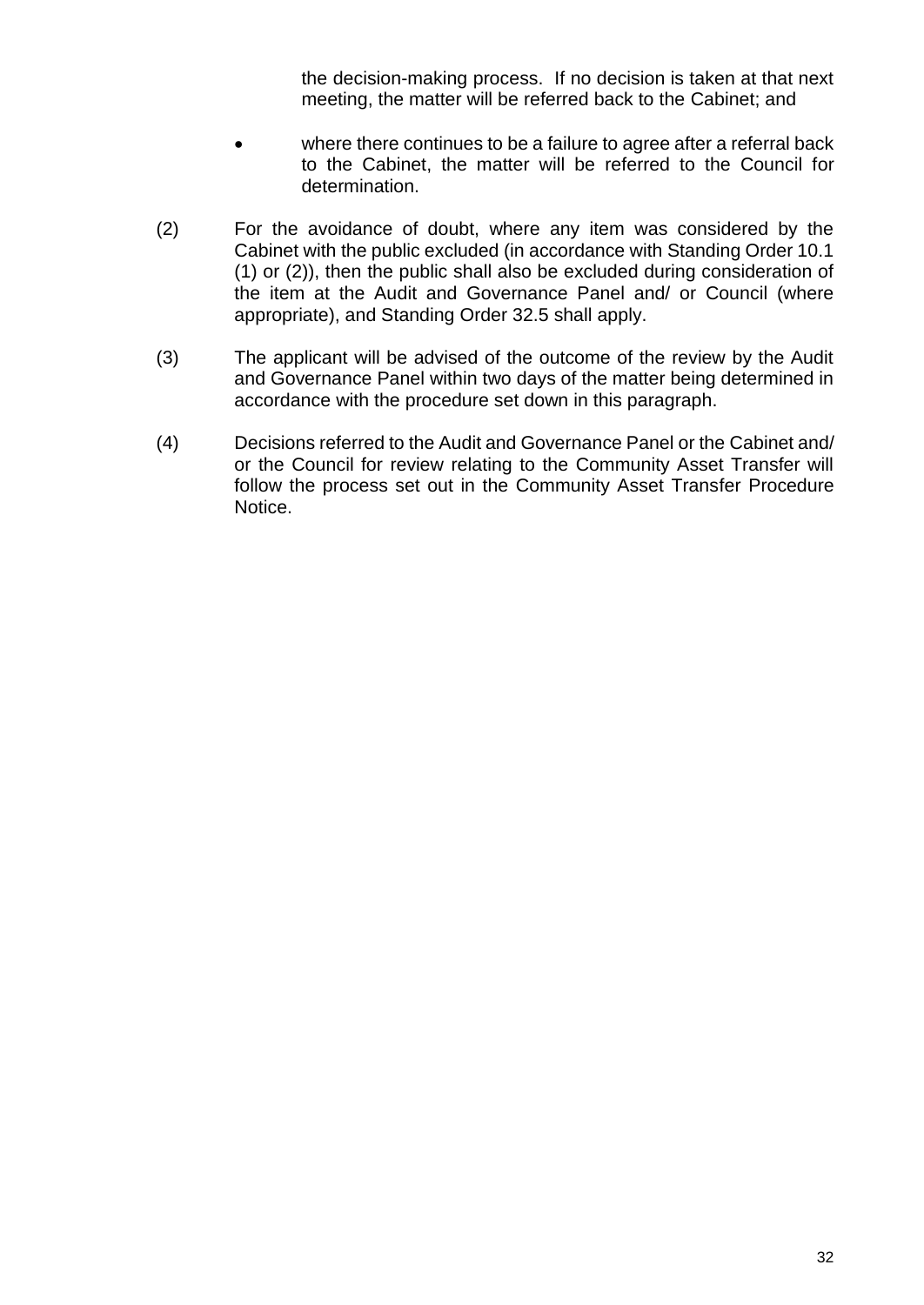the decision-making process. If no decision is taken at that next meeting, the matter will be referred back to the Cabinet; and

- where there continues to be a failure to agree after a referral back to the Cabinet, the matter will be referred to the Council for determination.
- (2) For the avoidance of doubt, where any item was considered by the Cabinet with the public excluded (in accordance with Standing Order 10.1 (1) or (2)), then the public shall also be excluded during consideration of the item at the Audit and Governance Panel and/ or Council (where appropriate), and Standing Order 32.5 shall apply.
- (3) The applicant will be advised of the outcome of the review by the Audit and Governance Panel within two days of the matter being determined in accordance with the procedure set down in this paragraph.
- (4) Decisions referred to the Audit and Governance Panel or the Cabinet and/ or the Council for review relating to the Community Asset Transfer will follow the process set out in the Community Asset Transfer Procedure Notice.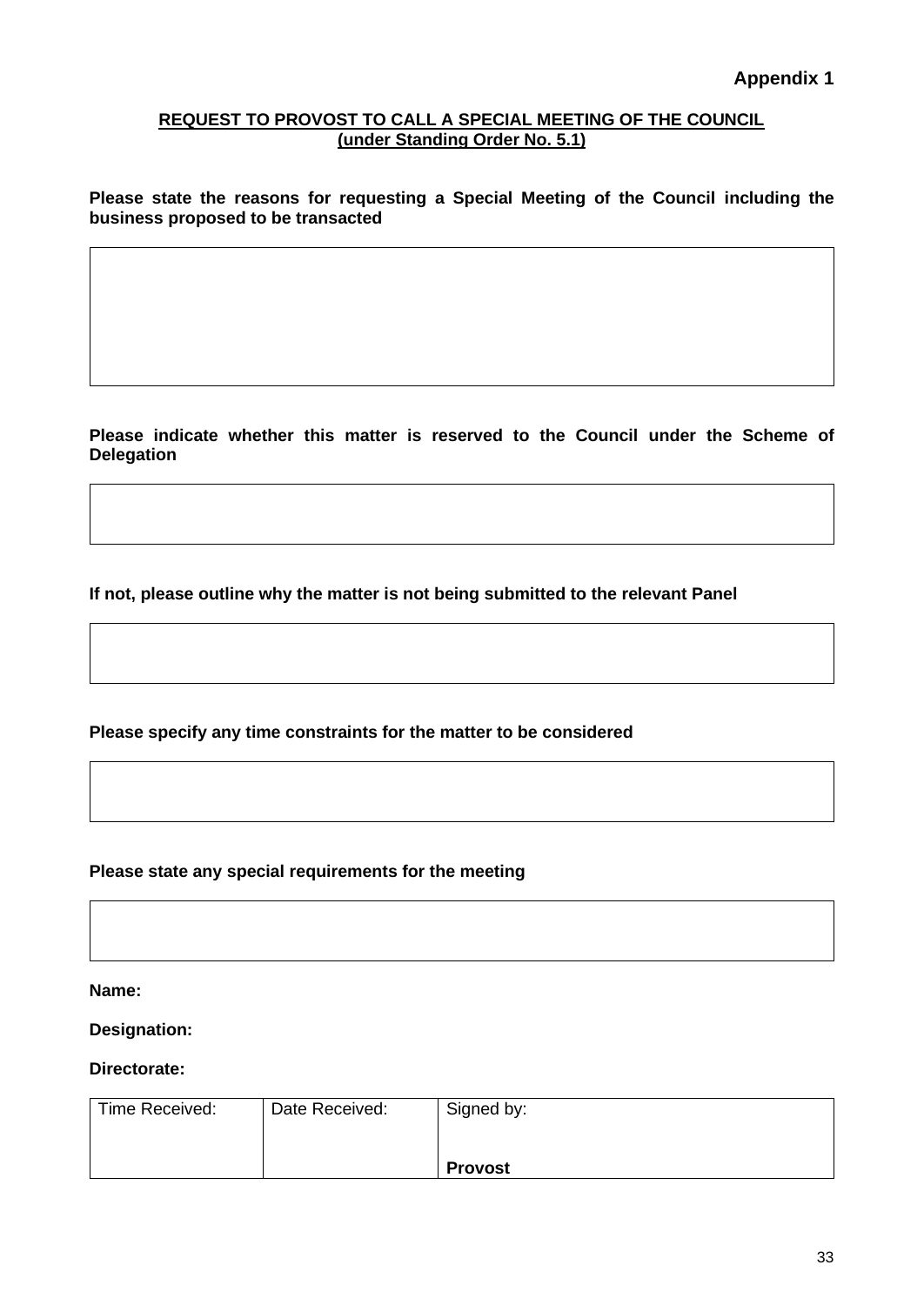#### <span id="page-36-0"></span>**REQUEST TO PROVOST TO CALL A SPECIAL MEETING OF THE COUNCIL (under Standing Order No. 5.1)**

**Please state the reasons for requesting a Special Meeting of the Council including the business proposed to be transacted**

**Please indicate whether this matter is reserved to the Council under the Scheme of Delegation**

**If not, please outline why the matter is not being submitted to the relevant Panel**

**Please specify any time constraints for the matter to be considered**

**Please state any special requirements for the meeting**

**Name:**

**Designation:**

**Directorate:**

| Time Received: | Date Received: | Signed by:     |
|----------------|----------------|----------------|
|                |                |                |
|                |                | <b>Provost</b> |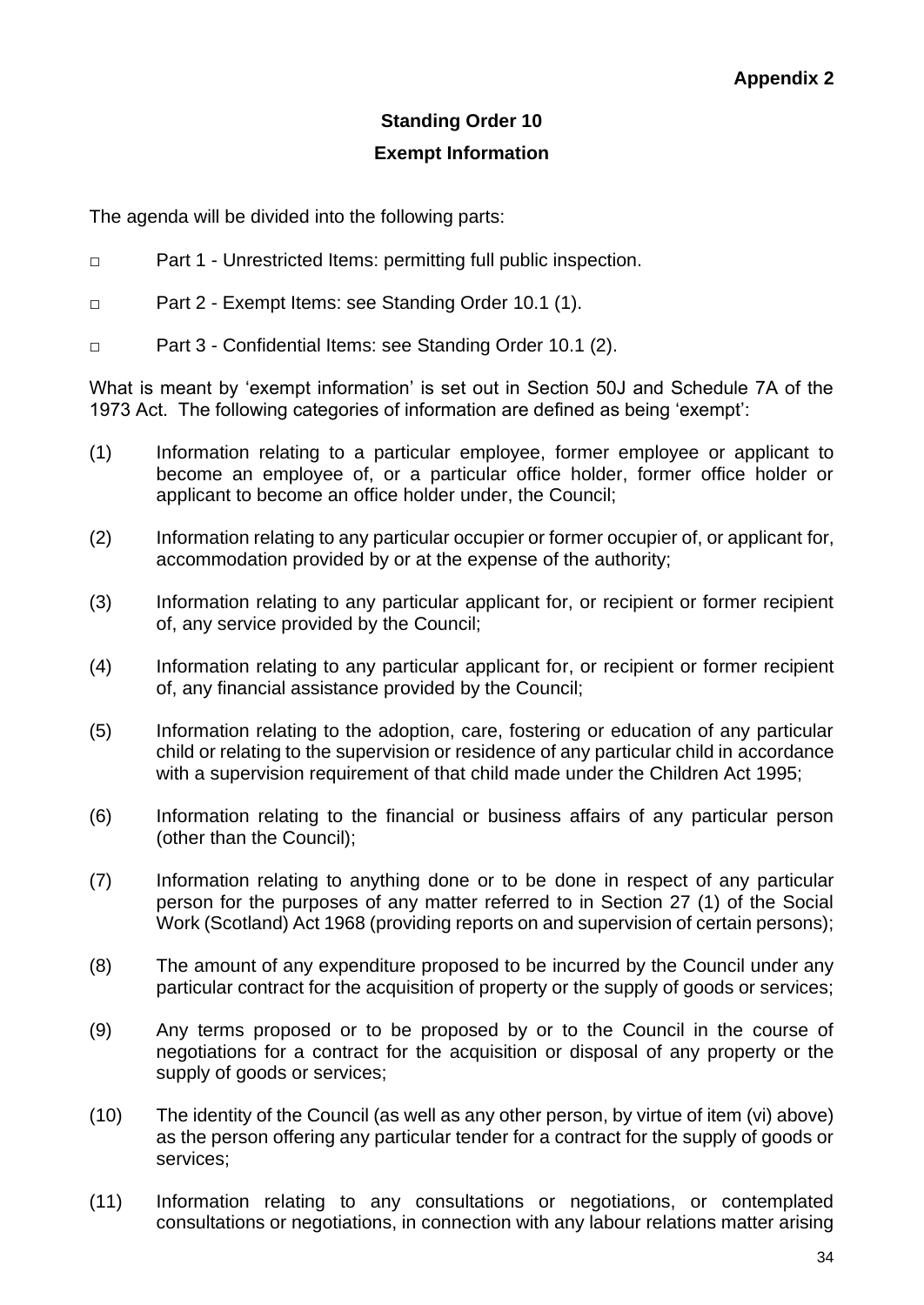## **Standing Order 10 Exempt Information**

<span id="page-37-0"></span>The agenda will be divided into the following parts:

- □ Part 1 Unrestricted Items: permitting full public inspection.
- □ Part 2 Exempt Items: see Standing Order 10.1 (1).
- □ Part 3 Confidential Items: see Standing Order 10.1 (2).

What is meant by 'exempt information' is set out in Section 50J and Schedule 7A of the 1973 Act. The following categories of information are defined as being 'exempt':

- (1) Information relating to a particular employee, former employee or applicant to become an employee of, or a particular office holder, former office holder or applicant to become an office holder under, the Council;
- (2) Information relating to any particular occupier or former occupier of, or applicant for, accommodation provided by or at the expense of the authority;
- (3) Information relating to any particular applicant for, or recipient or former recipient of, any service provided by the Council;
- (4) Information relating to any particular applicant for, or recipient or former recipient of, any financial assistance provided by the Council;
- (5) Information relating to the adoption, care, fostering or education of any particular child or relating to the supervision or residence of any particular child in accordance with a supervision requirement of that child made under the Children Act 1995;
- (6) Information relating to the financial or business affairs of any particular person (other than the Council);
- (7) Information relating to anything done or to be done in respect of any particular person for the purposes of any matter referred to in Section 27 (1) of the Social Work (Scotland) Act 1968 (providing reports on and supervision of certain persons);
- (8) The amount of any expenditure proposed to be incurred by the Council under any particular contract for the acquisition of property or the supply of goods or services;
- (9) Any terms proposed or to be proposed by or to the Council in the course of negotiations for a contract for the acquisition or disposal of any property or the supply of goods or services;
- (10) The identity of the Council (as well as any other person, by virtue of item (vi) above) as the person offering any particular tender for a contract for the supply of goods or services;
- (11) Information relating to any consultations or negotiations, or contemplated consultations or negotiations, in connection with any labour relations matter arising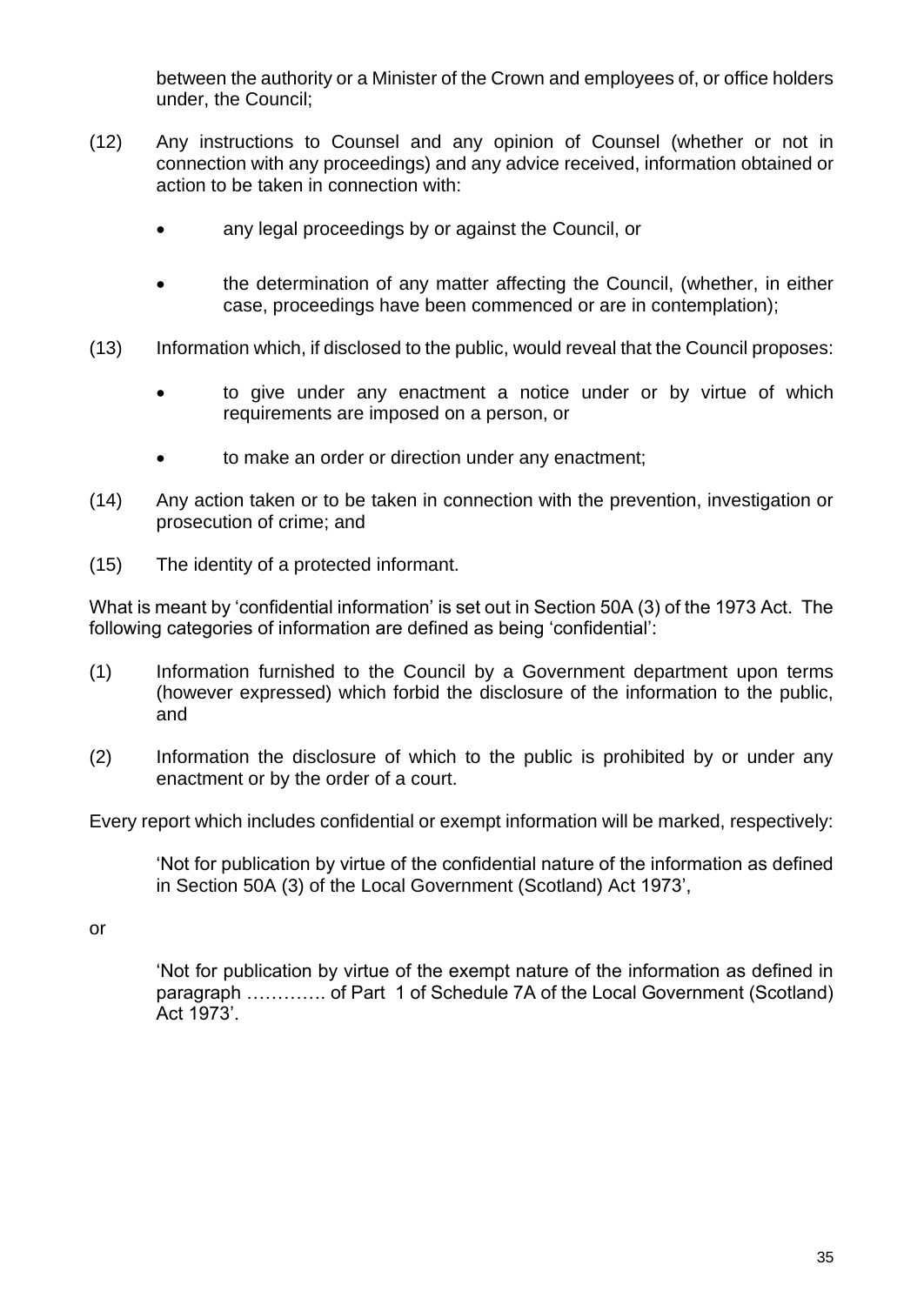between the authority or a Minister of the Crown and employees of, or office holders under, the Council;

- (12) Any instructions to Counsel and any opinion of Counsel (whether or not in connection with any proceedings) and any advice received, information obtained or action to be taken in connection with:
	- any legal proceedings by or against the Council, or
	- the determination of any matter affecting the Council, (whether, in either case, proceedings have been commenced or are in contemplation);
- (13) Information which, if disclosed to the public, would reveal that the Council proposes:
	- to give under any enactment a notice under or by virtue of which requirements are imposed on a person, or
	- to make an order or direction under any enactment;
- (14) Any action taken or to be taken in connection with the prevention, investigation or prosecution of crime; and
- (15) The identity of a protected informant.

What is meant by 'confidential information' is set out in Section 50A (3) of the 1973 Act. The following categories of information are defined as being 'confidential':

- (1) Information furnished to the Council by a Government department upon terms (however expressed) which forbid the disclosure of the information to the public, and
- (2) Information the disclosure of which to the public is prohibited by or under any enactment or by the order of a court.

Every report which includes confidential or exempt information will be marked, respectively:

'Not for publication by virtue of the confidential nature of the information as defined in Section 50A (3) of the Local Government (Scotland) Act 1973',

or

'Not for publication by virtue of the exempt nature of the information as defined in paragraph …………. of Part 1 of Schedule 7A of the Local Government (Scotland) Act 1973'.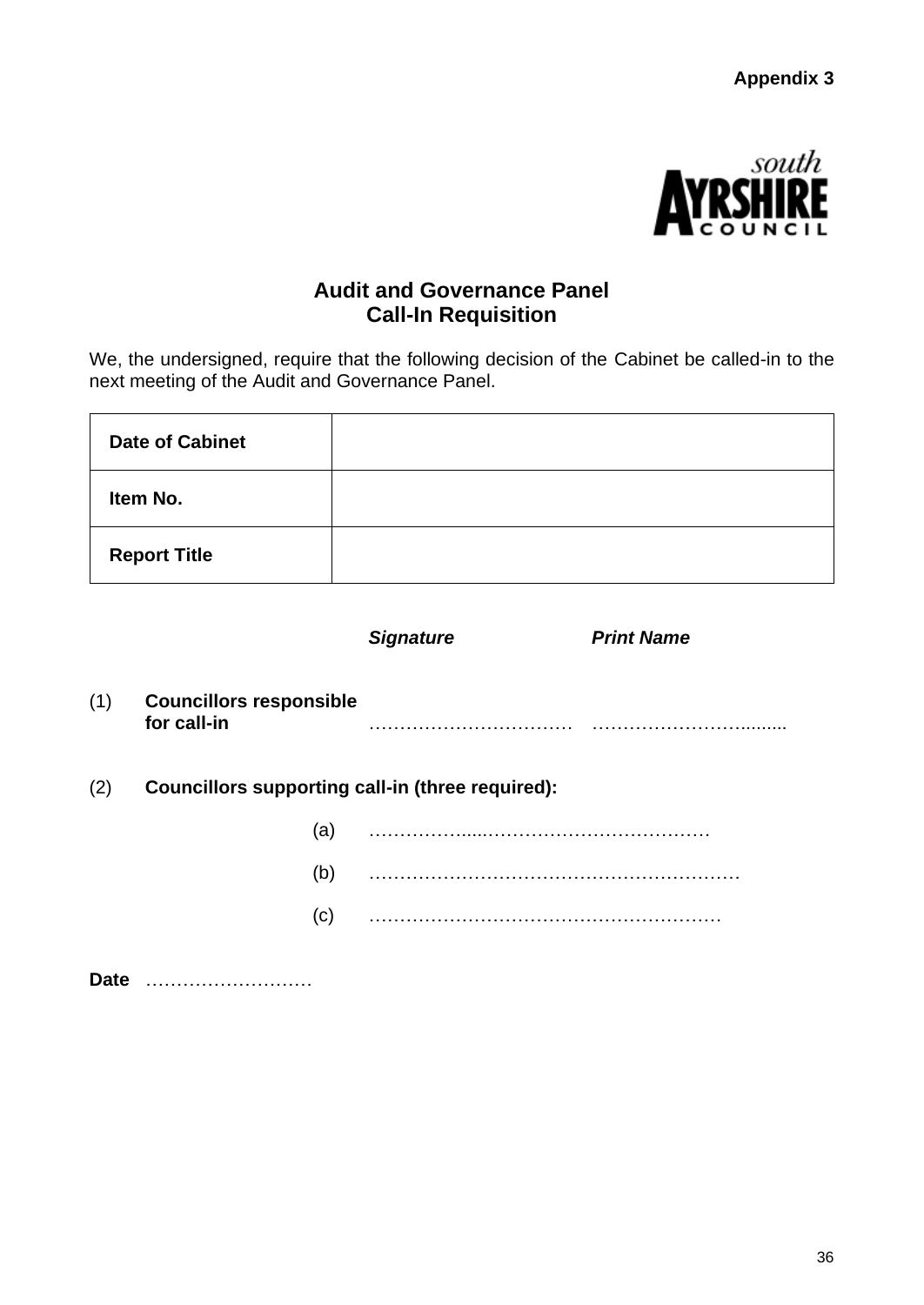

## **Audit and Governance Panel Call-In Requisition**

<span id="page-39-0"></span>We, the undersigned, require that the following decision of the Cabinet be called-in to the next meeting of the Audit and Governance Panel.

| <b>Date of Cabinet</b> |  |
|------------------------|--|
| Item No.               |  |
| <b>Report Title</b>    |  |

|     |                                                         | <b>Signature</b> | <b>Print Name</b> |
|-----|---------------------------------------------------------|------------------|-------------------|
| (1) | <b>Councillors responsible</b><br>for call-in           | .                |                   |
| (2) | <b>Councillors supporting call-in (three required):</b> |                  |                   |
|     | (a)                                                     |                  |                   |
|     | (b)                                                     |                  |                   |
|     | (c)                                                     |                  |                   |
|     |                                                         |                  |                   |

**Date** ………………………